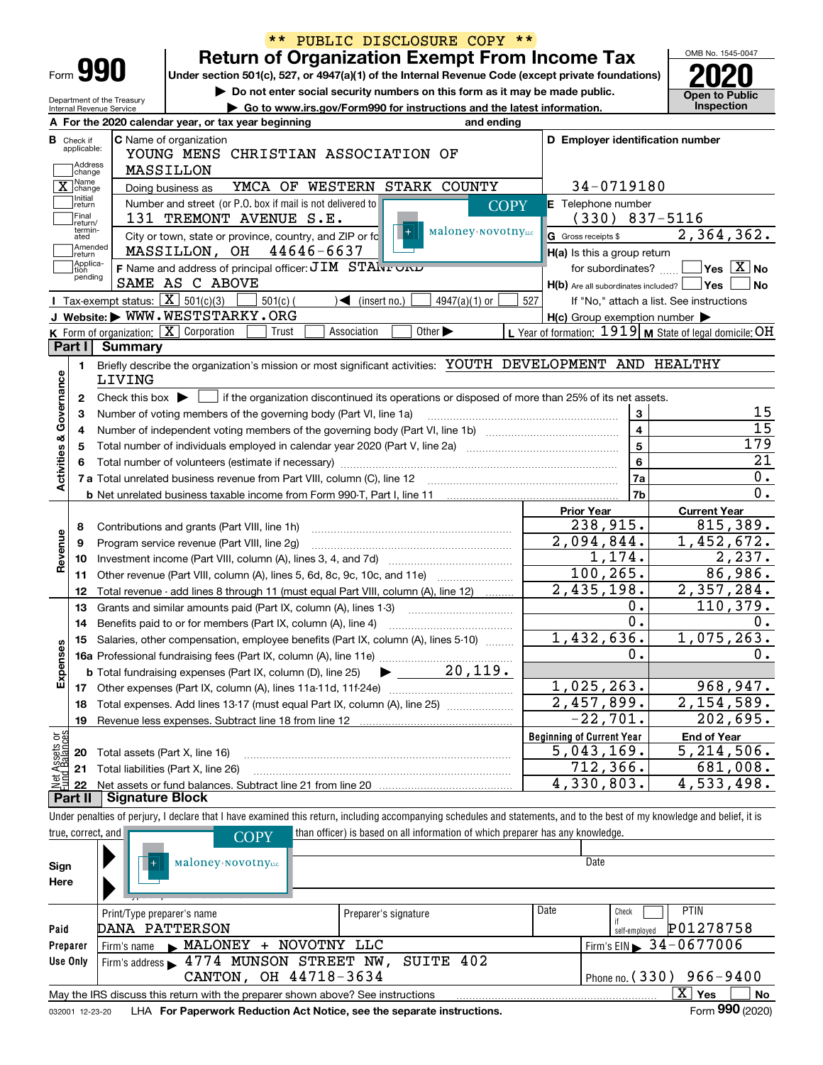|                                  |                            | $* *$                                                                                                                             |                                   | PUBLIC DISCLOSURE COPY **                                                      |                                                                                                                                                                            |                                          |
|----------------------------------|----------------------------|-----------------------------------------------------------------------------------------------------------------------------------|-----------------------------------|--------------------------------------------------------------------------------|----------------------------------------------------------------------------------------------------------------------------------------------------------------------------|------------------------------------------|
|                                  |                            |                                                                                                                                   |                                   | <b>Return of Organization Exempt From Income Tax</b>                           |                                                                                                                                                                            | OMB No. 1545-0047                        |
| Form 990                         |                            |                                                                                                                                   |                                   |                                                                                | Under section 501(c), 527, or 4947(a)(1) of the Internal Revenue Code (except private foundations)                                                                         |                                          |
| Department of the Treasury       |                            |                                                                                                                                   |                                   | Do not enter social security numbers on this form as it may be made public.    |                                                                                                                                                                            | <b>Open to Public</b>                    |
| Internal Revenue Service         |                            |                                                                                                                                   |                                   | Go to www.irs.gov/Form990 for instructions and the latest information.         |                                                                                                                                                                            | Inspection                               |
|                                  |                            | A For the 2020 calendar year, or tax year beginning                                                                               |                                   | and ending                                                                     |                                                                                                                                                                            |                                          |
| <b>B</b> Check if<br>applicable: |                            | C Name of organization<br>YOUNG MENS CHRISTIAN ASSOCIATION OF                                                                     |                                   |                                                                                | D Employer identification number                                                                                                                                           |                                          |
| Address<br>change                |                            | MASSILLON                                                                                                                         |                                   |                                                                                |                                                                                                                                                                            |                                          |
| X Change                         |                            | Doing business as                                                                                                                 | YMCA OF WESTERN STARK COUNTY      |                                                                                | 34-0719180                                                                                                                                                                 |                                          |
| Initial<br>  return              |                            | Number and street (or P.O. box if mail is not delivered to                                                                        |                                   | <b>COPY</b>                                                                    | E Telephone number                                                                                                                                                         |                                          |
| Final                            |                            | 131 TREMONT AVENUE S.E.                                                                                                           |                                   |                                                                                | $(330)$ 837-5116                                                                                                                                                           |                                          |
| return/<br>termin-<br>ated       |                            | City or town, state or province, country, and ZIP or fc                                                                           |                                   | Maloney+NovotnyLLC                                                             | G Gross receipts \$                                                                                                                                                        | 2, 364, 362.                             |
| Amended<br> return               |                            | MASSILLON, OH                                                                                                                     | 44646-6637                        |                                                                                | H(a) Is this a group return                                                                                                                                                |                                          |
| Applica-<br>tion                 |                            | F Name and address of principal officer: JIM STANTURIU                                                                            |                                   |                                                                                | for subordinates?                                                                                                                                                          | $\sqrt{}$ Yes $\sqrt{}$ X $\sqrt{}$ No   |
| pending                          |                            | SAME AS C ABOVE                                                                                                                   |                                   |                                                                                | $H(b)$ Are all subordinates included? $\Box$ Yes                                                                                                                           | No                                       |
|                                  |                            | Tax-exempt status: $\boxed{\mathbf{X}}$ 501(c)(3)<br>$501(c)$ (                                                                   | $\blacktriangleleft$ (insert no.) | 4947(a)(1) or                                                                  | 527                                                                                                                                                                        | If "No," attach a list. See instructions |
|                                  |                            | J Website: WWW.WESTSTARKY.ORG                                                                                                     |                                   |                                                                                | $H(c)$ Group exemption number $\blacktriangleright$                                                                                                                        |                                          |
|                                  |                            | K Form of organization: X Corporation<br>Trust                                                                                    | Association                       | Other $\blacktriangleright$                                                    | L Year of formation: 1919   M State of legal domicile: OH                                                                                                                  |                                          |
| Part I                           | Summary                    |                                                                                                                                   |                                   |                                                                                |                                                                                                                                                                            |                                          |
| 1.                               |                            |                                                                                                                                   |                                   |                                                                                | Briefly describe the organization's mission or most significant activities: YOUTH DEVELOPMENT AND HEALTHY                                                                  |                                          |
|                                  | LIVING                     |                                                                                                                                   |                                   |                                                                                |                                                                                                                                                                            |                                          |
| 2                                |                            |                                                                                                                                   |                                   |                                                                                | Check this box $\blacktriangleright$ $\Box$ if the organization discontinued its operations or disposed of more than 25% of its net assets.                                |                                          |
| з                                |                            | Number of voting members of the governing body (Part VI, line 1a)                                                                 |                                   |                                                                                | 3                                                                                                                                                                          | 15                                       |
| 4                                |                            |                                                                                                                                   |                                   |                                                                                | $\overline{\mathbf{4}}$                                                                                                                                                    | 15                                       |
| 5                                |                            |                                                                                                                                   |                                   |                                                                                | $\overline{\mathbf{5}}$                                                                                                                                                    | 179                                      |
|                                  |                            |                                                                                                                                   |                                   |                                                                                | $\bf{6}$                                                                                                                                                                   | $\overline{21}$                          |
| Activities & Governance          |                            |                                                                                                                                   |                                   |                                                                                | 7a                                                                                                                                                                         | $0$ .                                    |
|                                  |                            | <b>b</b> Net unrelated business taxable income from Form 990-T, Part I, line 11 <b>manual</b> content in the subsequent of Net II |                                   |                                                                                | 7b                                                                                                                                                                         | $\overline{0}$ .                         |
|                                  |                            |                                                                                                                                   |                                   |                                                                                | <b>Prior Year</b>                                                                                                                                                          | <b>Current Year</b>                      |
| 8                                |                            | Contributions and grants (Part VIII, line 1h)                                                                                     |                                   |                                                                                | 238,915.                                                                                                                                                                   | 815,389.                                 |
| Revenue<br>9                     |                            | Program service revenue (Part VIII, line 2g)                                                                                      |                                   |                                                                                | 2,094,844.                                                                                                                                                                 | 1,452,672.                               |
| 10                               |                            |                                                                                                                                   |                                   |                                                                                | 1,174.                                                                                                                                                                     | $\overline{2}$ , 237.                    |
| 11                               |                            | Other revenue (Part VIII, column (A), lines 5, 6d, 8c, 9c, 10c, and 11e)                                                          |                                   |                                                                                | 100, 265.                                                                                                                                                                  | 86,986.                                  |
| 12                               |                            | Total revenue - add lines 8 through 11 (must equal Part VIII, column (A), line 12)                                                |                                   |                                                                                | 2,435,198.                                                                                                                                                                 | 2,357,284.                               |
| 13                               |                            | Grants and similar amounts paid (Part IX, column (A), lines 1-3)                                                                  |                                   |                                                                                | 0.                                                                                                                                                                         | 110,379.                                 |
| 14                               |                            | Benefits paid to or for members (Part IX, column (A), line 4)                                                                     |                                   |                                                                                | $\overline{0}$ .                                                                                                                                                           | 0.                                       |
|                                  |                            | 15 Salaries, other compensation, employee benefits (Part IX, column (A), lines 5-10)                                              |                                   |                                                                                | 1,432,636.                                                                                                                                                                 | 1,075,263.                               |
|                                  |                            |                                                                                                                                   |                                   | 20,119.                                                                        | 0.                                                                                                                                                                         | 0.                                       |
| Expenses                         |                            | <b>b</b> Total fundraising expenses (Part IX, column (D), line 25)                                                                |                                   |                                                                                |                                                                                                                                                                            |                                          |
|                                  |                            |                                                                                                                                   |                                   |                                                                                | 1,025,263.                                                                                                                                                                 | 968,947.                                 |
| 18                               |                            | Total expenses. Add lines 13-17 (must equal Part IX, column (A), line 25) [11, 11, 1201]                                          |                                   |                                                                                | $\overline{2,457,899}$ .                                                                                                                                                   | 2, 154, 589.                             |
| 19                               |                            | Revenue less expenses. Subtract line 18 from line 12                                                                              |                                   |                                                                                | $-22,701.$                                                                                                                                                                 | 202,695.                                 |
| Net Assets or                    |                            |                                                                                                                                   |                                   |                                                                                | <b>Beginning of Current Year</b><br>5,043,169.                                                                                                                             | <b>End of Year</b><br>5,214,506.         |
| 20                               |                            | Total assets (Part X, line 16)                                                                                                    |                                   |                                                                                | 712,366.                                                                                                                                                                   | 681,008.                                 |
| 21                               |                            | Total liabilities (Part X, line 26)                                                                                               |                                   |                                                                                | 4,330,803.                                                                                                                                                                 | $\overline{4}$ , 533, 498.               |
| 22<br>Part II                    | <b>Signature Block</b>     |                                                                                                                                   |                                   |                                                                                |                                                                                                                                                                            |                                          |
|                                  |                            |                                                                                                                                   |                                   |                                                                                | Under penalties of perjury, I declare that I have examined this return, including accompanying schedules and statements, and to the best of my knowledge and belief, it is |                                          |
| true, correct, and               |                            |                                                                                                                                   |                                   | than officer) is based on all information of which preparer has any knowledge. |                                                                                                                                                                            |                                          |
|                                  |                            | <b>COPY</b>                                                                                                                       |                                   |                                                                                |                                                                                                                                                                            |                                          |
| Sign                             |                            | Maloney+NovotnyLLC                                                                                                                |                                   |                                                                                | Date                                                                                                                                                                       |                                          |
| Here                             |                            |                                                                                                                                   |                                   |                                                                                |                                                                                                                                                                            |                                          |
|                                  |                            |                                                                                                                                   |                                   |                                                                                |                                                                                                                                                                            |                                          |
|                                  | Print/Type preparer's name |                                                                                                                                   | Preparer's signature              |                                                                                | Date<br>Check                                                                                                                                                              | PTIN                                     |
| Paid                             |                            | DANA PATTERSON                                                                                                                    |                                   |                                                                                | self-employed                                                                                                                                                              | P01278758                                |
| Preparer                         | Firm's name                | MALONEY + NOVOTNY LLC                                                                                                             |                                   |                                                                                |                                                                                                                                                                            | Firm's EIN $\triangleright$ 34-0677006   |
| Use Only                         |                            | Firm's address > 4774 MUNSON STREET NW, SUITE 402                                                                                 |                                   |                                                                                |                                                                                                                                                                            |                                          |
|                                  |                            | CANTON, OH 44718-3634                                                                                                             |                                   |                                                                                |                                                                                                                                                                            | Phone no. (330) 966-9400                 |
|                                  |                            | May the IRS discuss this return with the preparer shown above? See instructions                                                   |                                   |                                                                                |                                                                                                                                                                            | $\overline{X}$ Yes<br>No                 |
| 032001 12-23-20                  |                            | LHA For Paperwork Reduction Act Notice, see the separate instructions.                                                            |                                   |                                                                                |                                                                                                                                                                            | Form 990 (2020)                          |
|                                  |                            |                                                                                                                                   |                                   |                                                                                |                                                                                                                                                                            |                                          |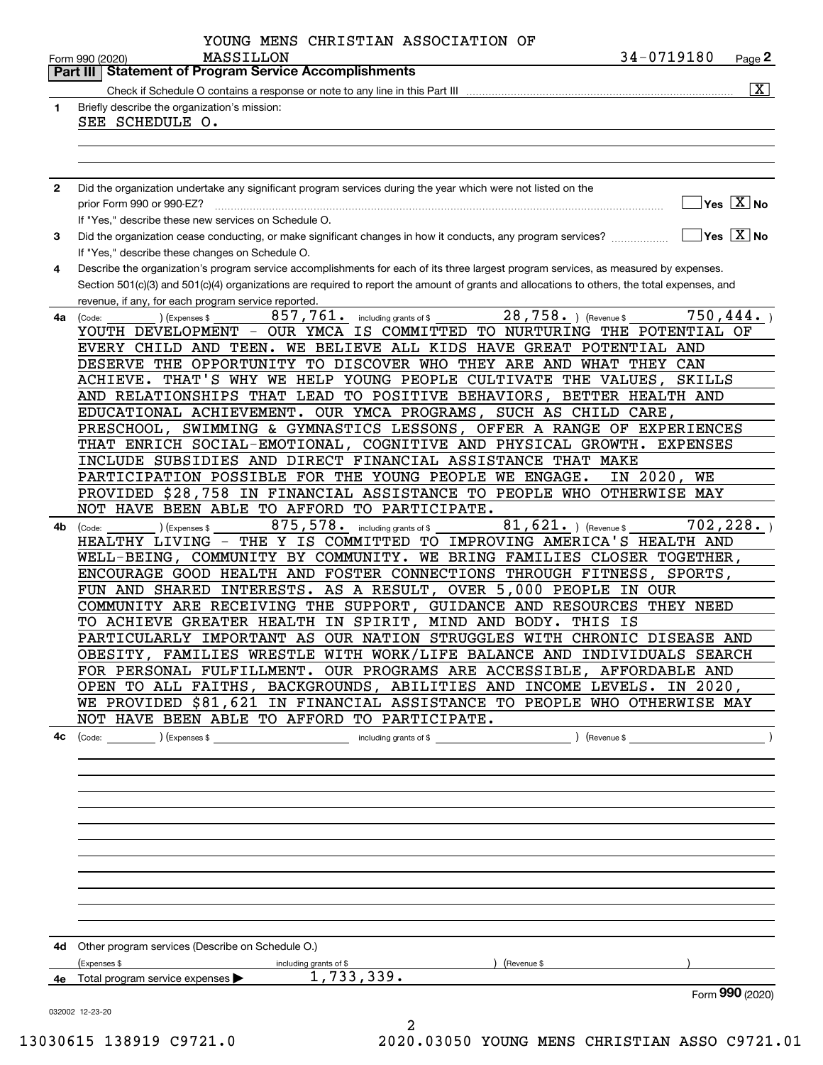|              | YOUNG MENS CHRISTIAN ASSOCIATION OF                                                                                                                |
|--------------|----------------------------------------------------------------------------------------------------------------------------------------------------|
|              | 34-0719180<br>MASSILLON<br>Page 2<br>Form 990 (2020)                                                                                               |
|              | <b>Statement of Program Service Accomplishments</b><br>Part III                                                                                    |
|              | $\vert X \vert$                                                                                                                                    |
| 1            | Briefly describe the organization's mission:                                                                                                       |
|              | SEE SCHEDULE O.                                                                                                                                    |
|              |                                                                                                                                                    |
|              |                                                                                                                                                    |
|              |                                                                                                                                                    |
| $\mathbf{2}$ | Did the organization undertake any significant program services during the year which were not listed on the                                       |
|              | $\sqrt{}$ Yes $\sqrt{}$ X $\sqrt{}$ No<br>prior Form 990 or 990-EZ?                                                                                |
|              | If "Yes," describe these new services on Schedule O.                                                                                               |
| 3            | $Yes \ \boxed{X}$ No<br>Did the organization cease conducting, or make significant changes in how it conducts, any program services?               |
|              | If "Yes," describe these changes on Schedule O.                                                                                                    |
| 4            | Describe the organization's program service accomplishments for each of its three largest program services, as measured by expenses.               |
|              | Section 501(c)(3) and 501(c)(4) organizations are required to report the amount of grants and allocations to others, the total expenses, and       |
|              | revenue, if any, for each program service reported.<br>28,758. Revenue \$<br>750,444.<br>857,761.                                                  |
| 4a           | including grants of \$<br>(Code:<br>(Expenses \$<br>YOUTH DEVELOPMENT - OUR YMCA IS COMMITTED TO NURTURING THE POTENTIAL OF                        |
|              | EVERY CHILD AND TEEN. WE BELIEVE ALL KIDS HAVE GREAT POTENTIAL AND                                                                                 |
|              | DESERVE THE OPPORTUNITY TO DISCOVER WHO THEY ARE AND WHAT THEY CAN                                                                                 |
|              | ACHIEVE. THAT'S WHY WE HELP YOUNG PEOPLE CULTIVATE THE VALUES,<br>SKILLS                                                                           |
|              | AND RELATIONSHIPS THAT LEAD TO POSITIVE BEHAVIORS, BETTER HEALTH AND                                                                               |
|              | EDUCATIONAL ACHIEVEMENT. OUR YMCA PROGRAMS, SUCH AS CHILD CARE,                                                                                    |
|              | PRESCHOOL, SWIMMING & GYMNASTICS LESSONS, OFFER A RANGE OF EXPERIENCES                                                                             |
|              | THAT ENRICH SOCIAL-EMOTIONAL, COGNITIVE AND PHYSICAL GROWTH. EXPENSES                                                                              |
|              | INCLUDE SUBSIDIES AND DIRECT FINANCIAL ASSISTANCE THAT MAKE                                                                                        |
|              | IN 2020, WE<br>PARTICIPATION POSSIBLE FOR THE YOUNG PEOPLE WE ENGAGE.                                                                              |
|              | PROVIDED \$28,758 IN FINANCIAL ASSISTANCE TO PEOPLE WHO OTHERWISE MAY                                                                              |
|              | NOT HAVE BEEN ABLE TO AFFORD TO PARTICIPATE.                                                                                                       |
| 4b           | 702, 228.<br>875, 578. including grants of \$<br>$81, 621.$ ) (Revenue \$<br>) (Expenses \$<br>(Code:                                              |
|              | HEALTHY LIVING - THE Y IS COMMITTED TO IMPROVING AMERICA'S HEALTH AND                                                                              |
|              | WELL-BEING, COMMUNITY BY COMMUNITY. WE BRING FAMILIES CLOSER TOGETHER,                                                                             |
|              | ENCOURAGE GOOD HEALTH AND FOSTER CONNECTIONS THROUGH FITNESS, SPORTS,                                                                              |
|              | FUN AND SHARED INTERESTS. AS A RESULT, OVER 5,000 PEOPLE IN OUR                                                                                    |
|              | COMMUNITY ARE RECEIVING THE SUPPORT, GUIDANCE AND RESOURCES THEY NEED                                                                              |
|              | TO ACHIEVE GREATER HEALTH IN SPIRIT, MIND AND BODY. THIS<br>IS                                                                                     |
|              | PARTICULARLY IMPORTANT AS OUR NATION STRUGGLES WITH CHRONIC DISEASE AND                                                                            |
|              | OBESITY, FAMILIES WRESTLE WITH WORK/LIFE BALANCE AND INDIVIDUALS SEARCH                                                                            |
|              | FOR PERSONAL FULFILLMENT. OUR PROGRAMS ARE ACCESSIBLE, AFFORDABLE AND                                                                              |
|              | OPEN TO ALL FAITHS, BACKGROUNDS, ABILITIES AND INCOME LEVELS. IN 2020,<br>WE PROVIDED \$81,621 IN FINANCIAL ASSISTANCE TO PEOPLE WHO OTHERWISE MAY |
|              | NOT HAVE BEEN ABLE TO AFFORD TO PARTICIPATE.                                                                                                       |
|              |                                                                                                                                                    |
|              |                                                                                                                                                    |
|              |                                                                                                                                                    |
|              |                                                                                                                                                    |
|              |                                                                                                                                                    |
|              |                                                                                                                                                    |
|              |                                                                                                                                                    |
|              |                                                                                                                                                    |
|              |                                                                                                                                                    |
|              |                                                                                                                                                    |
|              |                                                                                                                                                    |
|              |                                                                                                                                                    |
|              |                                                                                                                                                    |
|              | 4d Other program services (Describe on Schedule O.)                                                                                                |
|              | (Expenses \$<br>including grants of \$<br>) (Revenue \$                                                                                            |
|              | 4e Total program service expenses > 1,733,339.                                                                                                     |
|              | Form 990 (2020)                                                                                                                                    |
|              | 032002 12-23-20<br>2                                                                                                                               |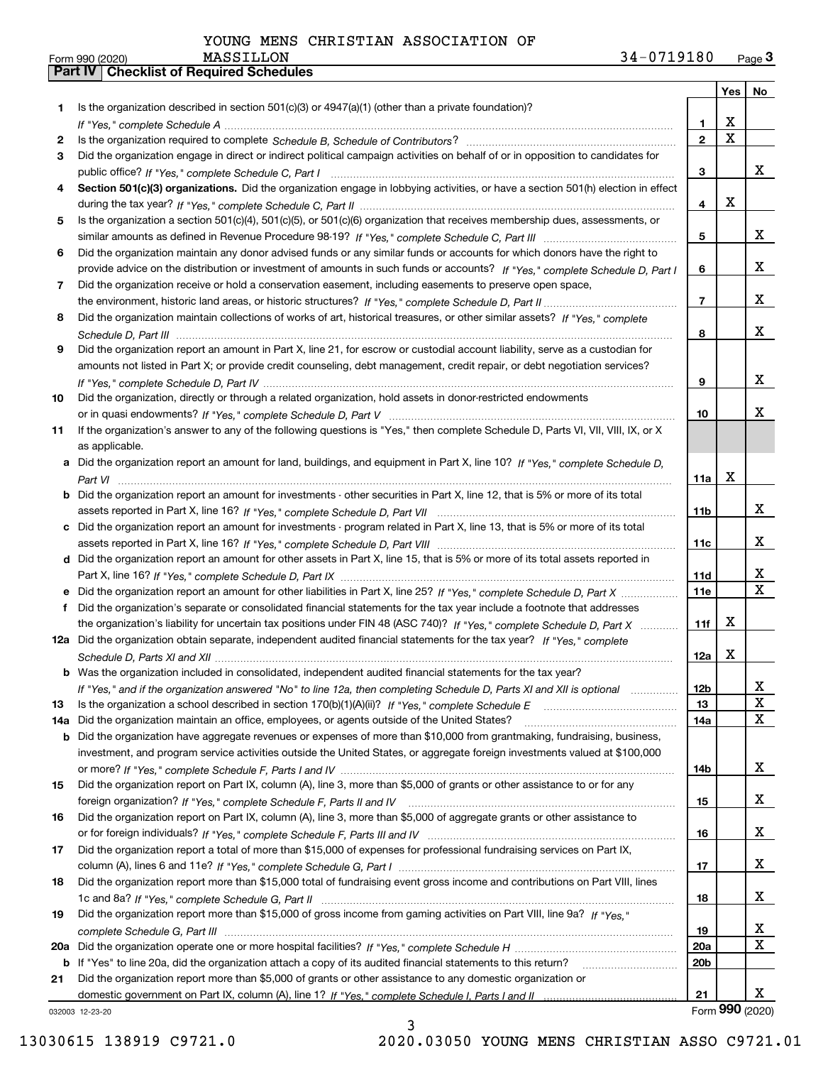|     |                                                                                                                                                                                                                                |                 |             | Yes   No        |  |
|-----|--------------------------------------------------------------------------------------------------------------------------------------------------------------------------------------------------------------------------------|-----------------|-------------|-----------------|--|
| 1   | Is the organization described in section $501(c)(3)$ or $4947(a)(1)$ (other than a private foundation)?                                                                                                                        |                 |             |                 |  |
|     |                                                                                                                                                                                                                                | 1.              | X           |                 |  |
| 2   | Is the organization required to complete Schedule B, Schedule of Contributors? [11] The organization required to complete Schedule B, Schedule of Contributors? [11] The organization required to complete Schedule B, Schedul | $\mathbf{2}$    | $\mathbf X$ |                 |  |
| 3   | Did the organization engage in direct or indirect political campaign activities on behalf of or in opposition to candidates for                                                                                                |                 |             |                 |  |
|     |                                                                                                                                                                                                                                | 3               |             | x               |  |
| 4   | Section 501(c)(3) organizations. Did the organization engage in lobbying activities, or have a section 501(h) election in effect                                                                                               |                 | X           |                 |  |
|     | 4                                                                                                                                                                                                                              |                 |             |                 |  |
| 5   | Is the organization a section 501(c)(4), 501(c)(5), or 501(c)(6) organization that receives membership dues, assessments, or                                                                                                   |                 |             |                 |  |
|     |                                                                                                                                                                                                                                | 5               |             | x               |  |
| 6   | Did the organization maintain any donor advised funds or any similar funds or accounts for which donors have the right to                                                                                                      |                 |             |                 |  |
|     | provide advice on the distribution or investment of amounts in such funds or accounts? If "Yes," complete Schedule D, Part I                                                                                                   | 6               |             | x               |  |
| 7   | Did the organization receive or hold a conservation easement, including easements to preserve open space,                                                                                                                      |                 |             |                 |  |
|     |                                                                                                                                                                                                                                | $\overline{7}$  |             | x               |  |
| 8   | Did the organization maintain collections of works of art, historical treasures, or other similar assets? If "Yes," complete                                                                                                   |                 |             |                 |  |
|     |                                                                                                                                                                                                                                | 8               |             | x               |  |
| 9   | Did the organization report an amount in Part X, line 21, for escrow or custodial account liability, serve as a custodian for                                                                                                  |                 |             |                 |  |
|     | amounts not listed in Part X; or provide credit counseling, debt management, credit repair, or debt negotiation services?                                                                                                      |                 |             | x               |  |
|     |                                                                                                                                                                                                                                | 9               |             |                 |  |
| 10  | Did the organization, directly or through a related organization, hold assets in donor-restricted endowments                                                                                                                   |                 |             | x               |  |
|     | If the organization's answer to any of the following questions is "Yes," then complete Schedule D, Parts VI, VII, VIII, IX, or X                                                                                               | 10              |             |                 |  |
| 11  |                                                                                                                                                                                                                                |                 |             |                 |  |
|     | as applicable.<br>Did the organization report an amount for land, buildings, and equipment in Part X, line 10? If "Yes," complete Schedule D.                                                                                  |                 |             |                 |  |
| а   |                                                                                                                                                                                                                                | 11a             | X           |                 |  |
| b   | Did the organization report an amount for investments - other securities in Part X, line 12, that is 5% or more of its total                                                                                                   |                 |             |                 |  |
|     |                                                                                                                                                                                                                                | 11b             |             | x               |  |
|     | c Did the organization report an amount for investments - program related in Part X, line 13, that is 5% or more of its total                                                                                                  |                 |             |                 |  |
|     |                                                                                                                                                                                                                                | 11c             |             | x               |  |
|     | d Did the organization report an amount for other assets in Part X, line 15, that is 5% or more of its total assets reported in                                                                                                |                 |             |                 |  |
|     |                                                                                                                                                                                                                                | 11d             |             | x               |  |
|     | Did the organization report an amount for other liabilities in Part X, line 25? If "Yes," complete Schedule D, Part X                                                                                                          | <b>11e</b>      |             | $\mathbf{X}$    |  |
| f   | Did the organization's separate or consolidated financial statements for the tax year include a footnote that addresses                                                                                                        |                 |             |                 |  |
|     | the organization's liability for uncertain tax positions under FIN 48 (ASC 740)? If "Yes," complete Schedule D, Part X                                                                                                         | 11f             | X           |                 |  |
|     | 12a Did the organization obtain separate, independent audited financial statements for the tax year? If "Yes," complete                                                                                                        |                 |             |                 |  |
|     |                                                                                                                                                                                                                                | 12a             | X           |                 |  |
|     | <b>b</b> Was the organization included in consolidated, independent audited financial statements for the tax year?                                                                                                             |                 |             |                 |  |
|     | If "Yes," and if the organization answered "No" to line 12a, then completing Schedule D, Parts XI and XII is optional                                                                                                          | 12 <sub>b</sub> |             | 4               |  |
| 13  |                                                                                                                                                                                                                                | 13              |             | X               |  |
| 14a | Did the organization maintain an office, employees, or agents outside of the United States?                                                                                                                                    | 14a             |             | x               |  |
| b   | Did the organization have aggregate revenues or expenses of more than \$10,000 from grantmaking, fundraising, business,                                                                                                        |                 |             |                 |  |
|     | investment, and program service activities outside the United States, or aggregate foreign investments valued at \$100,000                                                                                                     |                 |             |                 |  |
|     |                                                                                                                                                                                                                                | 14b             |             | x               |  |
| 15  | Did the organization report on Part IX, column (A), line 3, more than \$5,000 of grants or other assistance to or for any                                                                                                      |                 |             |                 |  |
|     |                                                                                                                                                                                                                                | 15              |             | x               |  |
| 16  | Did the organization report on Part IX, column (A), line 3, more than \$5,000 of aggregate grants or other assistance to                                                                                                       |                 |             |                 |  |
|     |                                                                                                                                                                                                                                | 16              |             | x               |  |
| 17  | Did the organization report a total of more than \$15,000 of expenses for professional fundraising services on Part IX,                                                                                                        |                 |             |                 |  |
|     |                                                                                                                                                                                                                                | 17              |             | x               |  |
| 18  | Did the organization report more than \$15,000 total of fundraising event gross income and contributions on Part VIII, lines                                                                                                   |                 |             |                 |  |
|     |                                                                                                                                                                                                                                | 18              |             | x               |  |
| 19  | Did the organization report more than \$15,000 of gross income from gaming activities on Part VIII, line 9a? If "Yes."                                                                                                         |                 |             |                 |  |
|     |                                                                                                                                                                                                                                | 19              |             | x               |  |
| 20a |                                                                                                                                                                                                                                | 20a             |             | X               |  |
|     | b If "Yes" to line 20a, did the organization attach a copy of its audited financial statements to this return?                                                                                                                 | 20 <sub>b</sub> |             |                 |  |
| 21  | Did the organization report more than \$5,000 of grants or other assistance to any domestic organization or                                                                                                                    |                 |             |                 |  |
|     |                                                                                                                                                                                                                                | 21              |             | x               |  |
|     | 032003 12-23-20                                                                                                                                                                                                                |                 |             | Form 990 (2020) |  |

3

032003 12-23-20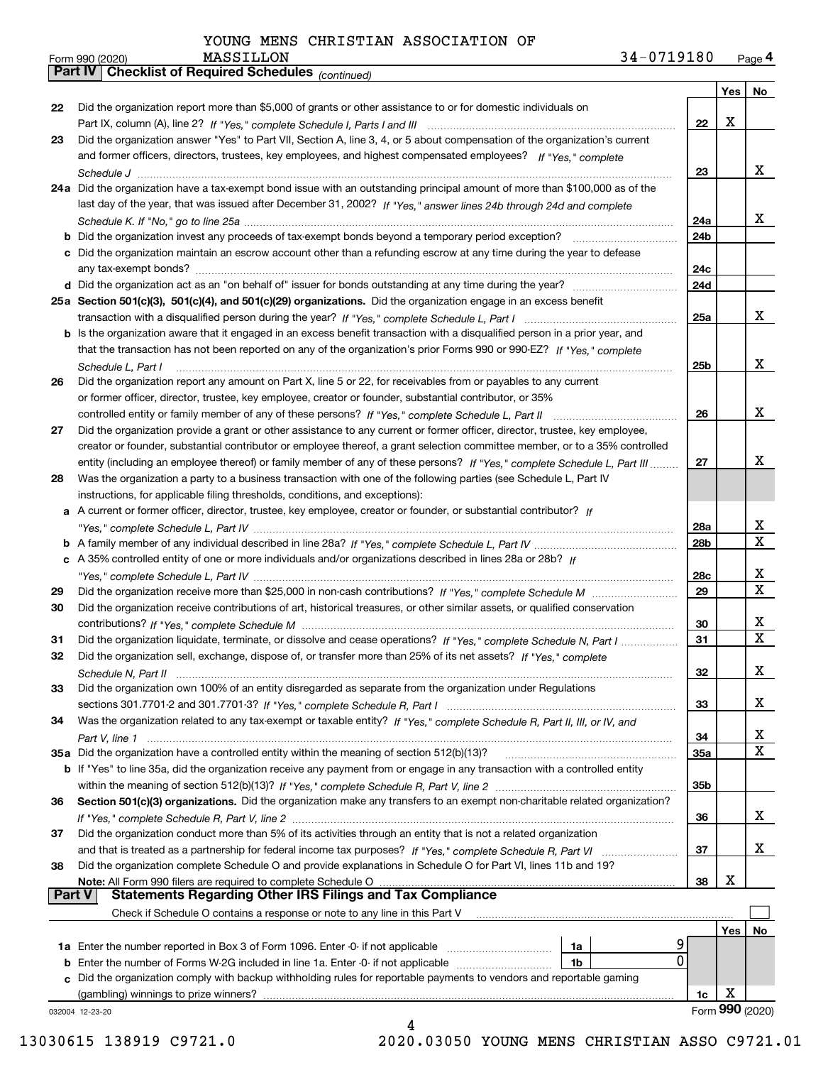*(continued)*

| Form 990 (2020) | MASSILLON                                             | 34-0719180 | Page 4 |
|-----------------|-------------------------------------------------------|------------|--------|
|                 | Part IV   Checklist of Required Schedules (continued) |            |        |

|               |                                                                                                                                    |                 | Yes | No                      |
|---------------|------------------------------------------------------------------------------------------------------------------------------------|-----------------|-----|-------------------------|
| 22            | Did the organization report more than \$5,000 of grants or other assistance to or for domestic individuals on                      |                 |     |                         |
|               |                                                                                                                                    | 22              | X   |                         |
| 23            | Did the organization answer "Yes" to Part VII, Section A, line 3, 4, or 5 about compensation of the organization's current         |                 |     |                         |
|               | and former officers, directors, trustees, key employees, and highest compensated employees? If "Yes," complete                     |                 |     |                         |
|               |                                                                                                                                    | 23              |     | x                       |
|               | 24a Did the organization have a tax-exempt bond issue with an outstanding principal amount of more than \$100,000 as of the        |                 |     |                         |
|               | last day of the year, that was issued after December 31, 2002? If "Yes," answer lines 24b through 24d and complete                 |                 |     |                         |
|               |                                                                                                                                    | 24a             |     | x                       |
|               | <b>b</b> Did the organization invest any proceeds of tax-exempt bonds beyond a temporary period exception?                         | 24b             |     |                         |
|               | c Did the organization maintain an escrow account other than a refunding escrow at any time during the year to defease             |                 |     |                         |
|               |                                                                                                                                    | 24c             |     |                         |
|               |                                                                                                                                    | 24d             |     |                         |
|               | 25a Section 501(c)(3), 501(c)(4), and 501(c)(29) organizations. Did the organization engage in an excess benefit                   |                 |     |                         |
|               |                                                                                                                                    | 25a             |     | x                       |
|               | b Is the organization aware that it engaged in an excess benefit transaction with a disqualified person in a prior year, and       |                 |     |                         |
|               | that the transaction has not been reported on any of the organization's prior Forms 990 or 990-EZ? If "Yes." complete              |                 |     |                         |
|               | Schedule L, Part I                                                                                                                 | 25 <sub>b</sub> |     | x                       |
| 26            | Did the organization report any amount on Part X, line 5 or 22, for receivables from or payables to any current                    |                 |     |                         |
|               | or former officer, director, trustee, key employee, creator or founder, substantial contributor, or 35%                            |                 |     |                         |
|               |                                                                                                                                    | 26              |     | x                       |
| 27            | Did the organization provide a grant or other assistance to any current or former officer, director, trustee, key employee,        |                 |     |                         |
|               | creator or founder, substantial contributor or employee thereof, a grant selection committee member, or to a 35% controlled        |                 |     |                         |
|               | entity (including an employee thereof) or family member of any of these persons? If "Yes," complete Schedule L, Part III           | 27              |     | x                       |
| 28            | Was the organization a party to a business transaction with one of the following parties (see Schedule L, Part IV                  |                 |     |                         |
|               | instructions, for applicable filing thresholds, conditions, and exceptions):                                                       |                 |     |                         |
|               | a A current or former officer, director, trustee, key employee, creator or founder, or substantial contributor? If                 |                 |     |                         |
|               |                                                                                                                                    | 28a             |     | x                       |
|               |                                                                                                                                    | 28b             |     | $\overline{\mathbf{X}}$ |
|               | c A 35% controlled entity of one or more individuals and/or organizations described in lines 28a or 28b? If                        |                 |     |                         |
|               |                                                                                                                                    | 28c             |     | x                       |
| 29            |                                                                                                                                    | 29              |     | $\overline{\mathbf{x}}$ |
| 30            | Did the organization receive contributions of art, historical treasures, or other similar assets, or qualified conservation        |                 |     |                         |
|               |                                                                                                                                    | 30              |     | х                       |
| 31            | Did the organization liquidate, terminate, or dissolve and cease operations? If "Yes," complete Schedule N, Part I                 | 31              |     | $\overline{\mathbf{x}}$ |
| 32            | Did the organization sell, exchange, dispose of, or transfer more than 25% of its net assets? If "Yes," complete                   |                 |     |                         |
|               |                                                                                                                                    | 32              |     | х                       |
| 33            | Did the organization own 100% of an entity disregarded as separate from the organization under Regulations                         |                 |     |                         |
|               |                                                                                                                                    | 33              |     | x                       |
| 34            | Was the organization related to any tax-exempt or taxable entity? If "Yes," complete Schedule R, Part II, III, or IV, and          |                 |     |                         |
|               |                                                                                                                                    | 34              |     | x                       |
|               | 35a Did the organization have a controlled entity within the meaning of section 512(b)(13)?                                        | <b>35a</b>      |     | X                       |
|               | <b>b</b> If "Yes" to line 35a, did the organization receive any payment from or engage in any transaction with a controlled entity |                 |     |                         |
|               |                                                                                                                                    | 35b             |     |                         |
| 36            | Section 501(c)(3) organizations. Did the organization make any transfers to an exempt non-charitable related organization?         |                 |     |                         |
|               |                                                                                                                                    | 36              |     | x                       |
| 37            | Did the organization conduct more than 5% of its activities through an entity that is not a related organization                   |                 |     |                         |
|               | and that is treated as a partnership for federal income tax purposes? If "Yes," complete Schedule R, Part VI                       | 37              |     | X                       |
| 38            | Did the organization complete Schedule O and provide explanations in Schedule O for Part VI, lines 11b and 19?                     |                 |     |                         |
|               | Note: All Form 990 filers are required to complete Schedule O                                                                      | 38              | х   |                         |
| <b>Part V</b> | <b>Statements Regarding Other IRS Filings and Tax Compliance</b>                                                                   |                 |     |                         |
|               | Check if Schedule O contains a response or note to any line in this Part V                                                         |                 |     |                         |
|               |                                                                                                                                    |                 | Yes | No                      |
|               | 1a Enter the number reported in Box 3 of Form 1096. Enter -0- if not applicable<br>1a<br>0                                         |                 |     |                         |
|               | <b>b</b> Enter the number of Forms W-2G included in line 1a. Enter -0- if not applicable <i>manumeraness</i><br>1b                 |                 |     |                         |
|               | c Did the organization comply with backup withholding rules for reportable payments to vendors and reportable gaming               |                 |     |                         |
|               | (gambling) winnings to prize winners?                                                                                              | 1c              | х   | Form 990 (2020)         |
|               | 032004 12-23-20<br>4                                                                                                               |                 |     |                         |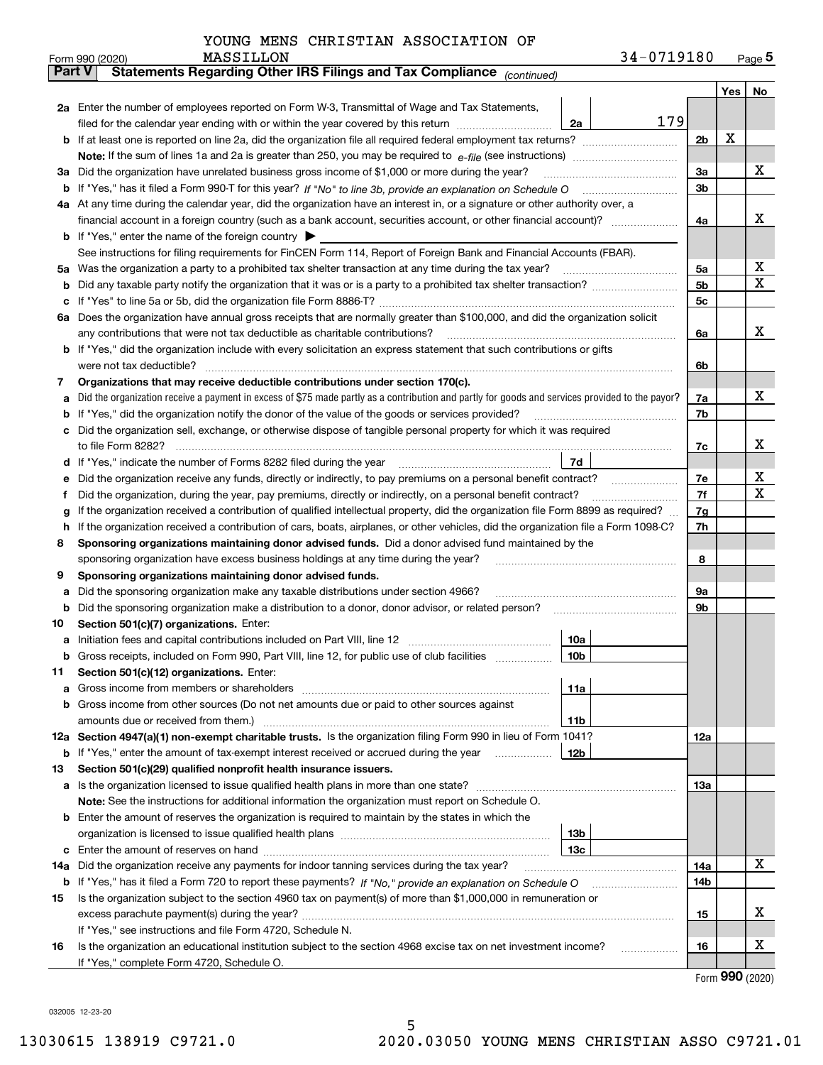|     | MASSILLON<br>Form 990 (2020)                                                                                                                    | 34-0719180 |     | $_{\text{Page}}$ 5 |  |  |  |  |  |  |  |  |
|-----|-------------------------------------------------------------------------------------------------------------------------------------------------|------------|-----|--------------------|--|--|--|--|--|--|--|--|
|     | Statements Regarding Other IRS Filings and Tax Compliance (continued)<br><b>Part V</b>                                                          |            |     |                    |  |  |  |  |  |  |  |  |
|     |                                                                                                                                                 |            | Yes | No                 |  |  |  |  |  |  |  |  |
|     | 2a Enter the number of employees reported on Form W-3, Transmittal of Wage and Tax Statements,                                                  |            |     |                    |  |  |  |  |  |  |  |  |
|     | filed for the calendar year ending with or within the year covered by this return<br>2a                                                         | 179        | х   |                    |  |  |  |  |  |  |  |  |
|     |                                                                                                                                                 |            |     |                    |  |  |  |  |  |  |  |  |
|     |                                                                                                                                                 |            |     |                    |  |  |  |  |  |  |  |  |
| За  | Did the organization have unrelated business gross income of \$1,000 or more during the year?                                                   |            |     |                    |  |  |  |  |  |  |  |  |
| b   |                                                                                                                                                 |            |     |                    |  |  |  |  |  |  |  |  |
|     | 4a At any time during the calendar year, did the organization have an interest in, or a signature or other authority over, a                    |            |     |                    |  |  |  |  |  |  |  |  |
|     |                                                                                                                                                 |            |     |                    |  |  |  |  |  |  |  |  |
|     | <b>b</b> If "Yes," enter the name of the foreign country $\blacktriangleright$                                                                  |            |     |                    |  |  |  |  |  |  |  |  |
|     | See instructions for filing requirements for FinCEN Form 114, Report of Foreign Bank and Financial Accounts (FBAR).                             |            |     |                    |  |  |  |  |  |  |  |  |
| 5a  | Was the organization a party to a prohibited tax shelter transaction at any time during the tax year?                                           | 5a         |     | х                  |  |  |  |  |  |  |  |  |
| b   |                                                                                                                                                 | 5b         |     | X                  |  |  |  |  |  |  |  |  |
| с   |                                                                                                                                                 | 5c         |     |                    |  |  |  |  |  |  |  |  |
|     | 6a Does the organization have annual gross receipts that are normally greater than \$100,000, and did the organization solicit                  |            |     |                    |  |  |  |  |  |  |  |  |
|     | any contributions that were not tax deductible as charitable contributions?                                                                     | 6a         |     | x                  |  |  |  |  |  |  |  |  |
|     | <b>b</b> If "Yes," did the organization include with every solicitation an express statement that such contributions or gifts                   |            |     |                    |  |  |  |  |  |  |  |  |
|     | were not tax deductible?                                                                                                                        | 6b         |     |                    |  |  |  |  |  |  |  |  |
| 7   | Organizations that may receive deductible contributions under section 170(c).                                                                   |            |     |                    |  |  |  |  |  |  |  |  |
| а   | Did the organization receive a payment in excess of \$75 made partly as a contribution and partly for goods and services provided to the payor? | 7a         |     | x                  |  |  |  |  |  |  |  |  |
| b   | If "Yes," did the organization notify the donor of the value of the goods or services provided?                                                 | 7b         |     |                    |  |  |  |  |  |  |  |  |
|     | Did the organization sell, exchange, or otherwise dispose of tangible personal property for which it was required                               |            |     |                    |  |  |  |  |  |  |  |  |
|     |                                                                                                                                                 | 7c         |     | x                  |  |  |  |  |  |  |  |  |
| d   | 7d                                                                                                                                              |            |     |                    |  |  |  |  |  |  |  |  |
| е   |                                                                                                                                                 | 7e         |     | х                  |  |  |  |  |  |  |  |  |
| f   | Did the organization, during the year, pay premiums, directly or indirectly, on a personal benefit contract?                                    | 7f         |     | X                  |  |  |  |  |  |  |  |  |
| g   | If the organization received a contribution of qualified intellectual property, did the organization file Form 8899 as required?                | 7g         |     |                    |  |  |  |  |  |  |  |  |
| h   | If the organization received a contribution of cars, boats, airplanes, or other vehicles, did the organization file a Form 1098-C?              | 7h         |     |                    |  |  |  |  |  |  |  |  |
| 8   | Sponsoring organizations maintaining donor advised funds. Did a donor advised fund maintained by the                                            |            |     |                    |  |  |  |  |  |  |  |  |
|     | sponsoring organization have excess business holdings at any time during the year?                                                              | 8          |     |                    |  |  |  |  |  |  |  |  |
| 9   | Sponsoring organizations maintaining donor advised funds.                                                                                       |            |     |                    |  |  |  |  |  |  |  |  |
| а   | Did the sponsoring organization make any taxable distributions under section 4966?                                                              | 9а         |     |                    |  |  |  |  |  |  |  |  |
| b   | Did the sponsoring organization make a distribution to a donor, donor advisor, or related person?                                               | 9b         |     |                    |  |  |  |  |  |  |  |  |
| 10  | Section 501(c)(7) organizations. Enter:                                                                                                         |            |     |                    |  |  |  |  |  |  |  |  |
| а   | 10a<br>Initiation fees and capital contributions included on Part VIII, line 12 [111] [11] [12] [11] [12] [11] [12] [<br> 10b                   |            |     |                    |  |  |  |  |  |  |  |  |
|     | Gross receipts, included on Form 990, Part VIII, line 12, for public use of club facilities                                                     |            |     |                    |  |  |  |  |  |  |  |  |
| 11  | Section 501(c)(12) organizations. Enter:                                                                                                        |            |     |                    |  |  |  |  |  |  |  |  |
| а   | Gross income from members or shareholders<br>11a<br>Gross income from other sources (Do not net amounts due or paid to other sources against    |            |     |                    |  |  |  |  |  |  |  |  |
| b   | 11 <sub>b</sub><br>amounts due or received from them.)                                                                                          |            |     |                    |  |  |  |  |  |  |  |  |
|     | 12a Section 4947(a)(1) non-exempt charitable trusts. Is the organization filing Form 990 in lieu of Form 1041?                                  | <b>12a</b> |     |                    |  |  |  |  |  |  |  |  |
|     | 12b<br><b>b</b> If "Yes," enter the amount of tax-exempt interest received or accrued during the year <i>manument</i> of                        |            |     |                    |  |  |  |  |  |  |  |  |
| 13  | Section 501(c)(29) qualified nonprofit health insurance issuers.                                                                                |            |     |                    |  |  |  |  |  |  |  |  |
| a   | Is the organization licensed to issue qualified health plans in more than one state?                                                            | <b>13a</b> |     |                    |  |  |  |  |  |  |  |  |
|     | Note: See the instructions for additional information the organization must report on Schedule O.                                               |            |     |                    |  |  |  |  |  |  |  |  |
| b   | Enter the amount of reserves the organization is required to maintain by the states in which the                                                |            |     |                    |  |  |  |  |  |  |  |  |
|     | 13 <sub>b</sub>                                                                                                                                 |            |     |                    |  |  |  |  |  |  |  |  |
| с   | 13 <sub>c</sub>                                                                                                                                 |            |     |                    |  |  |  |  |  |  |  |  |
| 14a | Did the organization receive any payments for indoor tanning services during the tax year?                                                      | 14a        |     | x                  |  |  |  |  |  |  |  |  |
|     | <b>b</b> If "Yes," has it filed a Form 720 to report these payments? If "No," provide an explanation on Schedule O                              | 14b        |     |                    |  |  |  |  |  |  |  |  |
| 15  | Is the organization subject to the section 4960 tax on payment(s) of more than \$1,000,000 in remuneration or                                   |            |     |                    |  |  |  |  |  |  |  |  |
|     |                                                                                                                                                 | 15         |     | х                  |  |  |  |  |  |  |  |  |
|     | If "Yes," see instructions and file Form 4720, Schedule N.                                                                                      |            |     |                    |  |  |  |  |  |  |  |  |
| 16  | Is the organization an educational institution subject to the section 4968 excise tax on net investment income?                                 | 16         |     | х                  |  |  |  |  |  |  |  |  |
|     | If "Yes," complete Form 4720, Schedule O.                                                                                                       |            |     |                    |  |  |  |  |  |  |  |  |
|     |                                                                                                                                                 |            |     |                    |  |  |  |  |  |  |  |  |

5

Form (2020) **990**

032005 12-23-20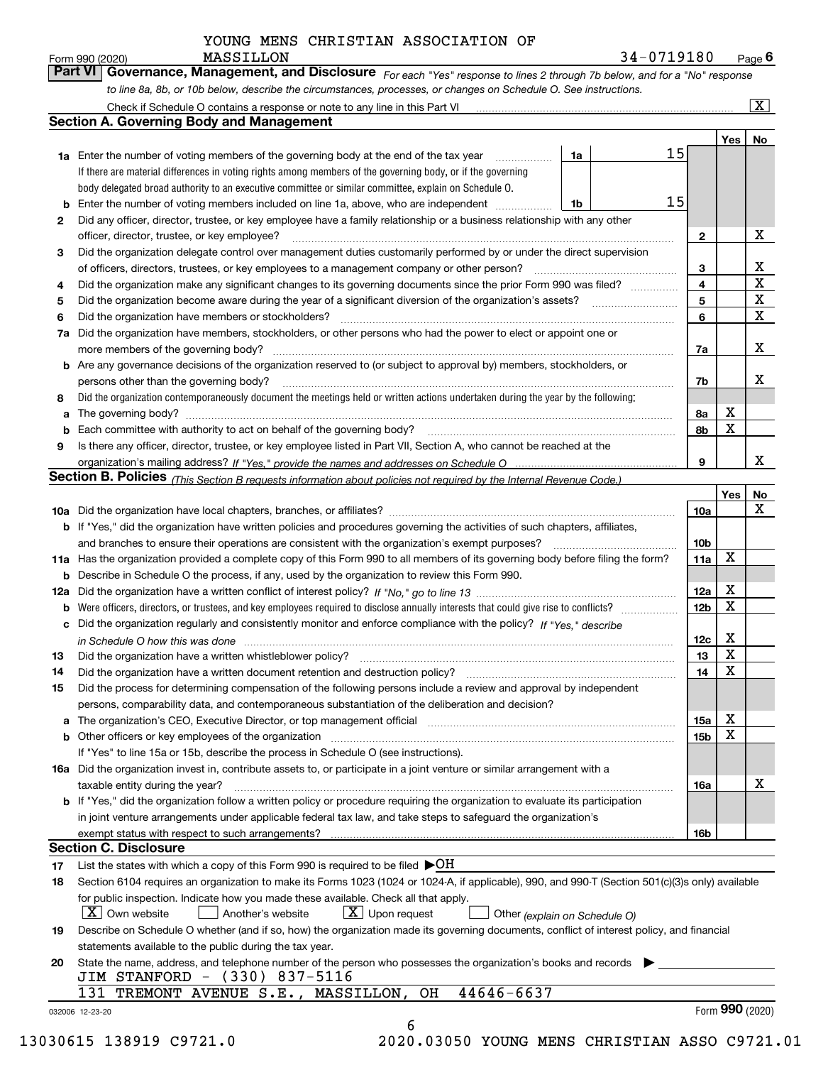| orm 990 (2020) | MASSILLON | 34-0719180                                                                                                                  | $P$ <sub>age</sub> 6 |
|----------------|-----------|-----------------------------------------------------------------------------------------------------------------------------|----------------------|
|                |           | Part VI Governance, Management, and Disclosure For each "Yes" response to lines 2 through 7b below, and for a "No" response |                      |
|                |           | to line 8a, 8b, or 10b below, describe the circumstances, processes, or changes on Schedule O. See instructions.            |                      |

|    |                                                                                                                                                                               |    |  |    |                         | Yes             | No                      |  |  |
|----|-------------------------------------------------------------------------------------------------------------------------------------------------------------------------------|----|--|----|-------------------------|-----------------|-------------------------|--|--|
|    | <b>1a</b> Enter the number of voting members of the governing body at the end of the tax year                                                                                 | 1a |  | 15 |                         |                 |                         |  |  |
|    | If there are material differences in voting rights among members of the governing body, or if the governing                                                                   |    |  |    |                         |                 |                         |  |  |
|    | body delegated broad authority to an executive committee or similar committee, explain on Schedule O.                                                                         |    |  |    |                         |                 |                         |  |  |
|    | 15<br>1b                                                                                                                                                                      |    |  |    |                         |                 |                         |  |  |
| 2  | Did any officer, director, trustee, or key employee have a family relationship or a business relationship with any other                                                      |    |  |    |                         |                 |                         |  |  |
|    | officer, director, trustee, or key employee?                                                                                                                                  |    |  |    |                         |                 |                         |  |  |
| 3  | Did the organization delegate control over management duties customarily performed by or under the direct supervision                                                         |    |  |    |                         |                 |                         |  |  |
|    |                                                                                                                                                                               |    |  |    | 3                       |                 | X                       |  |  |
| 4  | Did the organization make any significant changes to its governing documents since the prior Form 990 was filed?                                                              |    |  |    | $\overline{\mathbf{4}}$ |                 | $\overline{\textbf{X}}$ |  |  |
| 5  |                                                                                                                                                                               |    |  |    | 5                       |                 | $\mathbf X$             |  |  |
| 6  | Did the organization have members or stockholders?                                                                                                                            |    |  |    | 6                       |                 | $\mathbf x$             |  |  |
|    | 7a Did the organization have members, stockholders, or other persons who had the power to elect or appoint one or                                                             |    |  |    |                         |                 |                         |  |  |
|    |                                                                                                                                                                               |    |  |    | 7a                      |                 | x                       |  |  |
|    | <b>b</b> Are any governance decisions of the organization reserved to (or subject to approval by) members, stockholders, or                                                   |    |  |    |                         |                 |                         |  |  |
|    | persons other than the governing body?                                                                                                                                        |    |  |    | 7b                      |                 | х                       |  |  |
| 8  | Did the organization contemporaneously document the meetings held or written actions undertaken during the year by the following:                                             |    |  |    |                         |                 |                         |  |  |
|    |                                                                                                                                                                               |    |  |    |                         | X               |                         |  |  |
| a  |                                                                                                                                                                               |    |  |    | 8a<br>8b                | X               |                         |  |  |
| 9  |                                                                                                                                                                               |    |  |    |                         |                 |                         |  |  |
|    | Is there any officer, director, trustee, or key employee listed in Part VII, Section A, who cannot be reached at the                                                          |    |  |    | 9                       |                 | х                       |  |  |
|    |                                                                                                                                                                               |    |  |    |                         |                 |                         |  |  |
|    | Section B. Policies (This Section B requests information about policies not required by the Internal Revenue Code.)                                                           |    |  |    |                         |                 |                         |  |  |
|    |                                                                                                                                                                               |    |  |    |                         | Yes             | No<br>X                 |  |  |
|    |                                                                                                                                                                               |    |  |    | 10a                     |                 |                         |  |  |
|    | <b>b</b> If "Yes," did the organization have written policies and procedures governing the activities of such chapters, affiliates,                                           |    |  |    |                         |                 |                         |  |  |
|    |                                                                                                                                                                               |    |  |    | 10 <sub>b</sub>         |                 |                         |  |  |
|    | 11a Has the organization provided a complete copy of this Form 990 to all members of its governing body before filing the form?                                               |    |  |    | 11a                     | X               |                         |  |  |
|    | <b>b</b> Describe in Schedule O the process, if any, used by the organization to review this Form 990.                                                                        |    |  |    |                         |                 |                         |  |  |
|    |                                                                                                                                                                               |    |  |    | 12a                     | X               |                         |  |  |
| b  |                                                                                                                                                                               |    |  |    | 12b                     | X               |                         |  |  |
|    | c Did the organization regularly and consistently monitor and enforce compliance with the policy? If "Yes," describe                                                          |    |  |    |                         |                 |                         |  |  |
|    | in Schedule O how this was done manufactured and continuum control of the Schedule O how this was done manufactured and continuum control of the Schedule O how this was done |    |  |    | 12c                     | х               |                         |  |  |
| 13 |                                                                                                                                                                               |    |  |    | 13                      | X               |                         |  |  |
| 14 | Did the organization have a written document retention and destruction policy? manufactured and the organization have a written document retention and destruction policy?    |    |  |    | 14                      | X               |                         |  |  |
| 15 | Did the process for determining compensation of the following persons include a review and approval by independent                                                            |    |  |    |                         |                 |                         |  |  |
|    | persons, comparability data, and contemporaneous substantiation of the deliberation and decision?                                                                             |    |  |    |                         |                 |                         |  |  |
|    |                                                                                                                                                                               |    |  |    | 15a                     | X               |                         |  |  |
|    |                                                                                                                                                                               |    |  |    | 15b                     | X               |                         |  |  |
|    | If "Yes" to line 15a or 15b, describe the process in Schedule O (see instructions).                                                                                           |    |  |    |                         |                 |                         |  |  |
|    | 16a Did the organization invest in, contribute assets to, or participate in a joint venture or similar arrangement with a                                                     |    |  |    |                         |                 |                         |  |  |
|    | taxable entity during the year?                                                                                                                                               |    |  |    | 16a                     |                 | X                       |  |  |
|    | b If "Yes," did the organization follow a written policy or procedure requiring the organization to evaluate its participation                                                |    |  |    |                         |                 |                         |  |  |
|    | in joint venture arrangements under applicable federal tax law, and take steps to safeguard the organization's                                                                |    |  |    |                         |                 |                         |  |  |
|    | exempt status with respect to such arrangements?                                                                                                                              |    |  |    | 16b                     |                 |                         |  |  |
|    | <b>Section C. Disclosure</b>                                                                                                                                                  |    |  |    |                         |                 |                         |  |  |
| 17 | List the states with which a copy of this Form 990 is required to be filed $\blacktriangleright$ OH                                                                           |    |  |    |                         |                 |                         |  |  |
| 18 | Section 6104 requires an organization to make its Forms 1023 (1024 or 1024-A, if applicable), 990, and 990-T (Section 501(c)(3)s only) available                              |    |  |    |                         |                 |                         |  |  |
|    | for public inspection. Indicate how you made these available. Check all that apply.                                                                                           |    |  |    |                         |                 |                         |  |  |
|    | $\lfloor x \rfloor$ Own website<br>$X$ Upon request<br>  Another's website<br>Other (explain on Schedule O)                                                                   |    |  |    |                         |                 |                         |  |  |
| 19 | Describe on Schedule O whether (and if so, how) the organization made its governing documents, conflict of interest policy, and financial                                     |    |  |    |                         |                 |                         |  |  |
|    |                                                                                                                                                                               |    |  |    |                         |                 |                         |  |  |
|    | statements available to the public during the tax year.                                                                                                                       |    |  |    |                         |                 |                         |  |  |
| 20 | State the name, address, and telephone number of the person who possesses the organization's books and records                                                                |    |  |    |                         |                 |                         |  |  |
|    | JIM STANFORD - (330) 837-5116                                                                                                                                                 |    |  |    |                         |                 |                         |  |  |
|    | 44646-6637<br>131 TREMONT AVENUE S.E., MASSILLON, OH                                                                                                                          |    |  |    |                         | Form 990 (2020) |                         |  |  |
|    | 032006 12-23-20                                                                                                                                                               |    |  |    |                         |                 |                         |  |  |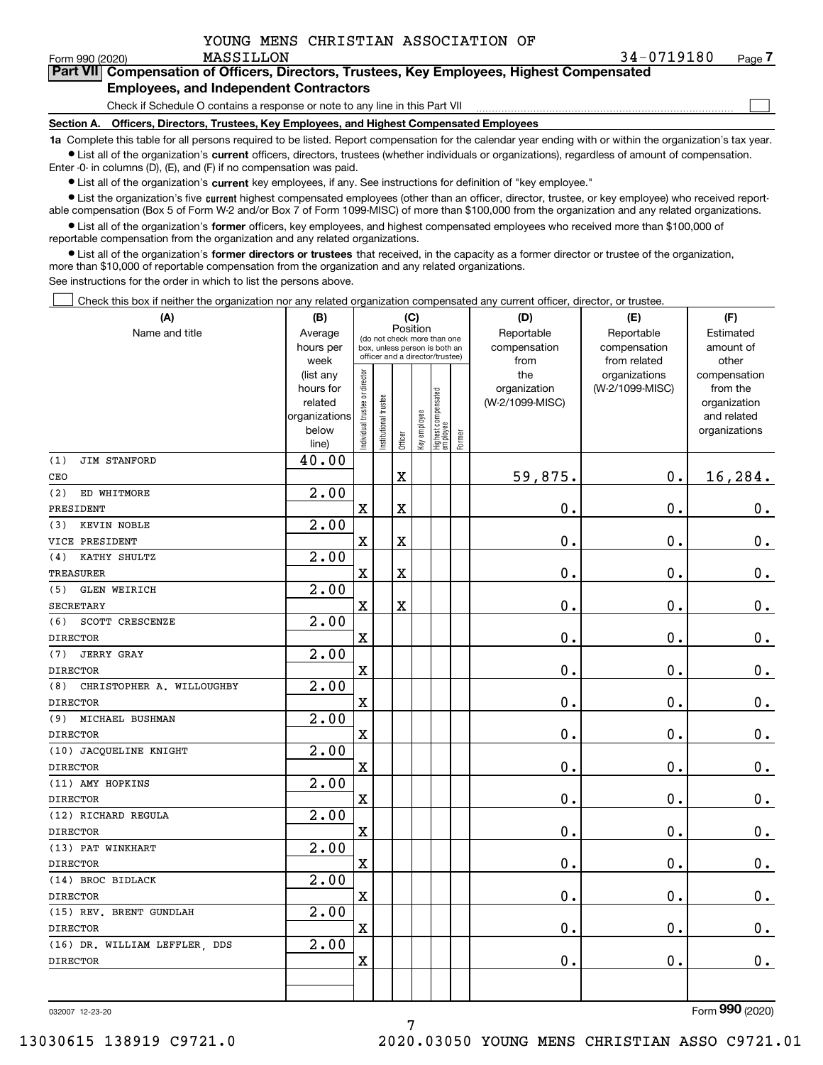| YOUNG MENS CHRISTIAN ASSOCIATION OF |  |
|-------------------------------------|--|
|-------------------------------------|--|

| Form 990 (2020) | MASSILLON                                                                                  | 34-0719180 | Page / |
|-----------------|--------------------------------------------------------------------------------------------|------------|--------|
|                 | Part VII Compensation of Officers, Directors, Trustees, Key Employees, Highest Compensated |            |        |
|                 | <b>Employees, and Independent Contractors</b>                                              |            |        |

Check if Schedule O contains a response or note to any line in this Part VII

**Section A. Officers, Directors, Trustees, Key Employees, and Highest Compensated Employees**

**1a**  Complete this table for all persons required to be listed. Report compensation for the calendar year ending with or within the organization's tax year. **•** List all of the organization's current officers, directors, trustees (whether individuals or organizations), regardless of amount of compensation.

 $\bullet$  List all of the organization's  $\,$ current key employees, if any. See instructions for definition of "key employee." Enter -0- in columns (D), (E), and (F) if no compensation was paid.

**•** List the organization's five current highest compensated employees (other than an officer, director, trustee, or key employee) who received reportable compensation (Box 5 of Form W-2 and/or Box 7 of Form 1099-MISC) of more than \$100,000 from the organization and any related organizations.

**•** List all of the organization's former officers, key employees, and highest compensated employees who received more than \$100,000 of reportable compensation from the organization and any related organizations.

**former directors or trustees**  ¥ List all of the organization's that received, in the capacity as a former director or trustee of the organization, more than \$10,000 of reportable compensation from the organization and any related organizations.

See instructions for the order in which to list the persons above.

Check this box if neither the organization nor any related organization compensated any current officer, director, or trustee.  $\mathcal{L}^{\text{max}}$ 

| (A)                              | (B)               | (C)                                     |                                                                  |                         |              |                                  |        | (D)                  | (E)                          | (F)                |  |  |  |
|----------------------------------|-------------------|-----------------------------------------|------------------------------------------------------------------|-------------------------|--------------|----------------------------------|--------|----------------------|------------------------------|--------------------|--|--|--|
| Name and title                   | Average           | Position<br>(do not check more than one |                                                                  |                         |              |                                  |        | Reportable           | Reportable                   | Estimated          |  |  |  |
|                                  | hours per<br>week |                                         | box, unless person is both an<br>officer and a director/trustee) |                         |              |                                  |        | compensation<br>from | compensation<br>from related | amount of<br>other |  |  |  |
|                                  | (list any         |                                         |                                                                  |                         |              |                                  |        | the                  | organizations                | compensation       |  |  |  |
|                                  | hours for         |                                         |                                                                  |                         |              |                                  |        | organization         | (W-2/1099-MISC)              | from the           |  |  |  |
|                                  | related           |                                         |                                                                  |                         |              |                                  |        | (W-2/1099-MISC)      |                              | organization       |  |  |  |
|                                  | organizations     |                                         |                                                                  |                         |              |                                  |        |                      |                              | and related        |  |  |  |
|                                  | below             | ndividual trustee or director           | nstitutional trustee                                             | Officer                 | Key employee | Highest compensated<br> employee | Former |                      |                              | organizations      |  |  |  |
| (1)<br><b>JIM STANFORD</b>       | line)<br>40.00    |                                         |                                                                  |                         |              |                                  |        |                      |                              |                    |  |  |  |
| CEO                              |                   |                                         |                                                                  | $\overline{\textbf{X}}$ |              |                                  |        | 59,875.              | 0.                           | 16,284.            |  |  |  |
| ED WHITMORE<br>(2)               | 2.00              |                                         |                                                                  |                         |              |                                  |        |                      |                              |                    |  |  |  |
| PRESIDENT                        |                   | $\overline{\text{X}}$                   |                                                                  | $\overline{\textbf{X}}$ |              |                                  |        | $\mathbf 0$ .        | $\mathbf 0$ .                | $0_{.}$            |  |  |  |
| KEVIN NOBLE<br>(3)               | 2.00              |                                         |                                                                  |                         |              |                                  |        |                      |                              |                    |  |  |  |
| VICE PRESIDENT                   |                   | $\mathbf X$                             |                                                                  | $\overline{\textbf{X}}$ |              |                                  |        | $\mathbf 0$ .        | $\mathbf 0$ .                | $\mathbf 0$ .      |  |  |  |
| KATHY SHULTZ<br>(4)              | 2.00              |                                         |                                                                  |                         |              |                                  |        |                      |                              |                    |  |  |  |
| <b>TREASURER</b>                 |                   | $\overline{\text{X}}$                   |                                                                  | $\overline{\textbf{X}}$ |              |                                  |        | $\mathbf 0$ .        | $\mathbf 0$ .                | $\mathbf 0$ .      |  |  |  |
| <b>GLEN WEIRICH</b><br>(5)       | 2.00              |                                         |                                                                  |                         |              |                                  |        |                      |                              |                    |  |  |  |
| <b>SECRETARY</b>                 |                   | $\mathbf X$                             |                                                                  | $\overline{\textbf{X}}$ |              |                                  |        | $\mathbf 0$ .        | $\mathbf 0$ .                | $\mathbf 0$ .      |  |  |  |
| (6)<br>SCOTT CRESCENZE           | 2.00              |                                         |                                                                  |                         |              |                                  |        |                      |                              |                    |  |  |  |
| <b>DIRECTOR</b>                  |                   | $\overline{\textbf{X}}$                 |                                                                  |                         |              |                                  |        | $\mathbf 0$ .        | $\mathbf 0$ .                | $\mathbf 0$ .      |  |  |  |
| (7)<br><b>JERRY GRAY</b>         | 2.00              |                                         |                                                                  |                         |              |                                  |        |                      |                              |                    |  |  |  |
| <b>DIRECTOR</b>                  |                   | $\rm X$                                 |                                                                  |                         |              |                                  |        | $\mathbf 0$ .        | $\mathbf 0$ .                | $\mathbf 0$ .      |  |  |  |
| CHRISTOPHER A. WILLOUGHBY<br>(8) | 2.00              |                                         |                                                                  |                         |              |                                  |        |                      |                              |                    |  |  |  |
| <b>DIRECTOR</b>                  |                   | $\overline{\textbf{X}}$                 |                                                                  |                         |              |                                  |        | $\mathbf 0$ .        | $\mathbf 0$ .                | $\mathbf 0$ .      |  |  |  |
| (9) MICHAEL BUSHMAN              | 2.00              |                                         |                                                                  |                         |              |                                  |        |                      |                              |                    |  |  |  |
| <b>DIRECTOR</b>                  |                   | $\rm X$                                 |                                                                  |                         |              |                                  |        | $\mathbf 0$ .        | $\mathbf 0$ .                | $\mathbf 0$ .      |  |  |  |
| (10) JACQUELINE KNIGHT           | 2.00              |                                         |                                                                  |                         |              |                                  |        |                      |                              |                    |  |  |  |
| <b>DIRECTOR</b>                  |                   | $\overline{\textbf{X}}$                 |                                                                  |                         |              |                                  |        | $\mathbf 0$ .        | $\mathbf 0$ .                | $0_{.}$            |  |  |  |
| (11) AMY HOPKINS                 | 2.00              |                                         |                                                                  |                         |              |                                  |        |                      |                              |                    |  |  |  |
| <b>DIRECTOR</b>                  |                   | $\rm X$                                 |                                                                  |                         |              |                                  |        | $\mathbf 0$ .        | $\mathbf 0$ .                | $\mathbf 0$ .      |  |  |  |
| (12) RICHARD REGULA              | 2.00              |                                         |                                                                  |                         |              |                                  |        |                      |                              |                    |  |  |  |
| <b>DIRECTOR</b>                  |                   | $\overline{\textbf{X}}$                 |                                                                  |                         |              |                                  |        | $\mathbf 0$ .        | $\mathbf 0$ .                | $\mathbf 0$ .      |  |  |  |
| (13) PAT WINKHART                | 2.00              |                                         |                                                                  |                         |              |                                  |        |                      |                              |                    |  |  |  |
| <b>DIRECTOR</b>                  |                   | $\rm X$                                 |                                                                  |                         |              |                                  |        | 0.                   | $\mathbf 0$ .                | 0.                 |  |  |  |
| (14) BROC BIDLACK                | 2.00              |                                         |                                                                  |                         |              |                                  |        |                      |                              |                    |  |  |  |
| <b>DIRECTOR</b>                  |                   | $\overline{\textbf{X}}$                 |                                                                  |                         |              |                                  |        | $\mathbf 0$ .        | $\mathbf 0$ .                | $0_{.}$            |  |  |  |
| (15) REV. BRENT GUNDLAH          | 2.00              |                                         |                                                                  |                         |              |                                  |        |                      |                              |                    |  |  |  |
| <b>DIRECTOR</b>                  |                   | $\rm X$                                 |                                                                  |                         |              |                                  |        | $\mathbf 0$ .        | $\mathbf 0$ .                | $\mathbf 0$ .      |  |  |  |
| (16) DR. WILLIAM LEFFLER, DDS    | 2.00              |                                         |                                                                  |                         |              |                                  |        |                      |                              |                    |  |  |  |
| <b>DIRECTOR</b>                  |                   | X                                       |                                                                  |                         |              |                                  |        | 0.                   | 0.                           | $\mathbf 0$ .      |  |  |  |
|                                  |                   |                                         |                                                                  |                         |              |                                  |        |                      |                              |                    |  |  |  |
|                                  |                   |                                         |                                                                  |                         |              |                                  |        |                      |                              |                    |  |  |  |

032007 12-23-20

Form (2020) **990**

 $\mathcal{L}^{\text{max}}$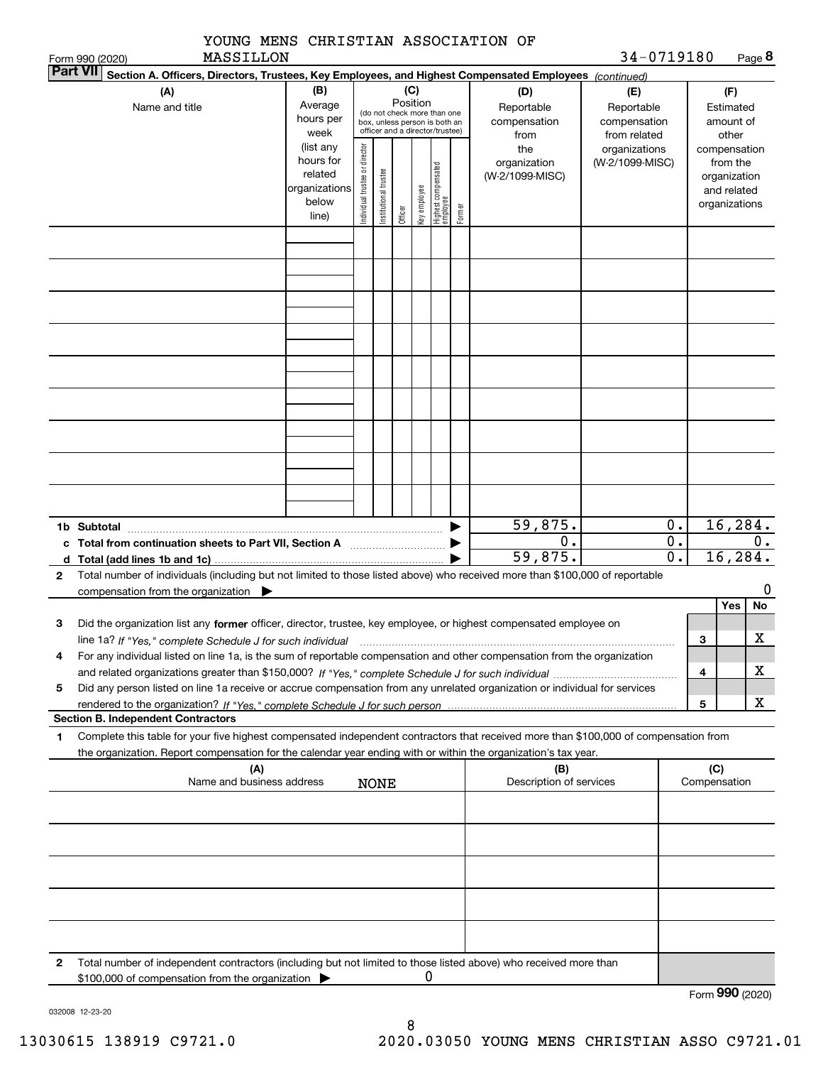|                 | YOUNG MENS CHRISTIAN ASSOCIATION OF<br>MASSILLON                                                                                                                                                                                                                          |                                                                      |                                                                                                                                                                 |                       |         |              |                                 |        |                                        | 34-0719180                                        |                                      |                 | Page 8                                                                   |    |
|-----------------|---------------------------------------------------------------------------------------------------------------------------------------------------------------------------------------------------------------------------------------------------------------------------|----------------------------------------------------------------------|-----------------------------------------------------------------------------------------------------------------------------------------------------------------|-----------------------|---------|--------------|---------------------------------|--------|----------------------------------------|---------------------------------------------------|--------------------------------------|-----------------|--------------------------------------------------------------------------|----|
| <b>Part VII</b> | Form 990 (2020)<br>Section A. Officers, Directors, Trustees, Key Employees, and Highest Compensated Employees (continued)                                                                                                                                                 |                                                                      |                                                                                                                                                                 |                       |         |              |                                 |        |                                        |                                                   |                                      |                 |                                                                          |    |
|                 | (A)<br>Name and title                                                                                                                                                                                                                                                     | (B)<br>Average<br>hours per<br>week                                  | (C)<br>(D)<br>Position<br>Reportable<br>(do not check more than one<br>compensation<br>box, unless person is both an<br>officer and a director/trustee)<br>from |                       |         |              |                                 |        |                                        | (E)<br>Reportable<br>compensation<br>from related |                                      |                 | (F)<br>Estimated<br>amount of<br>other                                   |    |
|                 |                                                                                                                                                                                                                                                                           | (list any<br>hours for<br>related<br>organizations<br>below<br>line) | Individual trustee or director                                                                                                                                  | Institutional trustee | Officer | Key employee | Highest compensated<br>employee | Former | the<br>organization<br>(W-2/1099-MISC) | organizations<br>(W-2/1099-MISC)                  |                                      |                 | compensation<br>from the<br>organization<br>and related<br>organizations |    |
|                 |                                                                                                                                                                                                                                                                           |                                                                      |                                                                                                                                                                 |                       |         |              |                                 |        |                                        |                                                   |                                      |                 |                                                                          |    |
|                 |                                                                                                                                                                                                                                                                           |                                                                      |                                                                                                                                                                 |                       |         |              |                                 |        |                                        |                                                   |                                      |                 |                                                                          |    |
|                 |                                                                                                                                                                                                                                                                           |                                                                      |                                                                                                                                                                 |                       |         |              |                                 |        |                                        |                                                   |                                      |                 |                                                                          |    |
|                 |                                                                                                                                                                                                                                                                           |                                                                      |                                                                                                                                                                 |                       |         |              |                                 |        |                                        |                                                   |                                      |                 |                                                                          |    |
|                 |                                                                                                                                                                                                                                                                           |                                                                      |                                                                                                                                                                 |                       |         |              |                                 |        |                                        |                                                   |                                      |                 |                                                                          |    |
|                 | 1b Subtotal                                                                                                                                                                                                                                                               |                                                                      |                                                                                                                                                                 |                       |         |              |                                 |        | 59,875.                                |                                                   | 0.                                   |                 | 16, 284.                                                                 |    |
|                 | c Total from continuation sheets to Part VII, Section A [11, 11] [11] Total from continuation sheets to Part VII, Section A                                                                                                                                               |                                                                      |                                                                                                                                                                 |                       |         |              |                                 |        | 0.<br>59,875.                          |                                                   | $\overline{0}$ .<br>$\overline{0}$ . |                 | 16, 284.                                                                 | 0. |
| 2               | d Total (add lines 1b and 1c).<br>Total number of individuals (including but not limited to those listed above) who received more than \$100,000 of reportable                                                                                                            |                                                                      |                                                                                                                                                                 |                       |         |              |                                 |        |                                        |                                                   |                                      |                 |                                                                          |    |
|                 | compensation from the organization $\blacktriangleright$                                                                                                                                                                                                                  |                                                                      |                                                                                                                                                                 |                       |         |              |                                 |        |                                        |                                                   |                                      |                 |                                                                          | 0  |
|                 |                                                                                                                                                                                                                                                                           |                                                                      |                                                                                                                                                                 |                       |         |              |                                 |        |                                        |                                                   |                                      |                 | Yes                                                                      | No |
| 3               | Did the organization list any former officer, director, trustee, key employee, or highest compensated employee on<br>line 1a? If "Yes," complete Schedule J for such individual manufactured contained and the line 1a? If "Yes," complete Schedule J for such individual |                                                                      |                                                                                                                                                                 |                       |         |              |                                 |        |                                        |                                                   |                                      | 3               |                                                                          | X  |
| 4               | For any individual listed on line 1a, is the sum of reportable compensation and other compensation from the organization                                                                                                                                                  |                                                                      |                                                                                                                                                                 |                       |         |              |                                 |        |                                        |                                                   |                                      |                 |                                                                          |    |
|                 |                                                                                                                                                                                                                                                                           |                                                                      |                                                                                                                                                                 |                       |         |              |                                 |        |                                        |                                                   |                                      | 4               |                                                                          | x. |
| 5               | Did any person listed on line 1a receive or accrue compensation from any unrelated organization or individual for services                                                                                                                                                |                                                                      |                                                                                                                                                                 |                       |         |              |                                 |        |                                        |                                                   |                                      | 5               |                                                                          | x  |
|                 | <b>Section B. Independent Contractors</b>                                                                                                                                                                                                                                 |                                                                      |                                                                                                                                                                 |                       |         |              |                                 |        |                                        |                                                   |                                      |                 |                                                                          |    |
| 1               | Complete this table for your five highest compensated independent contractors that received more than \$100,000 of compensation from                                                                                                                                      |                                                                      |                                                                                                                                                                 |                       |         |              |                                 |        |                                        |                                                   |                                      |                 |                                                                          |    |
|                 | the organization. Report compensation for the calendar year ending with or within the organization's tax year.<br>(A)                                                                                                                                                     |                                                                      |                                                                                                                                                                 |                       |         |              |                                 |        | (B)                                    |                                                   |                                      | (C)             |                                                                          |    |
|                 | Name and business address                                                                                                                                                                                                                                                 |                                                                      |                                                                                                                                                                 | <b>NONE</b>           |         |              |                                 |        | Description of services                |                                                   |                                      | Compensation    |                                                                          |    |
|                 |                                                                                                                                                                                                                                                                           |                                                                      |                                                                                                                                                                 |                       |         |              |                                 |        |                                        |                                                   |                                      |                 |                                                                          |    |
|                 |                                                                                                                                                                                                                                                                           |                                                                      |                                                                                                                                                                 |                       |         |              |                                 |        |                                        |                                                   |                                      |                 |                                                                          |    |
|                 |                                                                                                                                                                                                                                                                           |                                                                      |                                                                                                                                                                 |                       |         |              |                                 |        |                                        |                                                   |                                      |                 |                                                                          |    |
|                 |                                                                                                                                                                                                                                                                           |                                                                      |                                                                                                                                                                 |                       |         |              |                                 |        |                                        |                                                   |                                      |                 |                                                                          |    |
|                 |                                                                                                                                                                                                                                                                           |                                                                      |                                                                                                                                                                 |                       |         |              |                                 |        |                                        |                                                   |                                      |                 |                                                                          |    |
| 2               | Total number of independent contractors (including but not limited to those listed above) who received more than<br>\$100,000 of compensation from the organization                                                                                                       |                                                                      |                                                                                                                                                                 |                       |         | 0            |                                 |        |                                        |                                                   |                                      |                 |                                                                          |    |
|                 |                                                                                                                                                                                                                                                                           |                                                                      |                                                                                                                                                                 |                       |         |              |                                 |        |                                        |                                                   |                                      | Form 990 (2020) |                                                                          |    |

032008 12-23-20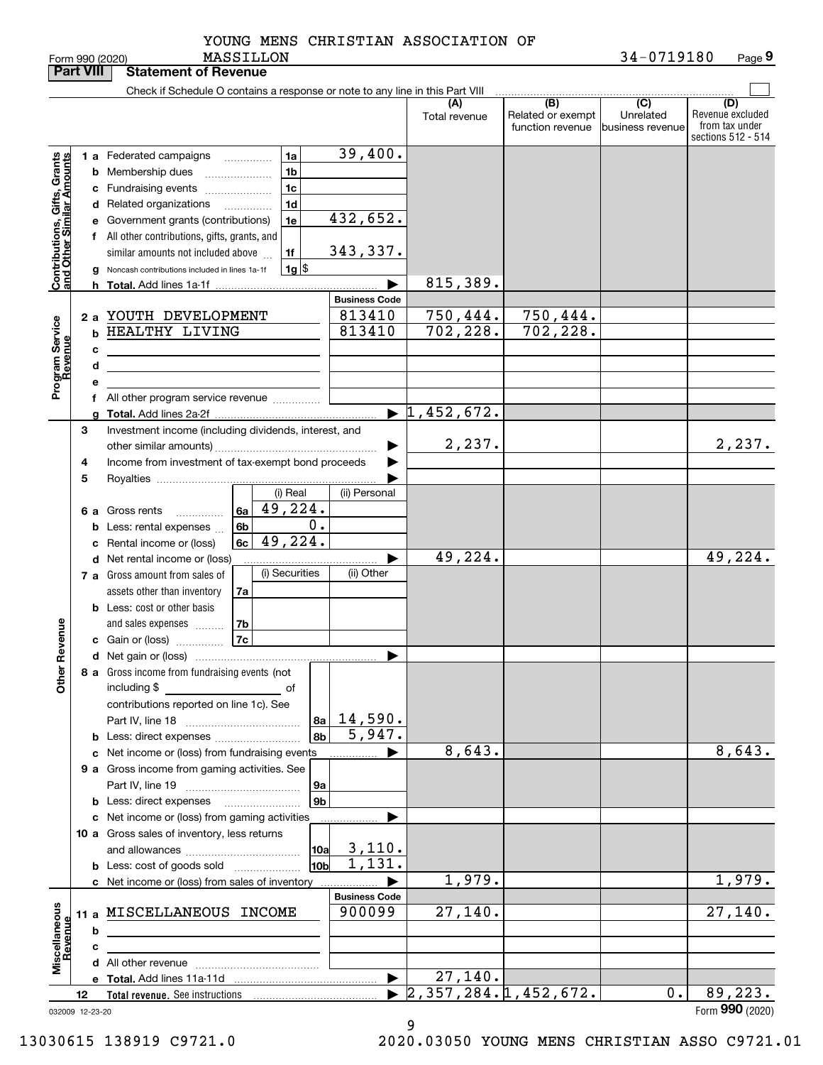**Part VIII Statement of Revenue**

|                                                           |    |   | Check if Schedule O contains a response or note to any line in this Part VIII                                        |                       |                                  |                                              |                                      |                                                                 |
|-----------------------------------------------------------|----|---|----------------------------------------------------------------------------------------------------------------------|-----------------------|----------------------------------|----------------------------------------------|--------------------------------------|-----------------------------------------------------------------|
|                                                           |    |   |                                                                                                                      |                       | (A)<br>Total revenue             | (B)<br>Related or exempt<br>function revenue | (C)<br>Unrelated<br>business revenue | (D)<br>Revenue excluded<br>from tax under<br>sections 512 - 514 |
|                                                           |    |   |                                                                                                                      | 39,400.               |                                  |                                              |                                      |                                                                 |
|                                                           |    |   | 1a<br>1 a Federated campaigns                                                                                        |                       |                                  |                                              |                                      |                                                                 |
|                                                           |    |   | 1 <sub>b</sub><br><b>b</b> Membership dues                                                                           |                       |                                  |                                              |                                      |                                                                 |
|                                                           |    |   | 1 <sub>c</sub><br>c Fundraising events                                                                               |                       |                                  |                                              |                                      |                                                                 |
| Contributions, Gifts, Grants<br>and Other Similar Amounts |    |   | 1 <sub>d</sub><br>d Related organizations                                                                            |                       |                                  |                                              |                                      |                                                                 |
|                                                           |    |   | 1e<br>e Government grants (contributions)                                                                            | 432,652.              |                                  |                                              |                                      |                                                                 |
|                                                           |    |   | f All other contributions, gifts, grants, and                                                                        |                       |                                  |                                              |                                      |                                                                 |
|                                                           |    |   | similar amounts not included above<br>1f                                                                             | 343,337.              |                                  |                                              |                                      |                                                                 |
|                                                           |    |   | $1g$ $\frac{1}{3}$<br>g Noncash contributions included in lines 1a-1f                                                |                       |                                  |                                              |                                      |                                                                 |
|                                                           |    |   |                                                                                                                      |                       | 815, 389.                        |                                              |                                      |                                                                 |
|                                                           |    |   |                                                                                                                      | <b>Business Code</b>  |                                  |                                              |                                      |                                                                 |
|                                                           |    |   | 2 a YOUTH DEVELOPMENT                                                                                                | 813410                | 750,444.                         | 750,444.                                     |                                      |                                                                 |
|                                                           |    |   | <b>b HEALTHY LIVING</b>                                                                                              | 813410                | 702,228.                         | 702, 228.                                    |                                      |                                                                 |
|                                                           |    |   |                                                                                                                      |                       |                                  |                                              |                                      |                                                                 |
| Program Service<br>Revenue                                |    | с |                                                                                                                      |                       |                                  |                                              |                                      |                                                                 |
|                                                           |    | d |                                                                                                                      |                       |                                  |                                              |                                      |                                                                 |
|                                                           |    | е |                                                                                                                      |                       |                                  |                                              |                                      |                                                                 |
|                                                           |    |   | f All other program service revenue                                                                                  |                       |                                  |                                              |                                      |                                                                 |
|                                                           |    |   |                                                                                                                      |                       | $\blacktriangleright$ 1,452,672. |                                              |                                      |                                                                 |
|                                                           | З  |   | Investment income (including dividends, interest, and                                                                |                       |                                  |                                              |                                      |                                                                 |
|                                                           |    |   |                                                                                                                      |                       | 2,237.                           |                                              |                                      | 2,237.                                                          |
|                                                           | 4  |   | Income from investment of tax-exempt bond proceeds                                                                   |                       |                                  |                                              |                                      |                                                                 |
|                                                           | 5  |   |                                                                                                                      |                       |                                  |                                              |                                      |                                                                 |
|                                                           |    |   | (i) Real                                                                                                             | (ii) Personal         |                                  |                                              |                                      |                                                                 |
|                                                           |    |   | 49,224.<br>6a<br>6 a Gross rents                                                                                     |                       |                                  |                                              |                                      |                                                                 |
|                                                           |    |   | 0.<br>6b<br><b>b</b> Less: rental expenses                                                                           |                       |                                  |                                              |                                      |                                                                 |
|                                                           |    |   | $\overline{49,224}$ .<br>6c<br>c Rental income or (loss)                                                             |                       |                                  |                                              |                                      |                                                                 |
|                                                           |    |   | d Net rental income or (loss)                                                                                        |                       | 49,224.                          |                                              |                                      | 49,224.                                                         |
|                                                           |    |   | (i) Securities<br>7 a Gross amount from sales of                                                                     | (ii) Other            |                                  |                                              |                                      |                                                                 |
|                                                           |    |   | assets other than inventory<br>7a                                                                                    |                       |                                  |                                              |                                      |                                                                 |
|                                                           |    |   | <b>b</b> Less: cost or other basis                                                                                   |                       |                                  |                                              |                                      |                                                                 |
|                                                           |    |   | 7b<br>and sales expenses                                                                                             |                       |                                  |                                              |                                      |                                                                 |
|                                                           |    |   | <b>7c</b>                                                                                                            |                       |                                  |                                              |                                      |                                                                 |
|                                                           |    |   | <b>c</b> Gain or (loss)                                                                                              |                       |                                  |                                              |                                      |                                                                 |
| ther Revenue                                              |    |   |                                                                                                                      |                       |                                  |                                              |                                      |                                                                 |
|                                                           |    |   | 8 a Gross income from fundraising events (not                                                                        |                       |                                  |                                              |                                      |                                                                 |
| o                                                         |    |   |                                                                                                                      |                       |                                  |                                              |                                      |                                                                 |
|                                                           |    |   | contributions reported on line 1c). See                                                                              |                       |                                  |                                              |                                      |                                                                 |
|                                                           |    |   | 8a                                                                                                                   | 14,590.               |                                  |                                              |                                      |                                                                 |
|                                                           |    |   | 8b<br><b>b</b> Less: direct expenses                                                                                 | 5,947.                |                                  |                                              |                                      |                                                                 |
|                                                           |    |   | c Net income or (loss) from fundraising events                                                                       |                       | 8,643.                           |                                              |                                      | 8,643.                                                          |
|                                                           |    |   | 9 a Gross income from gaming activities. See                                                                         |                       |                                  |                                              |                                      |                                                                 |
|                                                           |    |   | <b>9a</b>                                                                                                            |                       |                                  |                                              |                                      |                                                                 |
|                                                           |    |   | 9 <sub>b</sub><br><b>b</b> Less: direct expenses                                                                     |                       |                                  |                                              |                                      |                                                                 |
|                                                           |    |   | c Net income or (loss) from gaming activities                                                                        |                       |                                  |                                              |                                      |                                                                 |
|                                                           |    |   | 10 a Gross sales of inventory, less returns                                                                          |                       |                                  |                                              |                                      |                                                                 |
|                                                           |    |   | 10a                                                                                                                  | 3,110.                |                                  |                                              |                                      |                                                                 |
|                                                           |    |   | 10 <sub>b</sub><br><b>b</b> Less: cost of goods sold                                                                 | 1,131.                |                                  |                                              |                                      |                                                                 |
|                                                           |    |   | c Net income or (loss) from sales of inventory                                                                       |                       | 1,979.                           |                                              |                                      | 1,979.                                                          |
|                                                           |    |   |                                                                                                                      | <b>Business Code</b>  |                                  |                                              |                                      |                                                                 |
|                                                           |    |   | 11 a MISCELLANEOUS INCOME                                                                                            | 900099                | 27,140.                          |                                              |                                      | 27,140.                                                         |
|                                                           |    | b |                                                                                                                      |                       |                                  |                                              |                                      |                                                                 |
|                                                           |    |   | <u> 1989 - Johann Barbara, martin amerikan basal dan berasal dan berasal dalam basal dan berasal dan berasal dan</u> |                       |                                  |                                              |                                      |                                                                 |
| Miscellaneous<br>Revenue                                  |    | с |                                                                                                                      |                       |                                  |                                              |                                      |                                                                 |
|                                                           |    |   |                                                                                                                      |                       | 27,140.                          |                                              |                                      |                                                                 |
|                                                           |    |   |                                                                                                                      | $\blacktriangleright$ | 2, 357, 284.1, 452, 672.         |                                              | $0$ .                                | 89,223.                                                         |
|                                                           | 12 |   |                                                                                                                      |                       |                                  |                                              |                                      | Form 990 (2020)                                                 |
| 032009 12-23-20                                           |    |   |                                                                                                                      |                       |                                  |                                              |                                      |                                                                 |

9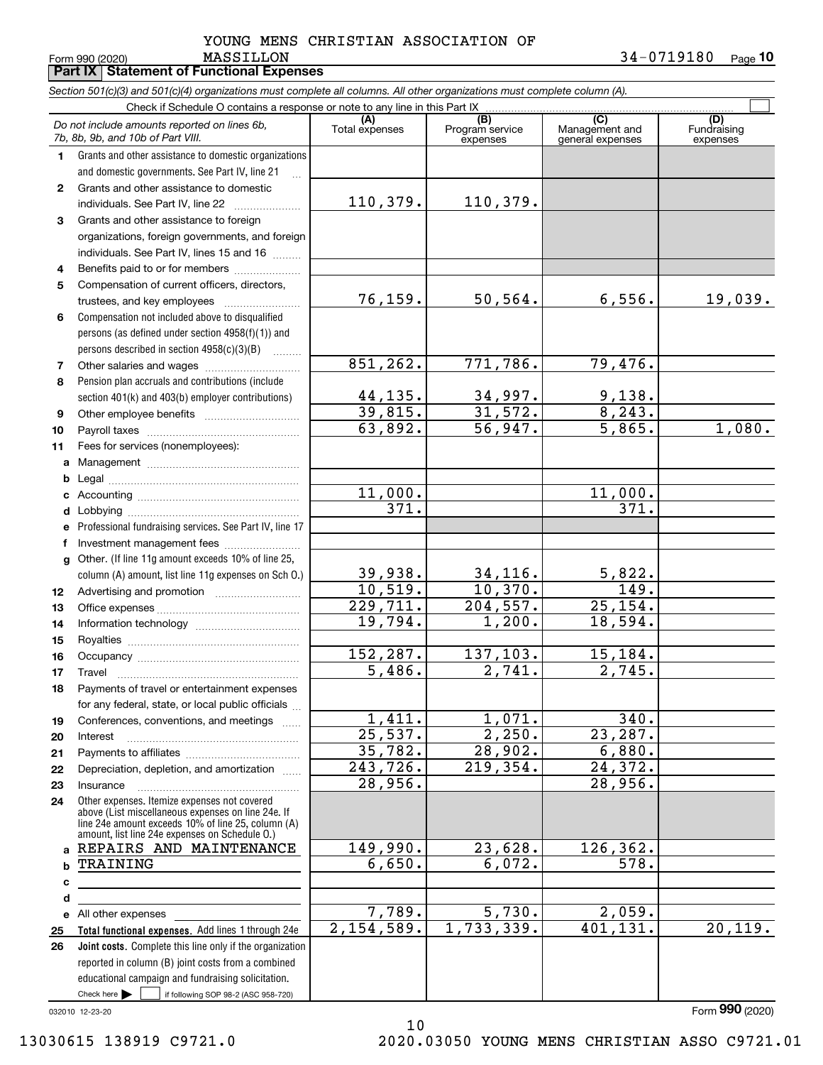**10**

MASSILLON 34-0719180

|              | Form 990 (2020)<br><b>MASSILLON</b><br><b>Part IX   Statement of Functional Expenses</b>                                                                                                                   |                       |                                    |                                           | 34-0719180<br>Page 10          |
|--------------|------------------------------------------------------------------------------------------------------------------------------------------------------------------------------------------------------------|-----------------------|------------------------------------|-------------------------------------------|--------------------------------|
|              | Section 501(c)(3) and 501(c)(4) organizations must complete all columns. All other organizations must complete column (A).                                                                                 |                       |                                    |                                           |                                |
|              | Check if Schedule O contains a response or note to any line in this Part IX                                                                                                                                |                       |                                    |                                           |                                |
|              | Do not include amounts reported on lines 6b,<br>7b, 8b, 9b, and 10b of Part VIII.                                                                                                                          | (A)<br>Total expenses | (B)<br>Program service<br>expenses | (C)<br>Management and<br>general expenses | (D)<br>Fundraising<br>expenses |
| 1            | Grants and other assistance to domestic organizations                                                                                                                                                      |                       |                                    |                                           |                                |
|              | and domestic governments. See Part IV, line 21                                                                                                                                                             |                       |                                    |                                           |                                |
| $\mathbf{2}$ | Grants and other assistance to domestic                                                                                                                                                                    |                       |                                    |                                           |                                |
|              |                                                                                                                                                                                                            | 110,379.              | 110,379.                           |                                           |                                |
| 3            | Grants and other assistance to foreign                                                                                                                                                                     |                       |                                    |                                           |                                |
|              | organizations, foreign governments, and foreign                                                                                                                                                            |                       |                                    |                                           |                                |
|              | individuals. See Part IV, lines 15 and 16                                                                                                                                                                  |                       |                                    |                                           |                                |
| 4            | Benefits paid to or for members                                                                                                                                                                            |                       |                                    |                                           |                                |
| 5            | Compensation of current officers, directors,                                                                                                                                                               |                       |                                    |                                           |                                |
|              |                                                                                                                                                                                                            | 76,159.               | 50, 564.                           | 6,556.                                    | 19,039.                        |
| 6            | Compensation not included above to disqualified                                                                                                                                                            |                       |                                    |                                           |                                |
|              | persons (as defined under section 4958(f)(1)) and                                                                                                                                                          |                       |                                    |                                           |                                |
|              | persons described in section 4958(c)(3)(B)                                                                                                                                                                 | 851, 262.             |                                    |                                           |                                |
| 7            |                                                                                                                                                                                                            |                       | 771,786.                           | 79,476.                                   |                                |
| 8            | Pension plan accruals and contributions (include                                                                                                                                                           |                       | 34,997.                            |                                           |                                |
|              | section 401(k) and 403(b) employer contributions)                                                                                                                                                          | 44,135.<br>39,815.    | 31,572.                            | 9,138.<br>8, 243.                         |                                |
| 9            |                                                                                                                                                                                                            | 63,892.               | 56,947.                            | $\overline{5,865}$ .                      | 1,080.                         |
| 10           |                                                                                                                                                                                                            |                       |                                    |                                           |                                |
| 11           | Fees for services (nonemployees):                                                                                                                                                                          |                       |                                    |                                           |                                |
|              |                                                                                                                                                                                                            |                       |                                    |                                           |                                |
| b            |                                                                                                                                                                                                            | 11,000.               |                                    | 11,000.                                   |                                |
|              |                                                                                                                                                                                                            | 371.                  |                                    | 371.                                      |                                |
|              | e Professional fundraising services. See Part IV, line 17                                                                                                                                                  |                       |                                    |                                           |                                |
| f            | Investment management fees                                                                                                                                                                                 |                       |                                    |                                           |                                |
|              | g Other. (If line 11g amount exceeds 10% of line 25,                                                                                                                                                       |                       |                                    |                                           |                                |
|              | column (A) amount, list line 11g expenses on Sch O.)                                                                                                                                                       | 39,938.               | 34, 116.                           | 5,822.                                    |                                |
| 12           |                                                                                                                                                                                                            | 10,519.               | 10,370.                            | 149.                                      |                                |
| 13           |                                                                                                                                                                                                            | 229,711.              | 204,557.                           | 25, 154.                                  |                                |
| 14           |                                                                                                                                                                                                            | 19,794.               | 1,200.                             | 18,594.                                   |                                |
| 15           |                                                                                                                                                                                                            |                       |                                    |                                           |                                |
| 16           | Occupancy                                                                                                                                                                                                  | 152,287.              | 137,103.                           | 15, 184.                                  |                                |
| 17           |                                                                                                                                                                                                            | 5,486.                | 2,741.                             | 2,745.                                    |                                |
| 18           | Payments of travel or entertainment expenses                                                                                                                                                               |                       |                                    |                                           |                                |
|              | for any federal, state, or local public officials                                                                                                                                                          |                       |                                    |                                           |                                |
| 19           | Conferences, conventions, and meetings                                                                                                                                                                     | 1,411.                | 1,071.                             | 340.                                      |                                |
| 20           | Interest                                                                                                                                                                                                   | 25,537.               | 2,250.                             | 23,287.                                   |                                |
| 21           |                                                                                                                                                                                                            | 35,782.               | 28,902.                            | 6,880.                                    |                                |
| 22           | Depreciation, depletion, and amortization                                                                                                                                                                  | 243,726.              | 219,354.                           | 24,372.                                   |                                |
| 23           |                                                                                                                                                                                                            | 28,956.               |                                    | 28,956.                                   |                                |
| 24           | Other expenses. Itemize expenses not covered<br>above (List miscellaneous expenses on line 24e. If<br>line 24e amount exceeds 10% of line 25, column (A)<br>amount, list line 24e expenses on Schedule O.) |                       |                                    |                                           |                                |
| a            | REPAIRS AND MAINTENANCE                                                                                                                                                                                    | 149,990.              | 23,628.                            | 126,362.                                  |                                |
| b            | TRAINING                                                                                                                                                                                                   | 6,650.                | 6,072.                             | 578.                                      |                                |
| c            |                                                                                                                                                                                                            |                       |                                    |                                           |                                |
| d            |                                                                                                                                                                                                            |                       |                                    |                                           |                                |
|              | e All other expenses                                                                                                                                                                                       | 7,789.                | 5,730.                             | 2,059.                                    |                                |
| 25           | Total functional expenses. Add lines 1 through 24e                                                                                                                                                         | 2,154,589.            | 1,733,339.                         | 401, 131.                                 | 20, 119.                       |
| 26           | Joint costs. Complete this line only if the organization                                                                                                                                                   |                       |                                    |                                           |                                |
|              | reported in column (B) joint costs from a combined                                                                                                                                                         |                       |                                    |                                           |                                |
|              | educational campaign and fundraising solicitation.                                                                                                                                                         |                       |                                    |                                           |                                |

10

032010 12-23-20

Check here

Form (2020) **990**

 $\mathcal{L}^{\text{max}}$ 

if following SOP 98-2 (ASC 958-720)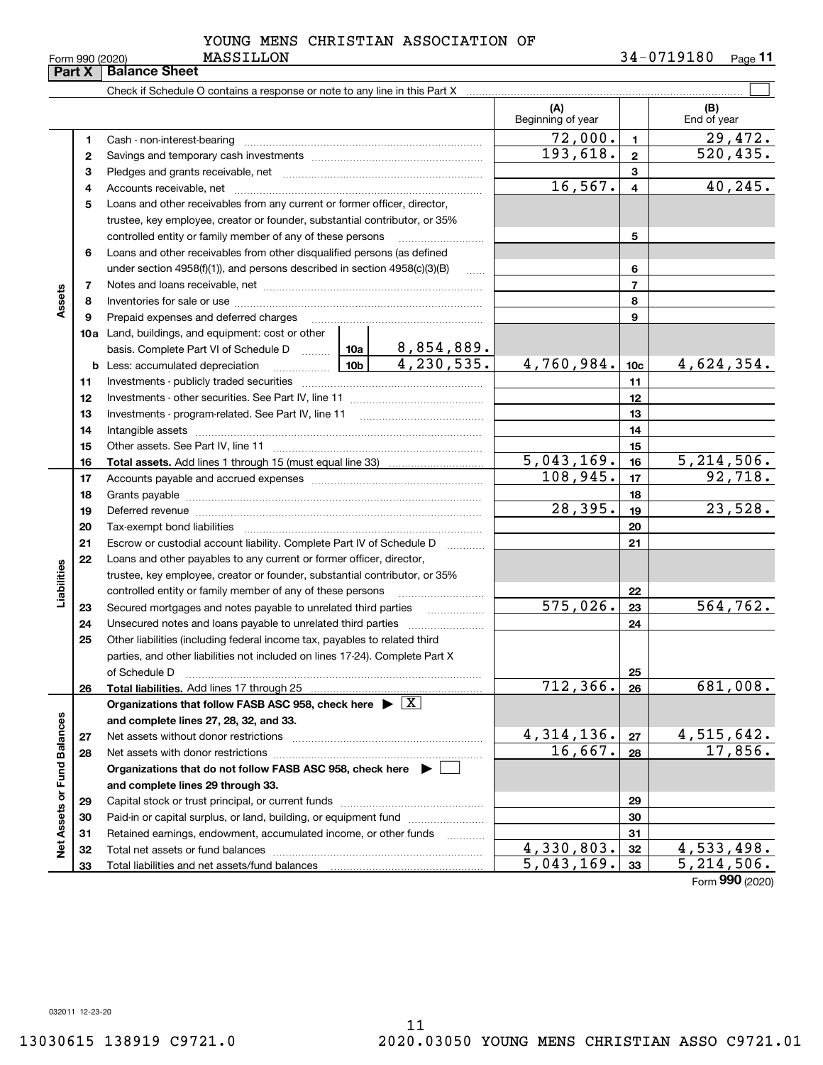**33**

Total liabilities and net assets/fund balances

**33**

 $5,043,169.$   $33$  5, 214, 506.

Form (2020) **990**

YOUNG MENS CHRISTIAN ASSOCIATION OF

**Part X** | Balance Sheet

Check if Schedule O contains a response or note to any line in this Part X

|                          | 1  | Cash - non-interest-bearing                                                                                                                                                                                                    |          | $\begin{minipage}{0.5\textwidth} \begin{tabular}{ l l l } \hline & \multicolumn{1}{ l l } \hline & \multicolumn{1}{ l } \multicolumn{1}{ l } \multicolumn{1}{ l } \multicolumn{1}{ l } \multicolumn{1}{ l } \multicolumn{1}{ l } \multicolumn{1}{ l } \multicolumn{1}{ l } \multicolumn{1}{ l } \multicolumn{1}{ l } \multicolumn{1}{ l } \multicolumn{1}{ l } \multicolumn{1}{ l } \multicolumn{1}{ l } \multicolumn{1}{ l } \multicolumn{1$ | 72,000.      | $\mathbf{1}$    | 29,472.      |
|--------------------------|----|--------------------------------------------------------------------------------------------------------------------------------------------------------------------------------------------------------------------------------|----------|-----------------------------------------------------------------------------------------------------------------------------------------------------------------------------------------------------------------------------------------------------------------------------------------------------------------------------------------------------------------------------------------------------------------------------------------------|--------------|-----------------|--------------|
|                          | 2  |                                                                                                                                                                                                                                |          |                                                                                                                                                                                                                                                                                                                                                                                                                                               | 193,618.     | $\overline{2}$  | 520, 435.    |
|                          | з  |                                                                                                                                                                                                                                |          |                                                                                                                                                                                                                                                                                                                                                                                                                                               |              | 3               |              |
|                          | 4  |                                                                                                                                                                                                                                | 16, 567. | $\overline{4}$                                                                                                                                                                                                                                                                                                                                                                                                                                | 40, 245.     |                 |              |
|                          | 5  | Loans and other receivables from any current or former officer, director,                                                                                                                                                      |          |                                                                                                                                                                                                                                                                                                                                                                                                                                               |              |                 |              |
|                          |    | trustee, key employee, creator or founder, substantial contributor, or 35%                                                                                                                                                     |          |                                                                                                                                                                                                                                                                                                                                                                                                                                               |              |                 |              |
|                          |    | controlled entity or family member of any of these persons                                                                                                                                                                     |          |                                                                                                                                                                                                                                                                                                                                                                                                                                               |              | 5               |              |
|                          | 6  | Loans and other receivables from other disqualified persons (as defined                                                                                                                                                        |          |                                                                                                                                                                                                                                                                                                                                                                                                                                               |              |                 |              |
|                          |    | under section $4958(f)(1)$ , and persons described in section $4958(c)(3)(B)$                                                                                                                                                  |          | $\ldots$                                                                                                                                                                                                                                                                                                                                                                                                                                      |              | 6               |              |
|                          | 7  |                                                                                                                                                                                                                                |          |                                                                                                                                                                                                                                                                                                                                                                                                                                               |              | $\overline{7}$  |              |
| Assets                   | 8  |                                                                                                                                                                                                                                |          |                                                                                                                                                                                                                                                                                                                                                                                                                                               |              | 8               |              |
|                          | 9  | Prepaid expenses and deferred charges                                                                                                                                                                                          |          |                                                                                                                                                                                                                                                                                                                                                                                                                                               |              | 9               |              |
|                          |    | <b>10a</b> Land, buildings, and equipment: cost or other                                                                                                                                                                       |          |                                                                                                                                                                                                                                                                                                                                                                                                                                               |              |                 |              |
|                          |    | basis. Complete Part VI of Schedule D  10a                                                                                                                                                                                     |          | 8,854,889.                                                                                                                                                                                                                                                                                                                                                                                                                                    |              |                 |              |
|                          |    | <u>  10b</u><br><b>b</b> Less: accumulated depreciation                                                                                                                                                                        |          | 4, 230, 535.                                                                                                                                                                                                                                                                                                                                                                                                                                  | 4,760,984.   | 10 <sub>c</sub> | 4,624,354.   |
|                          | 11 |                                                                                                                                                                                                                                |          |                                                                                                                                                                                                                                                                                                                                                                                                                                               |              | 11              |              |
|                          | 12 |                                                                                                                                                                                                                                |          |                                                                                                                                                                                                                                                                                                                                                                                                                                               |              | 12              |              |
|                          | 13 |                                                                                                                                                                                                                                |          |                                                                                                                                                                                                                                                                                                                                                                                                                                               |              | 13              |              |
|                          | 14 |                                                                                                                                                                                                                                |          |                                                                                                                                                                                                                                                                                                                                                                                                                                               |              | 14              |              |
|                          | 15 |                                                                                                                                                                                                                                |          |                                                                                                                                                                                                                                                                                                                                                                                                                                               |              | 15              |              |
|                          | 16 |                                                                                                                                                                                                                                |          |                                                                                                                                                                                                                                                                                                                                                                                                                                               | 5,043,169.   | 16              | 5, 214, 506. |
|                          | 17 |                                                                                                                                                                                                                                |          | 108,945.                                                                                                                                                                                                                                                                                                                                                                                                                                      | 17           | 92,718.         |              |
|                          | 18 |                                                                                                                                                                                                                                |          | 18                                                                                                                                                                                                                                                                                                                                                                                                                                            |              |                 |              |
|                          | 19 | Deferred revenue imminimum contracts and all the contracts and all the contracts and all the contracts are contracted and all the contracts are contracted and all the contracts are contracted and contract are contracted an | 28, 395. | 19                                                                                                                                                                                                                                                                                                                                                                                                                                            | 23,528.      |                 |              |
|                          | 20 |                                                                                                                                                                                                                                |          | 20                                                                                                                                                                                                                                                                                                                                                                                                                                            |              |                 |              |
|                          | 21 | Escrow or custodial account liability. Complete Part IV of Schedule D                                                                                                                                                          |          | 1.1.1.1.1.1.1.1.1.1                                                                                                                                                                                                                                                                                                                                                                                                                           |              | 21              |              |
|                          | 22 | Loans and other payables to any current or former officer, director,                                                                                                                                                           |          |                                                                                                                                                                                                                                                                                                                                                                                                                                               |              |                 |              |
| Liabilities              |    | trustee, key employee, creator or founder, substantial contributor, or 35%                                                                                                                                                     |          |                                                                                                                                                                                                                                                                                                                                                                                                                                               |              |                 |              |
|                          |    | controlled entity or family member of any of these persons                                                                                                                                                                     |          |                                                                                                                                                                                                                                                                                                                                                                                                                                               | 575,026.     | 22              | 564, 762.    |
|                          | 23 | Secured mortgages and notes payable to unrelated third parties                                                                                                                                                                 |          |                                                                                                                                                                                                                                                                                                                                                                                                                                               |              | 23              |              |
|                          | 24 |                                                                                                                                                                                                                                |          |                                                                                                                                                                                                                                                                                                                                                                                                                                               |              | 24              |              |
|                          | 25 | Other liabilities (including federal income tax, payables to related third                                                                                                                                                     |          |                                                                                                                                                                                                                                                                                                                                                                                                                                               |              |                 |              |
|                          |    | parties, and other liabilities not included on lines 17-24). Complete Part X<br>of Schedule D                                                                                                                                  |          |                                                                                                                                                                                                                                                                                                                                                                                                                                               |              | 25              |              |
|                          | 26 | Total liabilities. Add lines 17 through 25                                                                                                                                                                                     |          |                                                                                                                                                                                                                                                                                                                                                                                                                                               | 712, 366.    | 26              | 681,008.     |
|                          |    | Organizations that follow FASB ASC 958, check here $\blacktriangleright \lfloor X \rfloor$                                                                                                                                     |          |                                                                                                                                                                                                                                                                                                                                                                                                                                               |              |                 |              |
|                          |    | and complete lines 27, 28, 32, and 33.                                                                                                                                                                                         |          |                                                                                                                                                                                                                                                                                                                                                                                                                                               |              |                 |              |
| nces                     | 27 | Net assets without donor restrictions                                                                                                                                                                                          |          |                                                                                                                                                                                                                                                                                                                                                                                                                                               | 4, 314, 136. | 27              | 4,515,642.   |
|                          | 28 | Net assets with donor restrictions                                                                                                                                                                                             |          |                                                                                                                                                                                                                                                                                                                                                                                                                                               | 16,667.      | 28              | 17,856.      |
|                          |    | Organizations that do not follow FASB ASC 958, check here $\blacktriangleright$                                                                                                                                                |          |                                                                                                                                                                                                                                                                                                                                                                                                                                               |              |                 |              |
|                          |    | and complete lines 29 through 33.                                                                                                                                                                                              |          |                                                                                                                                                                                                                                                                                                                                                                                                                                               |              |                 |              |
|                          | 29 | Capital stock or trust principal, or current funds                                                                                                                                                                             |          |                                                                                                                                                                                                                                                                                                                                                                                                                                               |              | 29              |              |
|                          | 30 | Paid-in or capital surplus, or land, building, or equipment fund                                                                                                                                                               |          |                                                                                                                                                                                                                                                                                                                                                                                                                                               |              | 30              |              |
|                          | 31 | Retained earnings, endowment, accumulated income, or other funds                                                                                                                                                               |          |                                                                                                                                                                                                                                                                                                                                                                                                                                               |              | 31              |              |
| Net Assets or Fund Balar | 32 | Total net assets or fund balances                                                                                                                                                                                              |          |                                                                                                                                                                                                                                                                                                                                                                                                                                               | 4,330,803.   | 32              | 4,533,498.   |
|                          |    |                                                                                                                                                                                                                                |          |                                                                                                                                                                                                                                                                                                                                                                                                                                               |              |                 |              |

(B)<br>End of year

 $\mathcal{L}^{\text{max}}$ 

**(A) (B)**

Beginning of year | | End of year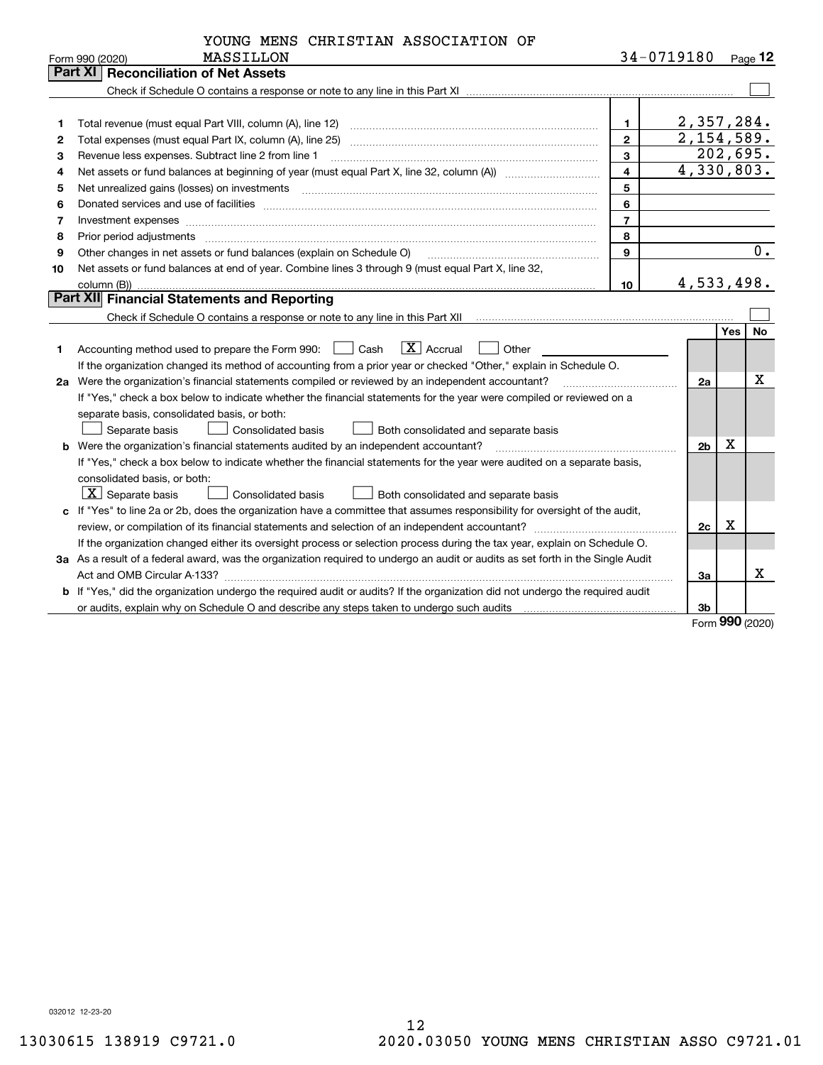|           | YOUNG MENS CHRISTIAN ASSOCIATION OF |                    |  |
|-----------|-------------------------------------|--------------------|--|
| MASSTIJON |                                     | $34 - 0719180 - 5$ |  |

|    | Form 990 (2020)<br>MASSILLON                                                                                                                                                                                                   |                         | 34-0719180     |     | Page 12 |
|----|--------------------------------------------------------------------------------------------------------------------------------------------------------------------------------------------------------------------------------|-------------------------|----------------|-----|---------|
|    | <b>Part XI   Reconciliation of Net Assets</b>                                                                                                                                                                                  |                         |                |     |         |
|    |                                                                                                                                                                                                                                |                         |                |     |         |
|    |                                                                                                                                                                                                                                |                         |                |     |         |
| 1  | Total revenue (must equal Part VIII, column (A), line 12)                                                                                                                                                                      | 1.                      | 2,357,284.     |     |         |
| 2  | Total expenses (must equal Part IX, column (A), line 25)                                                                                                                                                                       | $\overline{2}$          | 2,154,589.     |     |         |
| з  | Revenue less expenses. Subtract line 2 from line 1                                                                                                                                                                             | $\overline{\mathbf{3}}$ | 202,695.       |     |         |
| 4  |                                                                                                                                                                                                                                | $\overline{4}$          | 4,330,803.     |     |         |
| 5  |                                                                                                                                                                                                                                | 5                       |                |     |         |
| 6  | Donated services and use of facilities [111] processes and the service of facilities [11] processes and use of facilities [11] processes and the service of facilities [11] processes and the service of the service of the se | 6                       |                |     |         |
| 7  | Investment expenses www.communication.com/www.communication.com/www.communication.com/www.com                                                                                                                                  | $\overline{7}$          |                |     |         |
| 8  | Prior period adjustments                                                                                                                                                                                                       | 8                       |                |     |         |
| 9  | Other changes in net assets or fund balances (explain on Schedule O)                                                                                                                                                           | 9                       |                |     | $0$ .   |
| 10 | Net assets or fund balances at end of year. Combine lines 3 through 9 (must equal Part X, line 32,                                                                                                                             |                         |                |     |         |
|    | column (B))                                                                                                                                                                                                                    | 10                      | 4,533,498.     |     |         |
|    | Part XII Financial Statements and Reporting                                                                                                                                                                                    |                         |                |     |         |
|    |                                                                                                                                                                                                                                |                         |                |     |         |
|    |                                                                                                                                                                                                                                |                         |                | Yes | No      |
| 1. | $\overline{X}$ Accrual<br>Accounting method used to prepare the Form 990: [16] Cash<br>Other                                                                                                                                   |                         |                |     |         |
|    | If the organization changed its method of accounting from a prior year or checked "Other," explain in Schedule O.                                                                                                              |                         |                |     |         |
|    | 2a Were the organization's financial statements compiled or reviewed by an independent accountant?                                                                                                                             |                         | 2a             |     | X       |
|    | If "Yes," check a box below to indicate whether the financial statements for the year were compiled or reviewed on a                                                                                                           |                         |                |     |         |
|    | separate basis, consolidated basis, or both:                                                                                                                                                                                   |                         |                |     |         |
|    | Separate basis<br>Consolidated basis<br>Both consolidated and separate basis                                                                                                                                                   |                         |                |     |         |
|    | <b>b</b> Were the organization's financial statements audited by an independent accountant?                                                                                                                                    |                         | 2 <sub>b</sub> | X   |         |
|    | If "Yes," check a box below to indicate whether the financial statements for the year were audited on a separate basis,                                                                                                        |                         |                |     |         |
|    | consolidated basis, or both:                                                                                                                                                                                                   |                         |                |     |         |
|    | $X$ Separate basis<br>Consolidated basis<br>Both consolidated and separate basis                                                                                                                                               |                         |                |     |         |
|    | c If "Yes" to line 2a or 2b, does the organization have a committee that assumes responsibility for oversight of the audit,                                                                                                    |                         |                |     |         |
|    |                                                                                                                                                                                                                                |                         | 2c             | х   |         |
|    | If the organization changed either its oversight process or selection process during the tax year, explain on Schedule O.                                                                                                      |                         |                |     |         |
|    | 3a As a result of a federal award, was the organization required to undergo an audit or audits as set forth in the Single Audit                                                                                                |                         |                |     |         |
|    |                                                                                                                                                                                                                                |                         | 3a             |     | X.      |
|    | b If "Yes," did the organization undergo the required audit or audits? If the organization did not undergo the required audit                                                                                                  |                         |                |     |         |
|    |                                                                                                                                                                                                                                |                         | 3b             |     |         |

Form (2020) **990**

032012 12-23-20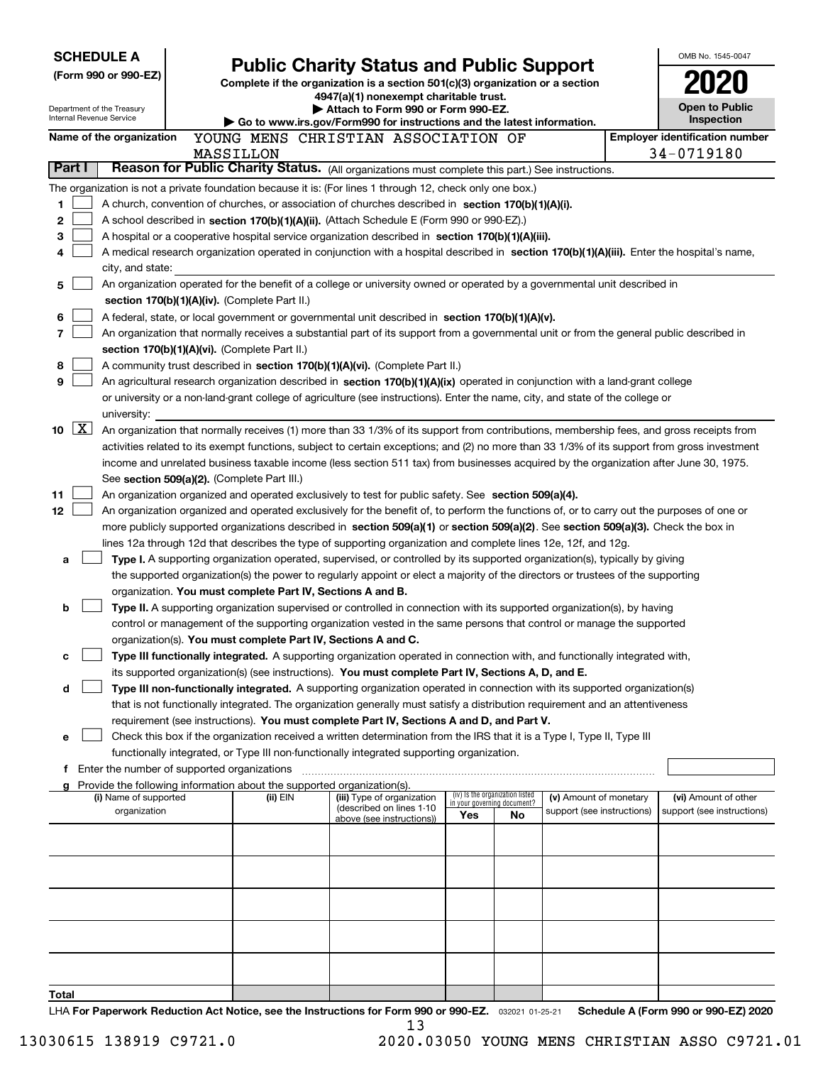| <b>SCHEDULE A</b>                                      |                                               |                                                                                                                                  |                                                                                                                                                                                                                                  |                                    |                                 |                            |  |                                       |
|--------------------------------------------------------|-----------------------------------------------|----------------------------------------------------------------------------------------------------------------------------------|----------------------------------------------------------------------------------------------------------------------------------------------------------------------------------------------------------------------------------|------------------------------------|---------------------------------|----------------------------|--|---------------------------------------|
| (Form 990 or 990-EZ)                                   |                                               | <b>Public Charity Status and Public Support</b><br>Complete if the organization is a section 501(c)(3) organization or a section |                                                                                                                                                                                                                                  |                                    |                                 |                            |  |                                       |
|                                                        |                                               |                                                                                                                                  | 4947(a)(1) nonexempt charitable trust.                                                                                                                                                                                           |                                    |                                 |                            |  |                                       |
| Department of the Treasury<br>Internal Revenue Service |                                               |                                                                                                                                  | Attach to Form 990 or Form 990-EZ.                                                                                                                                                                                               |                                    |                                 |                            |  | <b>Open to Public</b><br>Inspection   |
| Name of the organization                               |                                               |                                                                                                                                  | Go to www.irs.gov/Form990 for instructions and the latest information.<br>YOUNG MENS CHRISTIAN ASSOCIATION OF                                                                                                                    |                                    |                                 |                            |  | <b>Employer identification number</b> |
|                                                        |                                               | MASSILLON                                                                                                                        |                                                                                                                                                                                                                                  |                                    |                                 |                            |  | 34-0719180                            |
| Part I                                                 |                                               |                                                                                                                                  | Reason for Public Charity Status. (All organizations must complete this part.) See instructions.                                                                                                                                 |                                    |                                 |                            |  |                                       |
|                                                        |                                               |                                                                                                                                  | The organization is not a private foundation because it is: (For lines 1 through 12, check only one box.)                                                                                                                        |                                    |                                 |                            |  |                                       |
| 1                                                      |                                               |                                                                                                                                  | A church, convention of churches, or association of churches described in section 170(b)(1)(A)(i).                                                                                                                               |                                    |                                 |                            |  |                                       |
| 2                                                      |                                               |                                                                                                                                  | A school described in section 170(b)(1)(A)(ii). (Attach Schedule E (Form 990 or 990-EZ).)                                                                                                                                        |                                    |                                 |                            |  |                                       |
| 3                                                      |                                               |                                                                                                                                  | A hospital or a cooperative hospital service organization described in section 170(b)(1)(A)(iii).                                                                                                                                |                                    |                                 |                            |  |                                       |
| 4                                                      |                                               |                                                                                                                                  | A medical research organization operated in conjunction with a hospital described in section 170(b)(1)(A)(iii). Enter the hospital's name,                                                                                       |                                    |                                 |                            |  |                                       |
|                                                        | city, and state:                              |                                                                                                                                  | An organization operated for the benefit of a college or university owned or operated by a governmental unit described in                                                                                                        |                                    |                                 |                            |  |                                       |
| 5                                                      | section 170(b)(1)(A)(iv). (Complete Part II.) |                                                                                                                                  |                                                                                                                                                                                                                                  |                                    |                                 |                            |  |                                       |
| 6                                                      |                                               |                                                                                                                                  | A federal, state, or local government or governmental unit described in section 170(b)(1)(A)(v).                                                                                                                                 |                                    |                                 |                            |  |                                       |
| 7                                                      |                                               |                                                                                                                                  | An organization that normally receives a substantial part of its support from a governmental unit or from the general public described in                                                                                        |                                    |                                 |                            |  |                                       |
|                                                        | section 170(b)(1)(A)(vi). (Complete Part II.) |                                                                                                                                  |                                                                                                                                                                                                                                  |                                    |                                 |                            |  |                                       |
| 8                                                      |                                               |                                                                                                                                  | A community trust described in section 170(b)(1)(A)(vi). (Complete Part II.)                                                                                                                                                     |                                    |                                 |                            |  |                                       |
| 9                                                      |                                               |                                                                                                                                  | An agricultural research organization described in section 170(b)(1)(A)(ix) operated in conjunction with a land-grant college                                                                                                    |                                    |                                 |                            |  |                                       |
|                                                        |                                               |                                                                                                                                  | or university or a non-land-grant college of agriculture (see instructions). Enter the name, city, and state of the college or                                                                                                   |                                    |                                 |                            |  |                                       |
| university:                                            |                                               |                                                                                                                                  |                                                                                                                                                                                                                                  |                                    |                                 |                            |  |                                       |
| $\lfloor x \rfloor$<br>10                              |                                               |                                                                                                                                  | An organization that normally receives (1) more than 33 1/3% of its support from contributions, membership fees, and gross receipts from                                                                                         |                                    |                                 |                            |  |                                       |
|                                                        |                                               |                                                                                                                                  | activities related to its exempt functions, subject to certain exceptions; and (2) no more than 33 1/3% of its support from gross investment                                                                                     |                                    |                                 |                            |  |                                       |
|                                                        |                                               |                                                                                                                                  | income and unrelated business taxable income (less section 511 tax) from businesses acquired by the organization after June 30, 1975.                                                                                            |                                    |                                 |                            |  |                                       |
| 11                                                     | See section 509(a)(2). (Complete Part III.)   |                                                                                                                                  | An organization organized and operated exclusively to test for public safety. See section 509(a)(4).                                                                                                                             |                                    |                                 |                            |  |                                       |
| 12                                                     |                                               |                                                                                                                                  | An organization organized and operated exclusively for the benefit of, to perform the functions of, or to carry out the purposes of one or                                                                                       |                                    |                                 |                            |  |                                       |
|                                                        |                                               |                                                                                                                                  | more publicly supported organizations described in section 509(a)(1) or section 509(a)(2). See section 509(a)(3). Check the box in                                                                                               |                                    |                                 |                            |  |                                       |
|                                                        |                                               |                                                                                                                                  | lines 12a through 12d that describes the type of supporting organization and complete lines 12e, 12f, and 12g.                                                                                                                   |                                    |                                 |                            |  |                                       |
| a                                                      |                                               |                                                                                                                                  | Type I. A supporting organization operated, supervised, or controlled by its supported organization(s), typically by giving                                                                                                      |                                    |                                 |                            |  |                                       |
|                                                        |                                               |                                                                                                                                  | the supported organization(s) the power to regularly appoint or elect a majority of the directors or trustees of the supporting                                                                                                  |                                    |                                 |                            |  |                                       |
|                                                        |                                               | organization. You must complete Part IV, Sections A and B.                                                                       |                                                                                                                                                                                                                                  |                                    |                                 |                            |  |                                       |
| b                                                      |                                               |                                                                                                                                  | Type II. A supporting organization supervised or controlled in connection with its supported organization(s), by having                                                                                                          |                                    |                                 |                            |  |                                       |
|                                                        |                                               |                                                                                                                                  | control or management of the supporting organization vested in the same persons that control or manage the supported                                                                                                             |                                    |                                 |                            |  |                                       |
|                                                        |                                               | organization(s). You must complete Part IV, Sections A and C.                                                                    |                                                                                                                                                                                                                                  |                                    |                                 |                            |  |                                       |
| с                                                      |                                               |                                                                                                                                  | Type III functionally integrated. A supporting organization operated in connection with, and functionally integrated with,<br>its supported organization(s) (see instructions). You must complete Part IV, Sections A, D, and E. |                                    |                                 |                            |  |                                       |
| d                                                      |                                               |                                                                                                                                  | Type III non-functionally integrated. A supporting organization operated in connection with its supported organization(s)                                                                                                        |                                    |                                 |                            |  |                                       |
|                                                        |                                               |                                                                                                                                  | that is not functionally integrated. The organization generally must satisfy a distribution requirement and an attentiveness                                                                                                     |                                    |                                 |                            |  |                                       |
|                                                        |                                               |                                                                                                                                  | requirement (see instructions). You must complete Part IV, Sections A and D, and Part V.                                                                                                                                         |                                    |                                 |                            |  |                                       |
| е                                                      |                                               |                                                                                                                                  | Check this box if the organization received a written determination from the IRS that it is a Type I, Type II, Type III                                                                                                          |                                    |                                 |                            |  |                                       |
|                                                        |                                               |                                                                                                                                  | functionally integrated, or Type III non-functionally integrated supporting organization.                                                                                                                                        |                                    |                                 |                            |  |                                       |
| f.                                                     | Enter the number of supported organizations   |                                                                                                                                  |                                                                                                                                                                                                                                  |                                    |                                 |                            |  |                                       |
| a                                                      | (i) Name of supported                         | Provide the following information about the supported organization(s).<br>(ii) EIN                                               | (iii) Type of organization                                                                                                                                                                                                       |                                    | (iv) Is the organization listed | (v) Amount of monetary     |  | (vi) Amount of other                  |
|                                                        | organization                                  |                                                                                                                                  | (described on lines 1-10                                                                                                                                                                                                         | in your governing document?<br>Yes | No                              | support (see instructions) |  | support (see instructions)            |
|                                                        |                                               |                                                                                                                                  | above (see instructions))                                                                                                                                                                                                        |                                    |                                 |                            |  |                                       |
|                                                        |                                               |                                                                                                                                  |                                                                                                                                                                                                                                  |                                    |                                 |                            |  |                                       |
|                                                        |                                               |                                                                                                                                  |                                                                                                                                                                                                                                  |                                    |                                 |                            |  |                                       |
|                                                        |                                               |                                                                                                                                  |                                                                                                                                                                                                                                  |                                    |                                 |                            |  |                                       |
|                                                        |                                               |                                                                                                                                  |                                                                                                                                                                                                                                  |                                    |                                 |                            |  |                                       |
|                                                        |                                               |                                                                                                                                  |                                                                                                                                                                                                                                  |                                    |                                 |                            |  |                                       |
|                                                        |                                               |                                                                                                                                  |                                                                                                                                                                                                                                  |                                    |                                 |                            |  |                                       |
|                                                        |                                               |                                                                                                                                  |                                                                                                                                                                                                                                  |                                    |                                 |                            |  |                                       |
|                                                        |                                               |                                                                                                                                  |                                                                                                                                                                                                                                  |                                    |                                 |                            |  |                                       |
|                                                        |                                               |                                                                                                                                  |                                                                                                                                                                                                                                  |                                    |                                 |                            |  |                                       |
| Total                                                  |                                               |                                                                                                                                  | LHA For Panorwork Poduction Act Notice, see the Instructions for Form 000 or 000-F7 - 20001-01-05-01                                                                                                                             |                                    |                                 |                            |  | Schodule A (Form 880 or 880 F7) 2020  |

or 990-EZ. 032021 01-25-21 Schedule A (Form 990 or 990-EZ) 2020 LHA For Paperwork Reduction Act Notice, see the Instructions for Form 990 or 990-EZ. <sub>032021</sub> o1-25-21 Schedule A (Form 990 or 990-EZ) 2020 13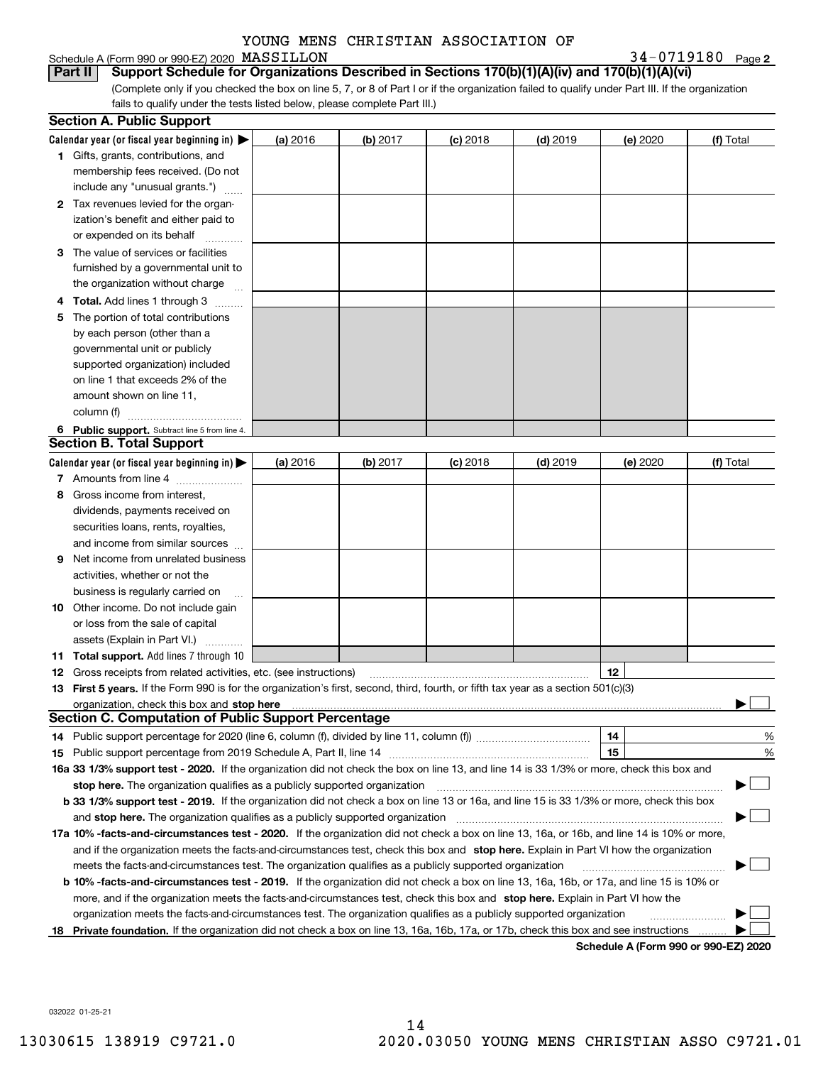#### Schedule A (Form 990 or 990-EZ) 2020 MASSILLON

**2**MASSILLON 34-0719180

(Complete only if you checked the box on line 5, 7, or 8 of Part I or if the organization failed to qualify under Part III. If the organization fails to qualify under the tests listed below, please complete Part III.) **Part II** Support Schedule for Organizations Described in Sections 170(b)(1)(A)(iv) and 170(b)(1)(A)(vi)

| Calendar year (or fiscal year beginning in) $\blacktriangleright$<br>(a) 2016<br>$(d)$ 2019<br>(f) Total<br>(b) 2017<br>$(c)$ 2018<br>(e) 2020<br>1 Gifts, grants, contributions, and<br>membership fees received. (Do not<br>include any "unusual grants.")<br>2 Tax revenues levied for the organ-<br>ization's benefit and either paid to<br>or expended on its behalf<br>3 The value of services or facilities<br>furnished by a governmental unit to<br>the organization without charge<br><b>Total.</b> Add lines 1 through 3<br>The portion of total contributions<br>5<br>by each person (other than a<br>governmental unit or publicly<br>supported organization) included<br>on line 1 that exceeds 2% of the<br>amount shown on line 11,<br>column (f)<br>6 Public support. Subtract line 5 from line 4.<br><b>Section B. Total Support</b><br>Calendar year (or fiscal year beginning in)<br>(b) 2017<br>$(d)$ 2019<br>(f) Total<br>(a) 2016<br>$(c)$ 2018<br>(e) 2020<br>7 Amounts from line 4<br>Gross income from interest,<br>8<br>dividends, payments received on<br>securities loans, rents, royalties,<br>and income from similar sources<br>Net income from unrelated business<br>9<br>activities, whether or not the<br>business is regularly carried on<br><b>10</b> Other income. Do not include gain<br>or loss from the sale of capital<br>assets (Explain in Part VI.)<br><b>11 Total support.</b> Add lines 7 through 10<br>12<br><b>12</b> Gross receipts from related activities, etc. (see instructions)<br>13 First 5 years. If the Form 990 is for the organization's first, second, third, fourth, or fifth tax year as a section 501(c)(3)<br>Section C. Computation of Public Support Percentage<br>14<br>%<br>15<br>%<br>16a 33 1/3% support test - 2020. If the organization did not check the box on line 13, and line 14 is 33 1/3% or more, check this box and<br>stop here. The organization qualifies as a publicly supported organization<br>b 33 1/3% support test - 2019. If the organization did not check a box on line 13 or 16a, and line 15 is 33 1/3% or more, check this box<br>and stop here. The organization qualifies as a publicly supported organization<br>17a 10% -facts-and-circumstances test - 2020. If the organization did not check a box on line 13, 16a, or 16b, and line 14 is 10% or more,<br>and if the organization meets the facts-and-circumstances test, check this box and stop here. Explain in Part VI how the organization<br>meets the facts-and-circumstances test. The organization qualifies as a publicly supported organization<br><b>b 10% -facts-and-circumstances test - 2019.</b> If the organization did not check a box on line 13, 16a, 16b, or 17a, and line 15 is 10% or<br>more, and if the organization meets the facts-and-circumstances test, check this box and stop here. Explain in Part VI how the<br>organization meets the facts-and-circumstances test. The organization qualifies as a publicly supported organization<br>18 Private foundation. If the organization did not check a box on line 13, 16a, 16b, 17a, or 17b, check this box and see instructions | <b>Section A. Public Support</b> |  |  |  |
|---------------------------------------------------------------------------------------------------------------------------------------------------------------------------------------------------------------------------------------------------------------------------------------------------------------------------------------------------------------------------------------------------------------------------------------------------------------------------------------------------------------------------------------------------------------------------------------------------------------------------------------------------------------------------------------------------------------------------------------------------------------------------------------------------------------------------------------------------------------------------------------------------------------------------------------------------------------------------------------------------------------------------------------------------------------------------------------------------------------------------------------------------------------------------------------------------------------------------------------------------------------------------------------------------------------------------------------------------------------------------------------------------------------------------------------------------------------------------------------------------------------------------------------------------------------------------------------------------------------------------------------------------------------------------------------------------------------------------------------------------------------------------------------------------------------------------------------------------------------------------------------------------------------------------------------------------------------------------------------------------------------------------------------------------------------------------------------------------------------------------------------------------------------------------------------------------------------------------------------------------------------------------------------------------------------------------------------------------------------------------------------------------------------------------------------------------------------------------------------------------------------------------------------------------------------------------------------------------------------------------------------------------------------------------------------------------------------------------------------------------------------------------------------------------------------------------------------------------------------------------------------------------------------------------------------------------------------------------------------------------------------------------------------------------------------------------------------------------------------------------------------------------------------------------|----------------------------------|--|--|--|
|                                                                                                                                                                                                                                                                                                                                                                                                                                                                                                                                                                                                                                                                                                                                                                                                                                                                                                                                                                                                                                                                                                                                                                                                                                                                                                                                                                                                                                                                                                                                                                                                                                                                                                                                                                                                                                                                                                                                                                                                                                                                                                                                                                                                                                                                                                                                                                                                                                                                                                                                                                                                                                                                                                                                                                                                                                                                                                                                                                                                                                                                                                                                                                           |                                  |  |  |  |
|                                                                                                                                                                                                                                                                                                                                                                                                                                                                                                                                                                                                                                                                                                                                                                                                                                                                                                                                                                                                                                                                                                                                                                                                                                                                                                                                                                                                                                                                                                                                                                                                                                                                                                                                                                                                                                                                                                                                                                                                                                                                                                                                                                                                                                                                                                                                                                                                                                                                                                                                                                                                                                                                                                                                                                                                                                                                                                                                                                                                                                                                                                                                                                           |                                  |  |  |  |
|                                                                                                                                                                                                                                                                                                                                                                                                                                                                                                                                                                                                                                                                                                                                                                                                                                                                                                                                                                                                                                                                                                                                                                                                                                                                                                                                                                                                                                                                                                                                                                                                                                                                                                                                                                                                                                                                                                                                                                                                                                                                                                                                                                                                                                                                                                                                                                                                                                                                                                                                                                                                                                                                                                                                                                                                                                                                                                                                                                                                                                                                                                                                                                           |                                  |  |  |  |
|                                                                                                                                                                                                                                                                                                                                                                                                                                                                                                                                                                                                                                                                                                                                                                                                                                                                                                                                                                                                                                                                                                                                                                                                                                                                                                                                                                                                                                                                                                                                                                                                                                                                                                                                                                                                                                                                                                                                                                                                                                                                                                                                                                                                                                                                                                                                                                                                                                                                                                                                                                                                                                                                                                                                                                                                                                                                                                                                                                                                                                                                                                                                                                           |                                  |  |  |  |
|                                                                                                                                                                                                                                                                                                                                                                                                                                                                                                                                                                                                                                                                                                                                                                                                                                                                                                                                                                                                                                                                                                                                                                                                                                                                                                                                                                                                                                                                                                                                                                                                                                                                                                                                                                                                                                                                                                                                                                                                                                                                                                                                                                                                                                                                                                                                                                                                                                                                                                                                                                                                                                                                                                                                                                                                                                                                                                                                                                                                                                                                                                                                                                           |                                  |  |  |  |
|                                                                                                                                                                                                                                                                                                                                                                                                                                                                                                                                                                                                                                                                                                                                                                                                                                                                                                                                                                                                                                                                                                                                                                                                                                                                                                                                                                                                                                                                                                                                                                                                                                                                                                                                                                                                                                                                                                                                                                                                                                                                                                                                                                                                                                                                                                                                                                                                                                                                                                                                                                                                                                                                                                                                                                                                                                                                                                                                                                                                                                                                                                                                                                           |                                  |  |  |  |
|                                                                                                                                                                                                                                                                                                                                                                                                                                                                                                                                                                                                                                                                                                                                                                                                                                                                                                                                                                                                                                                                                                                                                                                                                                                                                                                                                                                                                                                                                                                                                                                                                                                                                                                                                                                                                                                                                                                                                                                                                                                                                                                                                                                                                                                                                                                                                                                                                                                                                                                                                                                                                                                                                                                                                                                                                                                                                                                                                                                                                                                                                                                                                                           |                                  |  |  |  |
|                                                                                                                                                                                                                                                                                                                                                                                                                                                                                                                                                                                                                                                                                                                                                                                                                                                                                                                                                                                                                                                                                                                                                                                                                                                                                                                                                                                                                                                                                                                                                                                                                                                                                                                                                                                                                                                                                                                                                                                                                                                                                                                                                                                                                                                                                                                                                                                                                                                                                                                                                                                                                                                                                                                                                                                                                                                                                                                                                                                                                                                                                                                                                                           |                                  |  |  |  |
|                                                                                                                                                                                                                                                                                                                                                                                                                                                                                                                                                                                                                                                                                                                                                                                                                                                                                                                                                                                                                                                                                                                                                                                                                                                                                                                                                                                                                                                                                                                                                                                                                                                                                                                                                                                                                                                                                                                                                                                                                                                                                                                                                                                                                                                                                                                                                                                                                                                                                                                                                                                                                                                                                                                                                                                                                                                                                                                                                                                                                                                                                                                                                                           |                                  |  |  |  |
|                                                                                                                                                                                                                                                                                                                                                                                                                                                                                                                                                                                                                                                                                                                                                                                                                                                                                                                                                                                                                                                                                                                                                                                                                                                                                                                                                                                                                                                                                                                                                                                                                                                                                                                                                                                                                                                                                                                                                                                                                                                                                                                                                                                                                                                                                                                                                                                                                                                                                                                                                                                                                                                                                                                                                                                                                                                                                                                                                                                                                                                                                                                                                                           |                                  |  |  |  |
|                                                                                                                                                                                                                                                                                                                                                                                                                                                                                                                                                                                                                                                                                                                                                                                                                                                                                                                                                                                                                                                                                                                                                                                                                                                                                                                                                                                                                                                                                                                                                                                                                                                                                                                                                                                                                                                                                                                                                                                                                                                                                                                                                                                                                                                                                                                                                                                                                                                                                                                                                                                                                                                                                                                                                                                                                                                                                                                                                                                                                                                                                                                                                                           |                                  |  |  |  |
|                                                                                                                                                                                                                                                                                                                                                                                                                                                                                                                                                                                                                                                                                                                                                                                                                                                                                                                                                                                                                                                                                                                                                                                                                                                                                                                                                                                                                                                                                                                                                                                                                                                                                                                                                                                                                                                                                                                                                                                                                                                                                                                                                                                                                                                                                                                                                                                                                                                                                                                                                                                                                                                                                                                                                                                                                                                                                                                                                                                                                                                                                                                                                                           |                                  |  |  |  |
|                                                                                                                                                                                                                                                                                                                                                                                                                                                                                                                                                                                                                                                                                                                                                                                                                                                                                                                                                                                                                                                                                                                                                                                                                                                                                                                                                                                                                                                                                                                                                                                                                                                                                                                                                                                                                                                                                                                                                                                                                                                                                                                                                                                                                                                                                                                                                                                                                                                                                                                                                                                                                                                                                                                                                                                                                                                                                                                                                                                                                                                                                                                                                                           |                                  |  |  |  |
|                                                                                                                                                                                                                                                                                                                                                                                                                                                                                                                                                                                                                                                                                                                                                                                                                                                                                                                                                                                                                                                                                                                                                                                                                                                                                                                                                                                                                                                                                                                                                                                                                                                                                                                                                                                                                                                                                                                                                                                                                                                                                                                                                                                                                                                                                                                                                                                                                                                                                                                                                                                                                                                                                                                                                                                                                                                                                                                                                                                                                                                                                                                                                                           |                                  |  |  |  |
|                                                                                                                                                                                                                                                                                                                                                                                                                                                                                                                                                                                                                                                                                                                                                                                                                                                                                                                                                                                                                                                                                                                                                                                                                                                                                                                                                                                                                                                                                                                                                                                                                                                                                                                                                                                                                                                                                                                                                                                                                                                                                                                                                                                                                                                                                                                                                                                                                                                                                                                                                                                                                                                                                                                                                                                                                                                                                                                                                                                                                                                                                                                                                                           |                                  |  |  |  |
|                                                                                                                                                                                                                                                                                                                                                                                                                                                                                                                                                                                                                                                                                                                                                                                                                                                                                                                                                                                                                                                                                                                                                                                                                                                                                                                                                                                                                                                                                                                                                                                                                                                                                                                                                                                                                                                                                                                                                                                                                                                                                                                                                                                                                                                                                                                                                                                                                                                                                                                                                                                                                                                                                                                                                                                                                                                                                                                                                                                                                                                                                                                                                                           |                                  |  |  |  |
|                                                                                                                                                                                                                                                                                                                                                                                                                                                                                                                                                                                                                                                                                                                                                                                                                                                                                                                                                                                                                                                                                                                                                                                                                                                                                                                                                                                                                                                                                                                                                                                                                                                                                                                                                                                                                                                                                                                                                                                                                                                                                                                                                                                                                                                                                                                                                                                                                                                                                                                                                                                                                                                                                                                                                                                                                                                                                                                                                                                                                                                                                                                                                                           |                                  |  |  |  |
|                                                                                                                                                                                                                                                                                                                                                                                                                                                                                                                                                                                                                                                                                                                                                                                                                                                                                                                                                                                                                                                                                                                                                                                                                                                                                                                                                                                                                                                                                                                                                                                                                                                                                                                                                                                                                                                                                                                                                                                                                                                                                                                                                                                                                                                                                                                                                                                                                                                                                                                                                                                                                                                                                                                                                                                                                                                                                                                                                                                                                                                                                                                                                                           |                                  |  |  |  |
|                                                                                                                                                                                                                                                                                                                                                                                                                                                                                                                                                                                                                                                                                                                                                                                                                                                                                                                                                                                                                                                                                                                                                                                                                                                                                                                                                                                                                                                                                                                                                                                                                                                                                                                                                                                                                                                                                                                                                                                                                                                                                                                                                                                                                                                                                                                                                                                                                                                                                                                                                                                                                                                                                                                                                                                                                                                                                                                                                                                                                                                                                                                                                                           |                                  |  |  |  |
|                                                                                                                                                                                                                                                                                                                                                                                                                                                                                                                                                                                                                                                                                                                                                                                                                                                                                                                                                                                                                                                                                                                                                                                                                                                                                                                                                                                                                                                                                                                                                                                                                                                                                                                                                                                                                                                                                                                                                                                                                                                                                                                                                                                                                                                                                                                                                                                                                                                                                                                                                                                                                                                                                                                                                                                                                                                                                                                                                                                                                                                                                                                                                                           |                                  |  |  |  |
|                                                                                                                                                                                                                                                                                                                                                                                                                                                                                                                                                                                                                                                                                                                                                                                                                                                                                                                                                                                                                                                                                                                                                                                                                                                                                                                                                                                                                                                                                                                                                                                                                                                                                                                                                                                                                                                                                                                                                                                                                                                                                                                                                                                                                                                                                                                                                                                                                                                                                                                                                                                                                                                                                                                                                                                                                                                                                                                                                                                                                                                                                                                                                                           |                                  |  |  |  |
|                                                                                                                                                                                                                                                                                                                                                                                                                                                                                                                                                                                                                                                                                                                                                                                                                                                                                                                                                                                                                                                                                                                                                                                                                                                                                                                                                                                                                                                                                                                                                                                                                                                                                                                                                                                                                                                                                                                                                                                                                                                                                                                                                                                                                                                                                                                                                                                                                                                                                                                                                                                                                                                                                                                                                                                                                                                                                                                                                                                                                                                                                                                                                                           |                                  |  |  |  |
|                                                                                                                                                                                                                                                                                                                                                                                                                                                                                                                                                                                                                                                                                                                                                                                                                                                                                                                                                                                                                                                                                                                                                                                                                                                                                                                                                                                                                                                                                                                                                                                                                                                                                                                                                                                                                                                                                                                                                                                                                                                                                                                                                                                                                                                                                                                                                                                                                                                                                                                                                                                                                                                                                                                                                                                                                                                                                                                                                                                                                                                                                                                                                                           |                                  |  |  |  |
|                                                                                                                                                                                                                                                                                                                                                                                                                                                                                                                                                                                                                                                                                                                                                                                                                                                                                                                                                                                                                                                                                                                                                                                                                                                                                                                                                                                                                                                                                                                                                                                                                                                                                                                                                                                                                                                                                                                                                                                                                                                                                                                                                                                                                                                                                                                                                                                                                                                                                                                                                                                                                                                                                                                                                                                                                                                                                                                                                                                                                                                                                                                                                                           |                                  |  |  |  |
|                                                                                                                                                                                                                                                                                                                                                                                                                                                                                                                                                                                                                                                                                                                                                                                                                                                                                                                                                                                                                                                                                                                                                                                                                                                                                                                                                                                                                                                                                                                                                                                                                                                                                                                                                                                                                                                                                                                                                                                                                                                                                                                                                                                                                                                                                                                                                                                                                                                                                                                                                                                                                                                                                                                                                                                                                                                                                                                                                                                                                                                                                                                                                                           |                                  |  |  |  |
|                                                                                                                                                                                                                                                                                                                                                                                                                                                                                                                                                                                                                                                                                                                                                                                                                                                                                                                                                                                                                                                                                                                                                                                                                                                                                                                                                                                                                                                                                                                                                                                                                                                                                                                                                                                                                                                                                                                                                                                                                                                                                                                                                                                                                                                                                                                                                                                                                                                                                                                                                                                                                                                                                                                                                                                                                                                                                                                                                                                                                                                                                                                                                                           |                                  |  |  |  |
|                                                                                                                                                                                                                                                                                                                                                                                                                                                                                                                                                                                                                                                                                                                                                                                                                                                                                                                                                                                                                                                                                                                                                                                                                                                                                                                                                                                                                                                                                                                                                                                                                                                                                                                                                                                                                                                                                                                                                                                                                                                                                                                                                                                                                                                                                                                                                                                                                                                                                                                                                                                                                                                                                                                                                                                                                                                                                                                                                                                                                                                                                                                                                                           |                                  |  |  |  |
|                                                                                                                                                                                                                                                                                                                                                                                                                                                                                                                                                                                                                                                                                                                                                                                                                                                                                                                                                                                                                                                                                                                                                                                                                                                                                                                                                                                                                                                                                                                                                                                                                                                                                                                                                                                                                                                                                                                                                                                                                                                                                                                                                                                                                                                                                                                                                                                                                                                                                                                                                                                                                                                                                                                                                                                                                                                                                                                                                                                                                                                                                                                                                                           |                                  |  |  |  |
|                                                                                                                                                                                                                                                                                                                                                                                                                                                                                                                                                                                                                                                                                                                                                                                                                                                                                                                                                                                                                                                                                                                                                                                                                                                                                                                                                                                                                                                                                                                                                                                                                                                                                                                                                                                                                                                                                                                                                                                                                                                                                                                                                                                                                                                                                                                                                                                                                                                                                                                                                                                                                                                                                                                                                                                                                                                                                                                                                                                                                                                                                                                                                                           |                                  |  |  |  |
|                                                                                                                                                                                                                                                                                                                                                                                                                                                                                                                                                                                                                                                                                                                                                                                                                                                                                                                                                                                                                                                                                                                                                                                                                                                                                                                                                                                                                                                                                                                                                                                                                                                                                                                                                                                                                                                                                                                                                                                                                                                                                                                                                                                                                                                                                                                                                                                                                                                                                                                                                                                                                                                                                                                                                                                                                                                                                                                                                                                                                                                                                                                                                                           |                                  |  |  |  |
|                                                                                                                                                                                                                                                                                                                                                                                                                                                                                                                                                                                                                                                                                                                                                                                                                                                                                                                                                                                                                                                                                                                                                                                                                                                                                                                                                                                                                                                                                                                                                                                                                                                                                                                                                                                                                                                                                                                                                                                                                                                                                                                                                                                                                                                                                                                                                                                                                                                                                                                                                                                                                                                                                                                                                                                                                                                                                                                                                                                                                                                                                                                                                                           |                                  |  |  |  |
|                                                                                                                                                                                                                                                                                                                                                                                                                                                                                                                                                                                                                                                                                                                                                                                                                                                                                                                                                                                                                                                                                                                                                                                                                                                                                                                                                                                                                                                                                                                                                                                                                                                                                                                                                                                                                                                                                                                                                                                                                                                                                                                                                                                                                                                                                                                                                                                                                                                                                                                                                                                                                                                                                                                                                                                                                                                                                                                                                                                                                                                                                                                                                                           |                                  |  |  |  |
|                                                                                                                                                                                                                                                                                                                                                                                                                                                                                                                                                                                                                                                                                                                                                                                                                                                                                                                                                                                                                                                                                                                                                                                                                                                                                                                                                                                                                                                                                                                                                                                                                                                                                                                                                                                                                                                                                                                                                                                                                                                                                                                                                                                                                                                                                                                                                                                                                                                                                                                                                                                                                                                                                                                                                                                                                                                                                                                                                                                                                                                                                                                                                                           |                                  |  |  |  |
|                                                                                                                                                                                                                                                                                                                                                                                                                                                                                                                                                                                                                                                                                                                                                                                                                                                                                                                                                                                                                                                                                                                                                                                                                                                                                                                                                                                                                                                                                                                                                                                                                                                                                                                                                                                                                                                                                                                                                                                                                                                                                                                                                                                                                                                                                                                                                                                                                                                                                                                                                                                                                                                                                                                                                                                                                                                                                                                                                                                                                                                                                                                                                                           |                                  |  |  |  |
|                                                                                                                                                                                                                                                                                                                                                                                                                                                                                                                                                                                                                                                                                                                                                                                                                                                                                                                                                                                                                                                                                                                                                                                                                                                                                                                                                                                                                                                                                                                                                                                                                                                                                                                                                                                                                                                                                                                                                                                                                                                                                                                                                                                                                                                                                                                                                                                                                                                                                                                                                                                                                                                                                                                                                                                                                                                                                                                                                                                                                                                                                                                                                                           |                                  |  |  |  |
|                                                                                                                                                                                                                                                                                                                                                                                                                                                                                                                                                                                                                                                                                                                                                                                                                                                                                                                                                                                                                                                                                                                                                                                                                                                                                                                                                                                                                                                                                                                                                                                                                                                                                                                                                                                                                                                                                                                                                                                                                                                                                                                                                                                                                                                                                                                                                                                                                                                                                                                                                                                                                                                                                                                                                                                                                                                                                                                                                                                                                                                                                                                                                                           |                                  |  |  |  |
|                                                                                                                                                                                                                                                                                                                                                                                                                                                                                                                                                                                                                                                                                                                                                                                                                                                                                                                                                                                                                                                                                                                                                                                                                                                                                                                                                                                                                                                                                                                                                                                                                                                                                                                                                                                                                                                                                                                                                                                                                                                                                                                                                                                                                                                                                                                                                                                                                                                                                                                                                                                                                                                                                                                                                                                                                                                                                                                                                                                                                                                                                                                                                                           |                                  |  |  |  |
|                                                                                                                                                                                                                                                                                                                                                                                                                                                                                                                                                                                                                                                                                                                                                                                                                                                                                                                                                                                                                                                                                                                                                                                                                                                                                                                                                                                                                                                                                                                                                                                                                                                                                                                                                                                                                                                                                                                                                                                                                                                                                                                                                                                                                                                                                                                                                                                                                                                                                                                                                                                                                                                                                                                                                                                                                                                                                                                                                                                                                                                                                                                                                                           |                                  |  |  |  |
|                                                                                                                                                                                                                                                                                                                                                                                                                                                                                                                                                                                                                                                                                                                                                                                                                                                                                                                                                                                                                                                                                                                                                                                                                                                                                                                                                                                                                                                                                                                                                                                                                                                                                                                                                                                                                                                                                                                                                                                                                                                                                                                                                                                                                                                                                                                                                                                                                                                                                                                                                                                                                                                                                                                                                                                                                                                                                                                                                                                                                                                                                                                                                                           |                                  |  |  |  |
|                                                                                                                                                                                                                                                                                                                                                                                                                                                                                                                                                                                                                                                                                                                                                                                                                                                                                                                                                                                                                                                                                                                                                                                                                                                                                                                                                                                                                                                                                                                                                                                                                                                                                                                                                                                                                                                                                                                                                                                                                                                                                                                                                                                                                                                                                                                                                                                                                                                                                                                                                                                                                                                                                                                                                                                                                                                                                                                                                                                                                                                                                                                                                                           |                                  |  |  |  |
|                                                                                                                                                                                                                                                                                                                                                                                                                                                                                                                                                                                                                                                                                                                                                                                                                                                                                                                                                                                                                                                                                                                                                                                                                                                                                                                                                                                                                                                                                                                                                                                                                                                                                                                                                                                                                                                                                                                                                                                                                                                                                                                                                                                                                                                                                                                                                                                                                                                                                                                                                                                                                                                                                                                                                                                                                                                                                                                                                                                                                                                                                                                                                                           |                                  |  |  |  |
|                                                                                                                                                                                                                                                                                                                                                                                                                                                                                                                                                                                                                                                                                                                                                                                                                                                                                                                                                                                                                                                                                                                                                                                                                                                                                                                                                                                                                                                                                                                                                                                                                                                                                                                                                                                                                                                                                                                                                                                                                                                                                                                                                                                                                                                                                                                                                                                                                                                                                                                                                                                                                                                                                                                                                                                                                                                                                                                                                                                                                                                                                                                                                                           |                                  |  |  |  |
|                                                                                                                                                                                                                                                                                                                                                                                                                                                                                                                                                                                                                                                                                                                                                                                                                                                                                                                                                                                                                                                                                                                                                                                                                                                                                                                                                                                                                                                                                                                                                                                                                                                                                                                                                                                                                                                                                                                                                                                                                                                                                                                                                                                                                                                                                                                                                                                                                                                                                                                                                                                                                                                                                                                                                                                                                                                                                                                                                                                                                                                                                                                                                                           |                                  |  |  |  |
|                                                                                                                                                                                                                                                                                                                                                                                                                                                                                                                                                                                                                                                                                                                                                                                                                                                                                                                                                                                                                                                                                                                                                                                                                                                                                                                                                                                                                                                                                                                                                                                                                                                                                                                                                                                                                                                                                                                                                                                                                                                                                                                                                                                                                                                                                                                                                                                                                                                                                                                                                                                                                                                                                                                                                                                                                                                                                                                                                                                                                                                                                                                                                                           |                                  |  |  |  |
|                                                                                                                                                                                                                                                                                                                                                                                                                                                                                                                                                                                                                                                                                                                                                                                                                                                                                                                                                                                                                                                                                                                                                                                                                                                                                                                                                                                                                                                                                                                                                                                                                                                                                                                                                                                                                                                                                                                                                                                                                                                                                                                                                                                                                                                                                                                                                                                                                                                                                                                                                                                                                                                                                                                                                                                                                                                                                                                                                                                                                                                                                                                                                                           |                                  |  |  |  |
|                                                                                                                                                                                                                                                                                                                                                                                                                                                                                                                                                                                                                                                                                                                                                                                                                                                                                                                                                                                                                                                                                                                                                                                                                                                                                                                                                                                                                                                                                                                                                                                                                                                                                                                                                                                                                                                                                                                                                                                                                                                                                                                                                                                                                                                                                                                                                                                                                                                                                                                                                                                                                                                                                                                                                                                                                                                                                                                                                                                                                                                                                                                                                                           |                                  |  |  |  |
|                                                                                                                                                                                                                                                                                                                                                                                                                                                                                                                                                                                                                                                                                                                                                                                                                                                                                                                                                                                                                                                                                                                                                                                                                                                                                                                                                                                                                                                                                                                                                                                                                                                                                                                                                                                                                                                                                                                                                                                                                                                                                                                                                                                                                                                                                                                                                                                                                                                                                                                                                                                                                                                                                                                                                                                                                                                                                                                                                                                                                                                                                                                                                                           |                                  |  |  |  |
|                                                                                                                                                                                                                                                                                                                                                                                                                                                                                                                                                                                                                                                                                                                                                                                                                                                                                                                                                                                                                                                                                                                                                                                                                                                                                                                                                                                                                                                                                                                                                                                                                                                                                                                                                                                                                                                                                                                                                                                                                                                                                                                                                                                                                                                                                                                                                                                                                                                                                                                                                                                                                                                                                                                                                                                                                                                                                                                                                                                                                                                                                                                                                                           |                                  |  |  |  |
|                                                                                                                                                                                                                                                                                                                                                                                                                                                                                                                                                                                                                                                                                                                                                                                                                                                                                                                                                                                                                                                                                                                                                                                                                                                                                                                                                                                                                                                                                                                                                                                                                                                                                                                                                                                                                                                                                                                                                                                                                                                                                                                                                                                                                                                                                                                                                                                                                                                                                                                                                                                                                                                                                                                                                                                                                                                                                                                                                                                                                                                                                                                                                                           |                                  |  |  |  |
|                                                                                                                                                                                                                                                                                                                                                                                                                                                                                                                                                                                                                                                                                                                                                                                                                                                                                                                                                                                                                                                                                                                                                                                                                                                                                                                                                                                                                                                                                                                                                                                                                                                                                                                                                                                                                                                                                                                                                                                                                                                                                                                                                                                                                                                                                                                                                                                                                                                                                                                                                                                                                                                                                                                                                                                                                                                                                                                                                                                                                                                                                                                                                                           |                                  |  |  |  |

**Schedule A (Form 990 or 990-EZ) 2020**

032022 01-25-21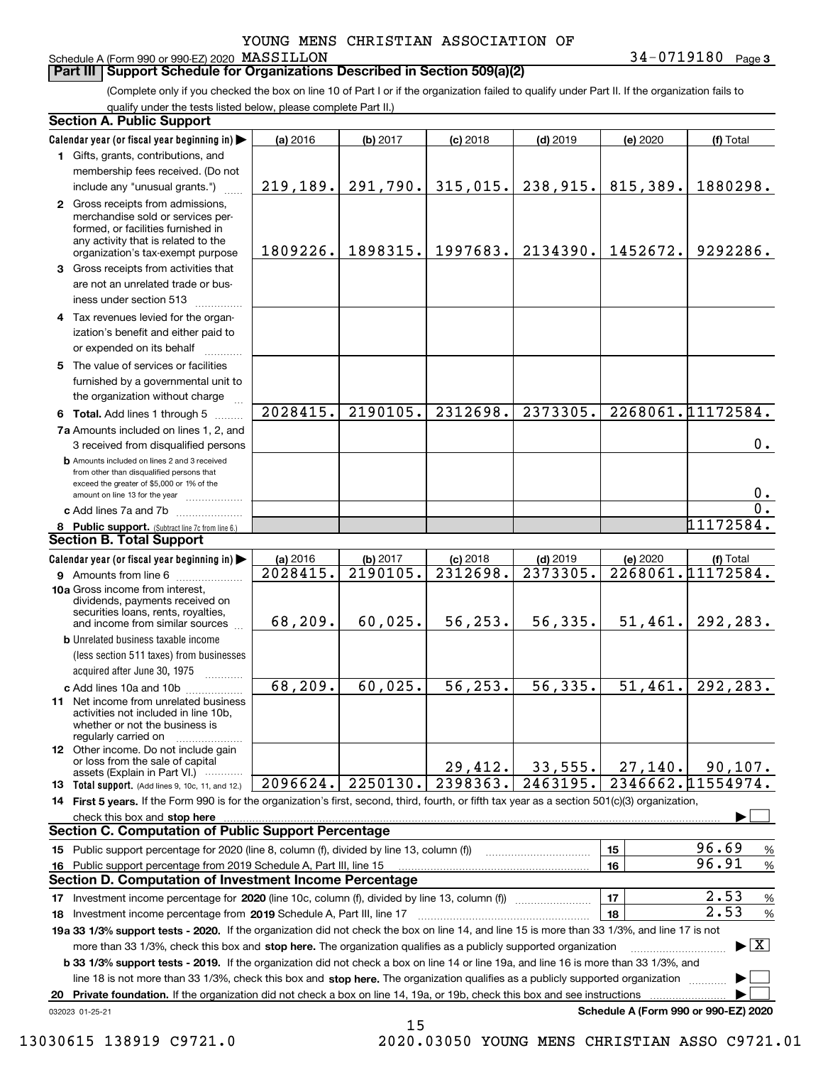Schedule A (Form 990 or 990-EZ) 2020 MASSILLON

**3** MASSILLON 34-0719180

#### **Part III Support Schedule for Organizations Described in Section 509(a)(2)**

(Complete only if you checked the box on line 10 of Part I or if the organization failed to qualify under Part II. If the organization fails to qualify under the tests listed below, please complete Part II.)

|    | <b>Section A. Public Support</b>                                                                                                                                                         |           |          |            |                        |                                      |                                          |
|----|------------------------------------------------------------------------------------------------------------------------------------------------------------------------------------------|-----------|----------|------------|------------------------|--------------------------------------|------------------------------------------|
|    | Calendar year (or fiscal year beginning in)                                                                                                                                              | (a) 2016  | (b) 2017 | $(c)$ 2018 | $(d)$ 2019             | (e) 2020                             | (f) Total                                |
|    | 1 Gifts, grants, contributions, and                                                                                                                                                      |           |          |            |                        |                                      |                                          |
|    | membership fees received. (Do not                                                                                                                                                        |           |          |            |                        |                                      |                                          |
|    | include any "unusual grants.")                                                                                                                                                           | 219, 189. | 291,790. | 315,015.   | 238,915.               | 815,389.                             | 1880298.                                 |
|    | 2 Gross receipts from admissions,<br>merchandise sold or services per-<br>formed, or facilities furnished in<br>any activity that is related to the<br>organization's tax-exempt purpose | 1809226.  | 1898315. | 1997683.   | 2134390.               | 1452672.                             | 9292286.                                 |
|    | 3 Gross receipts from activities that<br>are not an unrelated trade or bus-<br>iness under section 513                                                                                   |           |          |            |                        |                                      |                                          |
|    | 4 Tax revenues levied for the organ-<br>ization's benefit and either paid to<br>or expended on its behalf                                                                                |           |          |            |                        |                                      |                                          |
|    | 5 The value of services or facilities<br>furnished by a governmental unit to<br>the organization without charge                                                                          |           |          |            |                        |                                      |                                          |
|    | 6 Total. Add lines 1 through 5                                                                                                                                                           | 2028415.  | 2190105. | 2312698.   | 2373305.               |                                      | 2268061.11172584.                        |
|    | 7a Amounts included on lines 1, 2, and                                                                                                                                                   |           |          |            |                        |                                      |                                          |
|    | 3 received from disqualified persons                                                                                                                                                     |           |          |            |                        |                                      | 0.                                       |
|    | <b>b</b> Amounts included on lines 2 and 3 received<br>from other than disqualified persons that<br>exceed the greater of \$5,000 or 1% of the<br>amount on line 13 for the year         |           |          |            |                        |                                      | 0.                                       |
|    | c Add lines 7a and 7b                                                                                                                                                                    |           |          |            |                        |                                      | 0.                                       |
|    | 8 Public support. (Subtract line 7c from line 6.)                                                                                                                                        |           |          |            |                        |                                      | $11\overline{172584.}$                   |
|    | <b>Section B. Total Support</b>                                                                                                                                                          |           |          |            |                        |                                      |                                          |
|    | Calendar year (or fiscal year beginning in)                                                                                                                                              | (a) 2016  | (b) 2017 | $(c)$ 2018 | $(d)$ 2019             | (e) 2020                             | (f) Total                                |
|    | 9 Amounts from line 6                                                                                                                                                                    | 2028415.  | 2190105. | 2312698.   | 2373305.               |                                      | 2268061.11172584.                        |
|    | 10a Gross income from interest,<br>dividends, payments received on<br>securities loans, rents, royalties,<br>and income from similar sources                                             | 68,209.   | 60,025.  | 56, 253.   | 56,335.                | 51,461.                              | 292,283.                                 |
|    | <b>b</b> Unrelated business taxable income                                                                                                                                               |           |          |            |                        |                                      |                                          |
|    | (less section 511 taxes) from businesses                                                                                                                                                 |           |          |            |                        |                                      |                                          |
|    | acquired after June 30, 1975                                                                                                                                                             |           |          |            |                        |                                      |                                          |
|    | c Add lines 10a and 10b<br>11 Net income from unrelated business<br>activities not included in line 10b,<br>whether or not the business is<br>regularly carried on                       | 68,209.   | 60,025.  | 56, 253.   | 56,335.                | 51,461.                              | 292, 283.                                |
|    | <b>12</b> Other income. Do not include gain<br>or loss from the sale of capital                                                                                                          |           |          |            |                        |                                      |                                          |
|    | assets (Explain in Part VI.)                                                                                                                                                             |           |          | 29,412.    | 33,555.                | 27,140.                              | 90, 107.                                 |
|    | 13 Total support. (Add lines 9, 10c, 11, and 12.)                                                                                                                                        | 2096624.  | 2250130. | 2398363.   | $\overline{2}$ 463195. |                                      | 2346662.11554974.                        |
|    | 14 First 5 years. If the Form 990 is for the organization's first, second, third, fourth, or fifth tax year as a section 501(c)(3) organization,                                         |           |          |            |                        |                                      |                                          |
|    | check this box and stop here with an intermediate control to the state of the state of the state of the state o<br><b>Section C. Computation of Public Support Percentage</b>            |           |          |            |                        |                                      |                                          |
|    | 15 Public support percentage for 2020 (line 8, column (f), divided by line 13, column (f))                                                                                               |           |          |            |                        | 15                                   | 96.69<br>%                               |
|    | 16 Public support percentage from 2019 Schedule A, Part III, line 15                                                                                                                     |           |          |            |                        | 16                                   | 96.91<br>$\%$                            |
|    | <b>Section D. Computation of Investment Income Percentage</b>                                                                                                                            |           |          |            |                        |                                      |                                          |
|    | 17 Investment income percentage for 2020 (line 10c, column (f), divided by line 13, column (f))                                                                                          |           |          |            |                        | 17                                   | 2.53<br>$\%$                             |
|    | 18 Investment income percentage from 2019 Schedule A, Part III, line 17                                                                                                                  |           |          |            |                        | 18                                   | 2.53<br>%                                |
|    | 19a 33 1/3% support tests - 2020. If the organization did not check the box on line 14, and line 15 is more than 33 1/3%, and line 17 is not                                             |           |          |            |                        |                                      |                                          |
|    | more than 33 1/3%, check this box and stop here. The organization qualifies as a publicly supported organization                                                                         |           |          |            |                        |                                      | $\blacktriangleright$ $\boxed{\text{X}}$ |
|    | <b>b 33 1/3% support tests - 2019.</b> If the organization did not check a box on line 14 or line 19a, and line 16 is more than 33 1/3%, and                                             |           |          |            |                        |                                      |                                          |
|    | line 18 is not more than 33 1/3%, check this box and stop here. The organization qualifies as a publicly supported organization                                                          |           |          |            |                        |                                      |                                          |
| 20 | Private foundation. If the organization did not check a box on line 14, 19a, or 19b, check this box and see instructions                                                                 |           |          |            |                        |                                      |                                          |
|    | 032023 01-25-21                                                                                                                                                                          |           |          |            |                        | Schedule A (Form 990 or 990-EZ) 2020 |                                          |

15

 <sup>13030615 138919</sup> C9721.0 2020.03050 YOUNG MENS CHRISTIAN ASSO C9721.01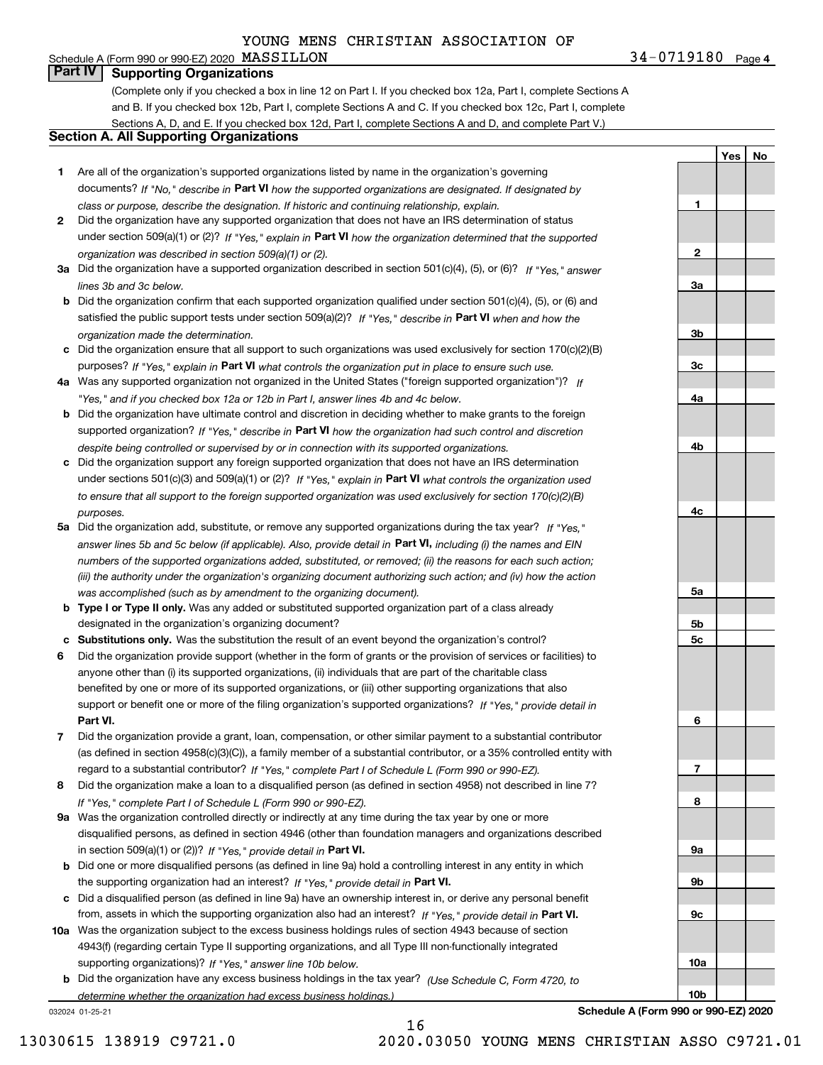#### **4**MASSILLON 34-0719180 Schedule A (Form 990 or 990-EZ) 2020 MASSILLON **Part IV Supporting Organizations**

(Complete only if you checked a box in line 12 on Part I. If you checked box 12a, Part I, complete Sections A and B. If you checked box 12b, Part I, complete Sections A and C. If you checked box 12c, Part I, complete Sections A, D, and E. If you checked box 12d, Part I, complete Sections A and D, and complete Part V.)

#### **Section A. All Supporting Organizations**

- **1** Are all of the organization's supported organizations listed by name in the organization's governing documents? If "No," describe in **Part VI** how the supported organizations are designated. If designated by *class or purpose, describe the designation. If historic and continuing relationship, explain.*
- **2** Did the organization have any supported organization that does not have an IRS determination of status under section 509(a)(1) or (2)? If "Yes," explain in Part VI how the organization determined that the supported *organization was described in section 509(a)(1) or (2).*
- **3a** Did the organization have a supported organization described in section 501(c)(4), (5), or (6)? If "Yes," answer *lines 3b and 3c below.*
- **b** Did the organization confirm that each supported organization qualified under section 501(c)(4), (5), or (6) and satisfied the public support tests under section 509(a)(2)? If "Yes," describe in **Part VI** when and how the *organization made the determination.*
- **c**Did the organization ensure that all support to such organizations was used exclusively for section 170(c)(2)(B) purposes? If "Yes," explain in **Part VI** what controls the organization put in place to ensure such use.
- **4a***If* Was any supported organization not organized in the United States ("foreign supported organization")? *"Yes," and if you checked box 12a or 12b in Part I, answer lines 4b and 4c below.*
- **b** Did the organization have ultimate control and discretion in deciding whether to make grants to the foreign supported organization? If "Yes," describe in **Part VI** how the organization had such control and discretion *despite being controlled or supervised by or in connection with its supported organizations.*
- **c** Did the organization support any foreign supported organization that does not have an IRS determination under sections 501(c)(3) and 509(a)(1) or (2)? If "Yes," explain in **Part VI** what controls the organization used *to ensure that all support to the foreign supported organization was used exclusively for section 170(c)(2)(B) purposes.*
- **5a** Did the organization add, substitute, or remove any supported organizations during the tax year? If "Yes," answer lines 5b and 5c below (if applicable). Also, provide detail in **Part VI,** including (i) the names and EIN *numbers of the supported organizations added, substituted, or removed; (ii) the reasons for each such action; (iii) the authority under the organization's organizing document authorizing such action; and (iv) how the action was accomplished (such as by amendment to the organizing document).*
- **b** Type I or Type II only. Was any added or substituted supported organization part of a class already designated in the organization's organizing document?
- **cSubstitutions only.**  Was the substitution the result of an event beyond the organization's control?
- **6** Did the organization provide support (whether in the form of grants or the provision of services or facilities) to **Part VI.** *If "Yes," provide detail in* support or benefit one or more of the filing organization's supported organizations? anyone other than (i) its supported organizations, (ii) individuals that are part of the charitable class benefited by one or more of its supported organizations, or (iii) other supporting organizations that also
- **7**Did the organization provide a grant, loan, compensation, or other similar payment to a substantial contributor *If "Yes," complete Part I of Schedule L (Form 990 or 990-EZ).* regard to a substantial contributor? (as defined in section 4958(c)(3)(C)), a family member of a substantial contributor, or a 35% controlled entity with
- **8** Did the organization make a loan to a disqualified person (as defined in section 4958) not described in line 7? *If "Yes," complete Part I of Schedule L (Form 990 or 990-EZ).*
- **9a** Was the organization controlled directly or indirectly at any time during the tax year by one or more in section 509(a)(1) or (2))? If "Yes," *provide detail in* <code>Part VI.</code> disqualified persons, as defined in section 4946 (other than foundation managers and organizations described
- **b** Did one or more disqualified persons (as defined in line 9a) hold a controlling interest in any entity in which the supporting organization had an interest? If "Yes," provide detail in P**art VI**.
- **c**Did a disqualified person (as defined in line 9a) have an ownership interest in, or derive any personal benefit from, assets in which the supporting organization also had an interest? If "Yes," provide detail in P**art VI.**
- **10a** Was the organization subject to the excess business holdings rules of section 4943 because of section supporting organizations)? If "Yes," answer line 10b below. 4943(f) (regarding certain Type II supporting organizations, and all Type III non-functionally integrated
- **b** Did the organization have any excess business holdings in the tax year? (Use Schedule C, Form 4720, to *determine whether the organization had excess business holdings.)*

16

032024 01-25-21

**789a 9b**

**YesNo**

**1**

**2**

**3a**

**3b**

**3c**

**4a**

**4b**

**4c**

**5a**

**5b5c**

**6**

**9c**

**10a**

**10b**

**Schedule A (Form 990 or 990-EZ) 2020**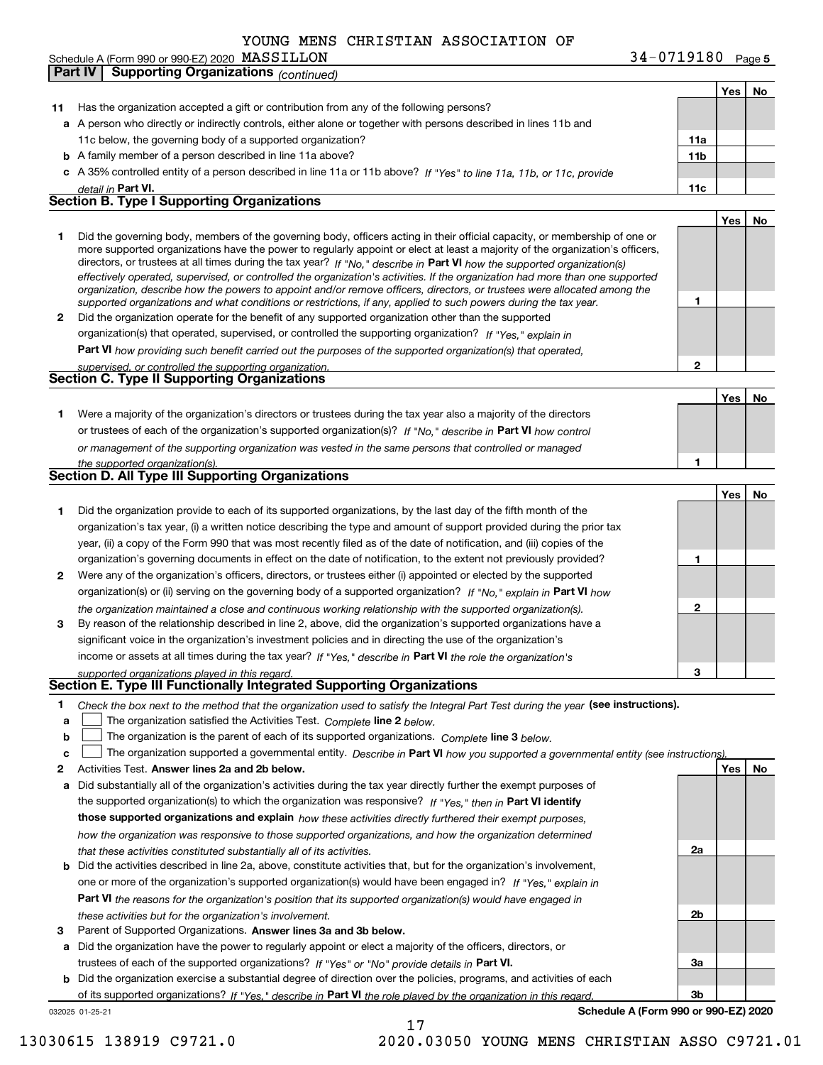|    | Schedule A (Form 990 or 990-EZ) 2020 $\,$ ${\tt MASSILLON}$                                                                                                                                                                                                                                                                                                                                                                                                                                                                                                                                                                                                                                                                                                              | 34-0719180 Page 5 |            |    |
|----|--------------------------------------------------------------------------------------------------------------------------------------------------------------------------------------------------------------------------------------------------------------------------------------------------------------------------------------------------------------------------------------------------------------------------------------------------------------------------------------------------------------------------------------------------------------------------------------------------------------------------------------------------------------------------------------------------------------------------------------------------------------------------|-------------------|------------|----|
|    | Part IV<br><b>Supporting Organizations (continued)</b>                                                                                                                                                                                                                                                                                                                                                                                                                                                                                                                                                                                                                                                                                                                   |                   |            |    |
|    |                                                                                                                                                                                                                                                                                                                                                                                                                                                                                                                                                                                                                                                                                                                                                                          |                   | Yes        | No |
| 11 | Has the organization accepted a gift or contribution from any of the following persons?                                                                                                                                                                                                                                                                                                                                                                                                                                                                                                                                                                                                                                                                                  |                   |            |    |
|    | a A person who directly or indirectly controls, either alone or together with persons described in lines 11b and                                                                                                                                                                                                                                                                                                                                                                                                                                                                                                                                                                                                                                                         |                   |            |    |
|    | 11c below, the governing body of a supported organization?                                                                                                                                                                                                                                                                                                                                                                                                                                                                                                                                                                                                                                                                                                               | 11a               |            |    |
|    | <b>b</b> A family member of a person described in line 11a above?                                                                                                                                                                                                                                                                                                                                                                                                                                                                                                                                                                                                                                                                                                        | 11 <sub>b</sub>   |            |    |
|    | c A 35% controlled entity of a person described in line 11a or 11b above? If "Yes" to line 11a, 11b, or 11c, provide                                                                                                                                                                                                                                                                                                                                                                                                                                                                                                                                                                                                                                                     |                   |            |    |
|    | detail in Part VI.                                                                                                                                                                                                                                                                                                                                                                                                                                                                                                                                                                                                                                                                                                                                                       | 11c               |            |    |
|    | <b>Section B. Type I Supporting Organizations</b>                                                                                                                                                                                                                                                                                                                                                                                                                                                                                                                                                                                                                                                                                                                        |                   |            |    |
|    |                                                                                                                                                                                                                                                                                                                                                                                                                                                                                                                                                                                                                                                                                                                                                                          |                   | Yes        | No |
| 1  | Did the governing body, members of the governing body, officers acting in their official capacity, or membership of one or<br>more supported organizations have the power to regularly appoint or elect at least a majority of the organization's officers,<br>directors, or trustees at all times during the tax year? If "No," describe in Part VI how the supported organization(s)<br>effectively operated, supervised, or controlled the organization's activities. If the organization had more than one supported<br>organization, describe how the powers to appoint and/or remove officers, directors, or trustees were allocated among the<br>supported organizations and what conditions or restrictions, if any, applied to such powers during the tax year. | 1                 |            |    |
| 2  | Did the organization operate for the benefit of any supported organization other than the supported                                                                                                                                                                                                                                                                                                                                                                                                                                                                                                                                                                                                                                                                      |                   |            |    |
|    | organization(s) that operated, supervised, or controlled the supporting organization? If "Yes," explain in                                                                                                                                                                                                                                                                                                                                                                                                                                                                                                                                                                                                                                                               |                   |            |    |
|    | <b>Part VI</b> how providing such benefit carried out the purposes of the supported organization(s) that operated,                                                                                                                                                                                                                                                                                                                                                                                                                                                                                                                                                                                                                                                       |                   |            |    |
|    | supervised, or controlled the supporting organization.                                                                                                                                                                                                                                                                                                                                                                                                                                                                                                                                                                                                                                                                                                                   | $\mathbf{2}$      |            |    |
|    | <b>Section C. Type II Supporting Organizations</b>                                                                                                                                                                                                                                                                                                                                                                                                                                                                                                                                                                                                                                                                                                                       |                   |            |    |
|    |                                                                                                                                                                                                                                                                                                                                                                                                                                                                                                                                                                                                                                                                                                                                                                          |                   | Yes        | No |
| 1  | Were a majority of the organization's directors or trustees during the tax year also a majority of the directors                                                                                                                                                                                                                                                                                                                                                                                                                                                                                                                                                                                                                                                         |                   |            |    |
|    | or trustees of each of the organization's supported organization(s)? If "No," describe in Part VI how control                                                                                                                                                                                                                                                                                                                                                                                                                                                                                                                                                                                                                                                            |                   |            |    |
|    |                                                                                                                                                                                                                                                                                                                                                                                                                                                                                                                                                                                                                                                                                                                                                                          |                   |            |    |
|    | or management of the supporting organization was vested in the same persons that controlled or managed                                                                                                                                                                                                                                                                                                                                                                                                                                                                                                                                                                                                                                                                   | 1                 |            |    |
|    | the supported organization(s).<br><b>Section D. All Type III Supporting Organizations</b>                                                                                                                                                                                                                                                                                                                                                                                                                                                                                                                                                                                                                                                                                |                   |            |    |
|    |                                                                                                                                                                                                                                                                                                                                                                                                                                                                                                                                                                                                                                                                                                                                                                          |                   | Yes        |    |
|    |                                                                                                                                                                                                                                                                                                                                                                                                                                                                                                                                                                                                                                                                                                                                                                          |                   |            | No |
| 1  | Did the organization provide to each of its supported organizations, by the last day of the fifth month of the                                                                                                                                                                                                                                                                                                                                                                                                                                                                                                                                                                                                                                                           |                   |            |    |
|    | organization's tax year, (i) a written notice describing the type and amount of support provided during the prior tax                                                                                                                                                                                                                                                                                                                                                                                                                                                                                                                                                                                                                                                    |                   |            |    |
|    | year, (ii) a copy of the Form 990 that was most recently filed as of the date of notification, and (iii) copies of the                                                                                                                                                                                                                                                                                                                                                                                                                                                                                                                                                                                                                                                   |                   |            |    |
|    | organization's governing documents in effect on the date of notification, to the extent not previously provided?                                                                                                                                                                                                                                                                                                                                                                                                                                                                                                                                                                                                                                                         | 1                 |            |    |
| 2  | Were any of the organization's officers, directors, or trustees either (i) appointed or elected by the supported                                                                                                                                                                                                                                                                                                                                                                                                                                                                                                                                                                                                                                                         |                   |            |    |
|    | organization(s) or (ii) serving on the governing body of a supported organization? If "No," explain in Part VI how                                                                                                                                                                                                                                                                                                                                                                                                                                                                                                                                                                                                                                                       |                   |            |    |
|    | the organization maintained a close and continuous working relationship with the supported organization(s).                                                                                                                                                                                                                                                                                                                                                                                                                                                                                                                                                                                                                                                              | 2                 |            |    |
| 3  | By reason of the relationship described in line 2, above, did the organization's supported organizations have a                                                                                                                                                                                                                                                                                                                                                                                                                                                                                                                                                                                                                                                          |                   |            |    |
|    | significant voice in the organization's investment policies and in directing the use of the organization's                                                                                                                                                                                                                                                                                                                                                                                                                                                                                                                                                                                                                                                               |                   |            |    |
|    | income or assets at all times during the tax year? If "Yes," describe in Part VI the role the organization's                                                                                                                                                                                                                                                                                                                                                                                                                                                                                                                                                                                                                                                             |                   |            |    |
|    | supported organizations played in this regard.                                                                                                                                                                                                                                                                                                                                                                                                                                                                                                                                                                                                                                                                                                                           | 3                 |            |    |
|    | Section E. Type III Functionally Integrated Supporting Organizations                                                                                                                                                                                                                                                                                                                                                                                                                                                                                                                                                                                                                                                                                                     |                   |            |    |
| 1. | Check the box next to the method that the organization used to satisfy the Integral Part Test during the year (see instructions).                                                                                                                                                                                                                                                                                                                                                                                                                                                                                                                                                                                                                                        |                   |            |    |
| a  | The organization satisfied the Activities Test. Complete line 2 below.                                                                                                                                                                                                                                                                                                                                                                                                                                                                                                                                                                                                                                                                                                   |                   |            |    |
| b  | The organization is the parent of each of its supported organizations. Complete line 3 below.                                                                                                                                                                                                                                                                                                                                                                                                                                                                                                                                                                                                                                                                            |                   |            |    |
| c  | The organization supported a governmental entity. Describe in Part VI how you supported a governmental entity (see instructions)                                                                                                                                                                                                                                                                                                                                                                                                                                                                                                                                                                                                                                         |                   |            |    |
| 2  | Activities Test. Answer lines 2a and 2b below.                                                                                                                                                                                                                                                                                                                                                                                                                                                                                                                                                                                                                                                                                                                           |                   | <b>Yes</b> | No |
|    | <b>a</b> Did substantially all of the organization's activities during the tax year directly further the exempt purposes of                                                                                                                                                                                                                                                                                                                                                                                                                                                                                                                                                                                                                                              |                   |            |    |
|    | the cunnorted organization(c) to which the organization was responsive? If $V_{\text{res}}$ then in <b>Dart VI identify</b>                                                                                                                                                                                                                                                                                                                                                                                                                                                                                                                                                                                                                                              |                   |            |    |

the supported organization(s) to which the organization was responsive? If "Yes," then in **Part VI identify those supported organizations and explain**  *how these activities directly furthered their exempt purposes, how the organization was responsive to those supported organizations, and how the organization determined that these activities constituted substantially all of its activities.*

- **b** Did the activities described in line 2a, above, constitute activities that, but for the organization's involvement, **Part VI**  *the reasons for the organization's position that its supported organization(s) would have engaged in* one or more of the organization's supported organization(s) would have been engaged in? If "Yes," e*xplain in these activities but for the organization's involvement.*
- **3** Parent of Supported Organizations. Answer lines 3a and 3b below.

**a** Did the organization have the power to regularly appoint or elect a majority of the officers, directors, or trustees of each of the supported organizations? If "Yes" or "No" provide details in P**art VI.** 

032025 01-25-21 **b** Did the organization exercise a substantial degree of direction over the policies, programs, and activities of each of its supported organizations? If "Yes," describe in Part VI the role played by the organization in this regard.

**Schedule A (Form 990 or 990-EZ) 2020**

**2a**

**2b**

**3a**

**3b**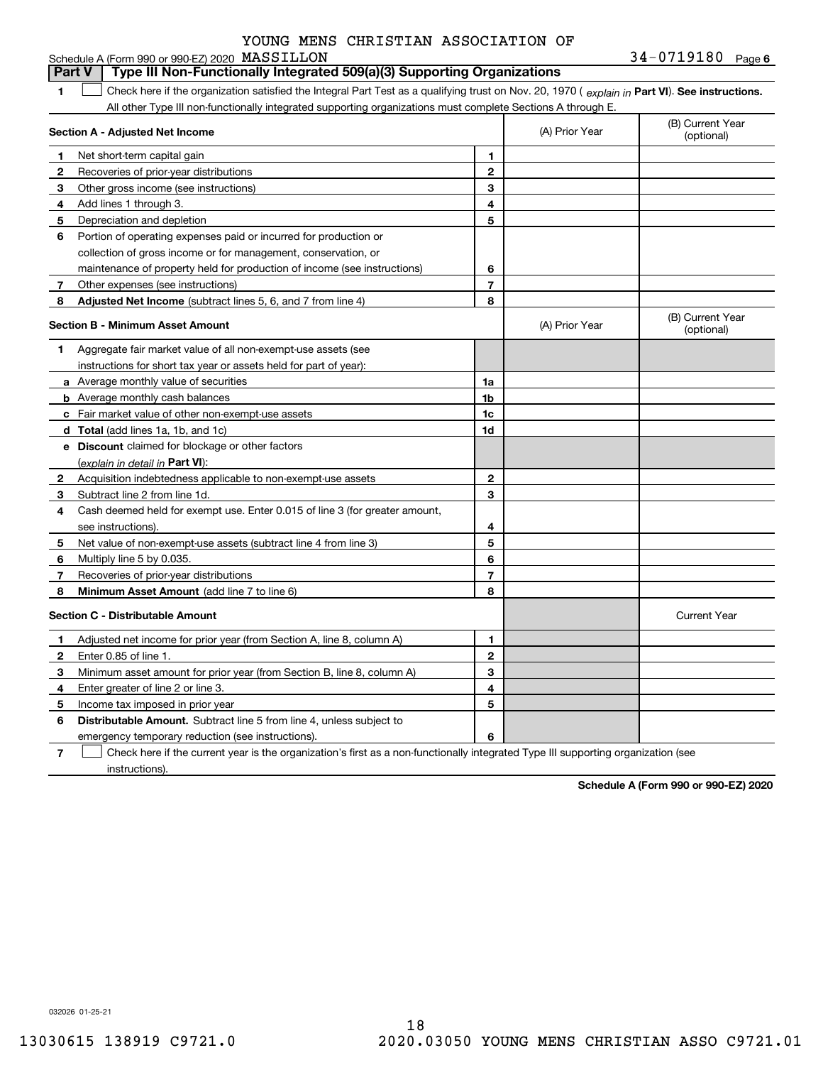| Schedule A (Form 990 or 990-EZ) 2020 $\rm\,MASSILLON$ | $34 - 0719180$ Page 6 |
|-------------------------------------------------------|-----------------------|
|-------------------------------------------------------|-----------------------|

#### **1Part VI** Check here if the organization satisfied the Integral Part Test as a qualifying trust on Nov. 20, 1970 ( *explain in* Part **VI**). See instructions. **Section A - Adjusted Net Income 123** Other gross income (see instructions) **456** Portion of operating expenses paid or incurred for production or **7** Other expenses (see instructions) **8** Adjusted Net Income (subtract lines 5, 6, and 7 from line 4) **8 8 1234567Section B - Minimum Asset Amount 1**Aggregate fair market value of all non-exempt-use assets (see **2**Acquisition indebtedness applicable to non-exempt-use assets **3** Subtract line 2 from line 1d. **4**Cash deemed held for exempt use. Enter 0.015 of line 3 (for greater amount, **5** Net value of non-exempt-use assets (subtract line 4 from line 3) **678a** Average monthly value of securities **b** Average monthly cash balances **c**Fair market value of other non-exempt-use assets **dTotal**  (add lines 1a, 1b, and 1c) **eDiscount** claimed for blockage or other factors **1a1b1c1d2345678**(explain in detail in Part VI): **Minimum Asset Amount**  (add line 7 to line 6) **Section C - Distributable Amount 123456123456Distributable Amount.** Subtract line 5 from line 4, unless subject to All other Type III non-functionally integrated supporting organizations must complete Sections A through E. (B) Current Year (optional)(A) Prior Year Net short-term capital gain Recoveries of prior-year distributions Add lines 1 through 3. Depreciation and depletion collection of gross income or for management, conservation, or maintenance of property held for production of income (see instructions) (B) Current Year (optional)(A) Prior Year instructions for short tax year or assets held for part of year): see instructions). Multiply line 5 by 0.035. Recoveries of prior-year distributions Current Year Adjusted net income for prior year (from Section A, line 8, column A) Enter 0.85 of line 1. Minimum asset amount for prior year (from Section B, line 8, column A) Enter greater of line 2 or line 3. Income tax imposed in prior year emergency temporary reduction (see instructions). **Part V Type III Non-Functionally Integrated 509(a)(3) Supporting Organizations**   $\mathcal{L}^{\text{max}}$

**7**Check here if the current year is the organization's first as a non-functionally integrated Type III supporting organization (see instructions). $\mathcal{L}^{\text{max}}$ 

**Schedule A (Form 990 or 990-EZ) 2020**

032026 01-25-21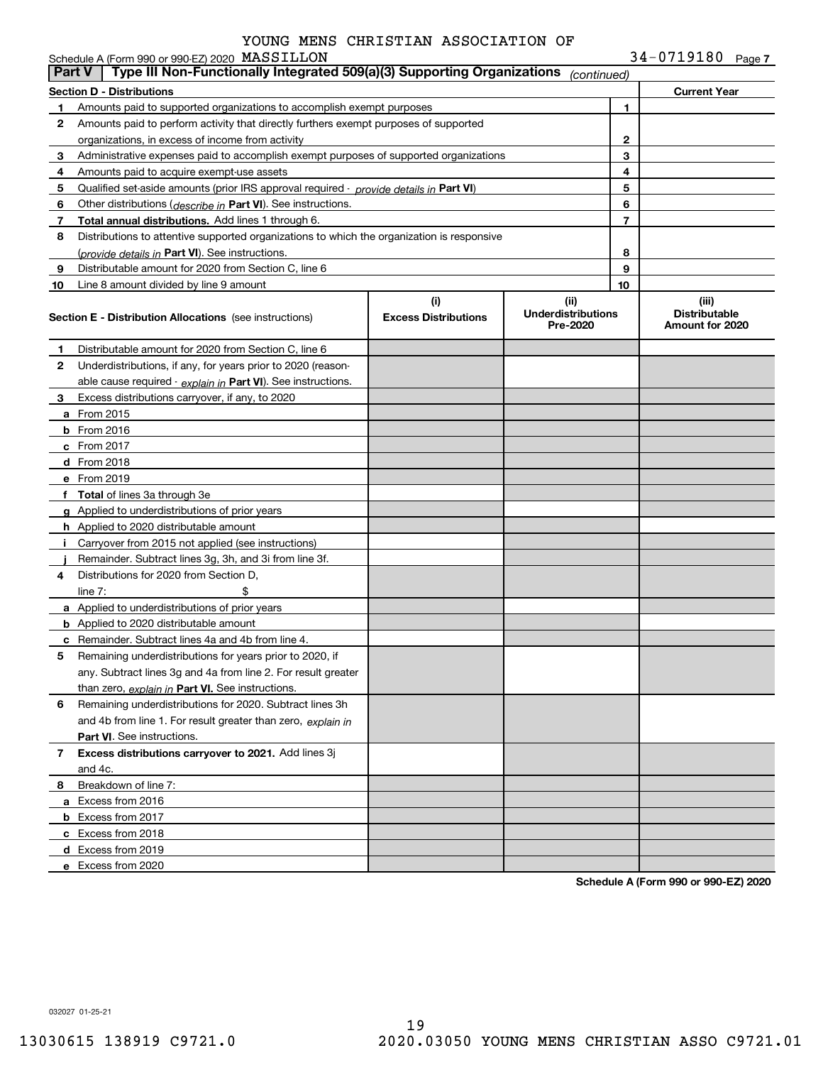|  |  | $34 - 0719180$ Page 7 |  |
|--|--|-----------------------|--|
|--|--|-----------------------|--|

|               | Schedule A (Form 990 or 990-EZ) 2020 MASSILLON                                             |                                    |                                               |                | 34-0719180 Page 7                                |
|---------------|--------------------------------------------------------------------------------------------|------------------------------------|-----------------------------------------------|----------------|--------------------------------------------------|
| <b>Part V</b> | Type III Non-Functionally Integrated 509(a)(3) Supporting Organizations                    |                                    | (continued)                                   |                |                                                  |
|               | <b>Section D - Distributions</b>                                                           |                                    |                                               |                | <b>Current Year</b>                              |
| 1             | Amounts paid to supported organizations to accomplish exempt purposes                      |                                    |                                               | 1              |                                                  |
| 2             | Amounts paid to perform activity that directly furthers exempt purposes of supported       |                                    |                                               |                |                                                  |
|               | organizations, in excess of income from activity                                           |                                    |                                               | 2              |                                                  |
| 3             | Administrative expenses paid to accomplish exempt purposes of supported organizations      |                                    |                                               | 3              |                                                  |
| 4             | Amounts paid to acquire exempt-use assets                                                  |                                    |                                               | 4              |                                                  |
| 5             | Qualified set aside amounts (prior IRS approval required - provide details in Part VI)     |                                    |                                               | 5              |                                                  |
| 6             | Other distributions ( <i>describe in</i> Part VI). See instructions.                       |                                    |                                               | 6              |                                                  |
| 7             | Total annual distributions. Add lines 1 through 6.                                         |                                    |                                               | $\overline{7}$ |                                                  |
| 8             | Distributions to attentive supported organizations to which the organization is responsive |                                    |                                               |                |                                                  |
|               | (provide details in Part VI). See instructions.                                            |                                    |                                               | 8              |                                                  |
| 9             | Distributable amount for 2020 from Section C, line 6                                       |                                    |                                               | 9              |                                                  |
| 10            | Line 8 amount divided by line 9 amount                                                     |                                    |                                               | 10             |                                                  |
|               | <b>Section E - Distribution Allocations</b> (see instructions)                             | (i)<br><b>Excess Distributions</b> | (ii)<br><b>Underdistributions</b><br>Pre-2020 |                | (iii)<br><b>Distributable</b><br>Amount for 2020 |
| 1.            | Distributable amount for 2020 from Section C, line 6                                       |                                    |                                               |                |                                                  |
| 2             | Underdistributions, if any, for years prior to 2020 (reason-                               |                                    |                                               |                |                                                  |
|               | able cause required - explain in Part VI). See instructions.                               |                                    |                                               |                |                                                  |
| 3             | Excess distributions carryover, if any, to 2020                                            |                                    |                                               |                |                                                  |
|               | <b>a</b> From 2015                                                                         |                                    |                                               |                |                                                  |
|               | <b>b</b> From 2016                                                                         |                                    |                                               |                |                                                  |
|               | $c$ From 2017                                                                              |                                    |                                               |                |                                                  |
|               | <b>d</b> From 2018                                                                         |                                    |                                               |                |                                                  |
|               | e From 2019                                                                                |                                    |                                               |                |                                                  |
|               | f Total of lines 3a through 3e                                                             |                                    |                                               |                |                                                  |
|               | g Applied to underdistributions of prior years                                             |                                    |                                               |                |                                                  |
|               | <b>h</b> Applied to 2020 distributable amount                                              |                                    |                                               |                |                                                  |
| Ť.            | Carryover from 2015 not applied (see instructions)                                         |                                    |                                               |                |                                                  |
|               | Remainder. Subtract lines 3g, 3h, and 3i from line 3f.                                     |                                    |                                               |                |                                                  |
| 4             | Distributions for 2020 from Section D.                                                     |                                    |                                               |                |                                                  |
|               | line $7:$<br>\$                                                                            |                                    |                                               |                |                                                  |
|               | <b>a</b> Applied to underdistributions of prior years                                      |                                    |                                               |                |                                                  |
|               | <b>b</b> Applied to 2020 distributable amount                                              |                                    |                                               |                |                                                  |
|               | <b>c</b> Remainder. Subtract lines 4a and 4b from line 4.                                  |                                    |                                               |                |                                                  |
| 5             | Remaining underdistributions for years prior to 2020, if                                   |                                    |                                               |                |                                                  |
|               | any. Subtract lines 3g and 4a from line 2. For result greater                              |                                    |                                               |                |                                                  |
|               | than zero, explain in Part VI. See instructions.                                           |                                    |                                               |                |                                                  |
| 6             | Remaining underdistributions for 2020. Subtract lines 3h                                   |                                    |                                               |                |                                                  |
|               | and 4b from line 1. For result greater than zero, explain in                               |                                    |                                               |                |                                                  |
|               | <b>Part VI.</b> See instructions.                                                          |                                    |                                               |                |                                                  |
| 7             | Excess distributions carryover to 2021. Add lines 3j                                       |                                    |                                               |                |                                                  |
|               | and 4c.                                                                                    |                                    |                                               |                |                                                  |
| 8             | Breakdown of line 7:                                                                       |                                    |                                               |                |                                                  |
|               | a Excess from 2016                                                                         |                                    |                                               |                |                                                  |
|               | <b>b</b> Excess from 2017                                                                  |                                    |                                               |                |                                                  |
|               | c Excess from 2018                                                                         |                                    |                                               |                |                                                  |
|               | d Excess from 2019                                                                         |                                    |                                               |                |                                                  |
|               | e Excess from 2020                                                                         |                                    |                                               |                |                                                  |
|               |                                                                                            |                                    |                                               |                |                                                  |

**Schedule A (Form 990 or 990-EZ) 2020**

032027 01-25-21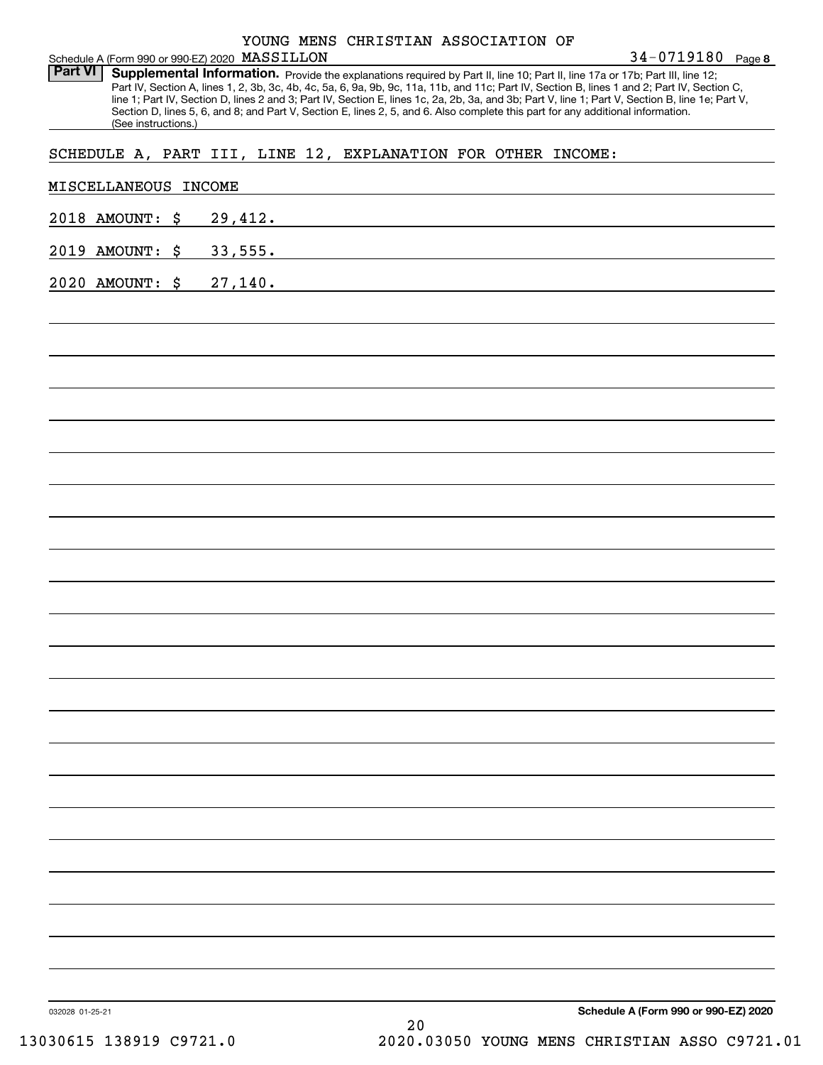|                |  | YOUNG MENS CHRISTIAN ASSOCIATION OF |  |
|----------------|--|-------------------------------------|--|
| --- ------ --- |  |                                     |  |

Part VI | Supplemental Information. Provide the explanations required by Part II, line 10; Part II, line 17a or 17b; Part III, line 12; Part IV, Section A, lines 1, 2, 3b, 3c, 4b, 4c, 5a, 6, 9a, 9b, 9c, 11a, 11b, and 11c; Part IV, Section B, lines 1 and 2; Part IV, Section C, line 1; Part IV, Section D, lines 2 and 3; Part IV, Section E, lines 1c, 2a, 2b, 3a, and 3b; Part V, line 1; Part V, Section B, line 1e; Part V, Section D, lines 5, 6, and 8; and Part V, Section E, lines 2, 5, and 6. Also complete this part for any additional information. (See instructions.)

SCHEDULE A, PART III, LINE 12, EXPLANATION FOR OTHER INCOME:

| MISCELLANEOUS INCOME |         |    |                                      |
|----------------------|---------|----|--------------------------------------|
| 2018 AMOUNT: \$      | 29,412. |    |                                      |
| 2019 AMOUNT: \$      | 33,555. |    |                                      |
| 2020 AMOUNT: \$      | 27,140. |    |                                      |
|                      |         |    |                                      |
|                      |         |    |                                      |
|                      |         |    |                                      |
|                      |         |    |                                      |
|                      |         |    |                                      |
|                      |         |    |                                      |
|                      |         |    |                                      |
|                      |         |    |                                      |
|                      |         |    |                                      |
|                      |         |    |                                      |
|                      |         |    |                                      |
|                      |         |    |                                      |
|                      |         |    |                                      |
|                      |         |    |                                      |
|                      |         |    |                                      |
|                      |         |    |                                      |
|                      |         |    |                                      |
|                      |         |    |                                      |
|                      |         |    |                                      |
|                      |         |    |                                      |
|                      |         |    |                                      |
|                      |         |    |                                      |
|                      |         |    |                                      |
| 032028 01-25-21      |         | 20 | Schedule A (Form 990 or 990-EZ) 2020 |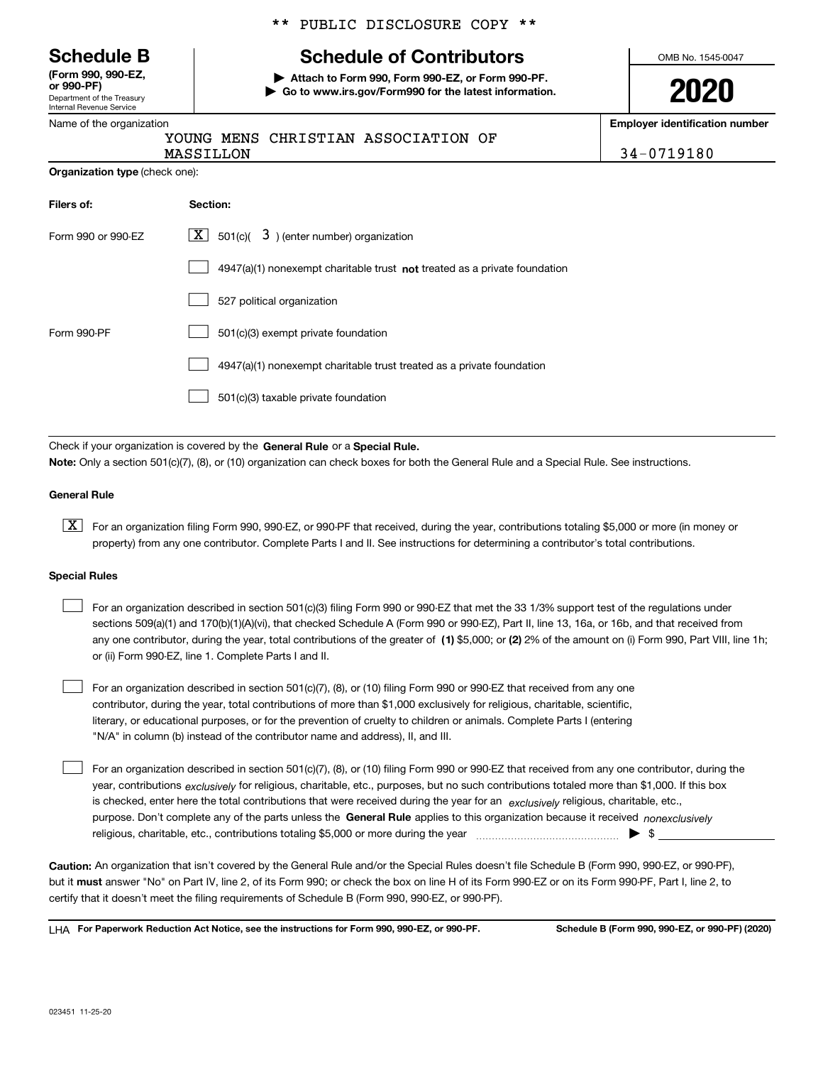| <b>Schedule B</b> |  |  |
|-------------------|--|--|
|-------------------|--|--|

Department of the Treasury Internal Revenue Service **(Form 990, 990-EZ, or 990-PF)**

Name of the organization

\*\* PUBLIC DISCLOSURE COPY \*\*

## **Schedule of Contributors**

**| Attach to Form 990, Form 990-EZ, or Form 990-PF. | Go to www.irs.gov/Form990 for the latest information.** OMB No. 1545-0047

**2020**

**Employer identification number**

|                                       | MASS |
|---------------------------------------|------|
| <b>Organization type (check one):</b> |      |

YOUNG MENS CHRISTIAN ASSOCIATION OF

TLLON 34-0719180

| Filers of:         | Section:                                                                    |
|--------------------|-----------------------------------------------------------------------------|
| Form 990 or 990-EZ | $\lfloor x \rfloor$ 501(c)( 3) (enter number) organization                  |
|                    | $4947(a)(1)$ nonexempt charitable trust not treated as a private foundation |
|                    | 527 political organization                                                  |
| Form 990-PF        | 501(c)(3) exempt private foundation                                         |
|                    | 4947(a)(1) nonexempt charitable trust treated as a private foundation       |
|                    | 501(c)(3) taxable private foundation                                        |

Check if your organization is covered by the **General Rule** or a **Special Rule. Note:**  Only a section 501(c)(7), (8), or (10) organization can check boxes for both the General Rule and a Special Rule. See instructions.

#### **General Rule**

 $\boxed{\textbf{X}}$  For an organization filing Form 990, 990-EZ, or 990-PF that received, during the year, contributions totaling \$5,000 or more (in money or property) from any one contributor. Complete Parts I and II. See instructions for determining a contributor's total contributions.

#### **Special Rules**

| For an organization described in section 501(c)(3) filing Form 990 or 990-EZ that met the 33 1/3% support test of the regulations under               |
|-------------------------------------------------------------------------------------------------------------------------------------------------------|
| sections 509(a)(1) and 170(b)(1)(A)(vi), that checked Schedule A (Form 990 or 990-EZ), Part II, line 13, 16a, or 16b, and that received from          |
| any one contributor, during the year, total contributions of the greater of (1) \$5,000; or (2) 2% of the amount on (i) Form 990, Part VIII, line 1h; |
| or (ii) Form 990-EZ, line 1. Complete Parts I and II.                                                                                                 |

For an organization described in section 501(c)(7), (8), or (10) filing Form 990 or 990-EZ that received from any one contributor, during the year, total contributions of more than \$1,000 exclusively for religious, charitable, scientific, literary, or educational purposes, or for the prevention of cruelty to children or animals. Complete Parts I (entering "N/A" in column (b) instead of the contributor name and address), II, and III.  $\mathcal{L}^{\text{max}}$ 

purpose. Don't complete any of the parts unless the **General Rule** applies to this organization because it received *nonexclusively* year, contributions <sub>exclusively</sub> for religious, charitable, etc., purposes, but no such contributions totaled more than \$1,000. If this box is checked, enter here the total contributions that were received during the year for an  $\;$ exclusively religious, charitable, etc., For an organization described in section 501(c)(7), (8), or (10) filing Form 990 or 990-EZ that received from any one contributor, during the religious, charitable, etc., contributions totaling \$5,000 or more during the year  $\Box$ — $\Box$   $\Box$  $\mathcal{L}^{\text{max}}$ 

**Caution:**  An organization that isn't covered by the General Rule and/or the Special Rules doesn't file Schedule B (Form 990, 990-EZ, or 990-PF),  **must** but it answer "No" on Part IV, line 2, of its Form 990; or check the box on line H of its Form 990-EZ or on its Form 990-PF, Part I, line 2, to certify that it doesn't meet the filing requirements of Schedule B (Form 990, 990-EZ, or 990-PF).

**For Paperwork Reduction Act Notice, see the instructions for Form 990, 990-EZ, or 990-PF. Schedule B (Form 990, 990-EZ, or 990-PF) (2020)** LHA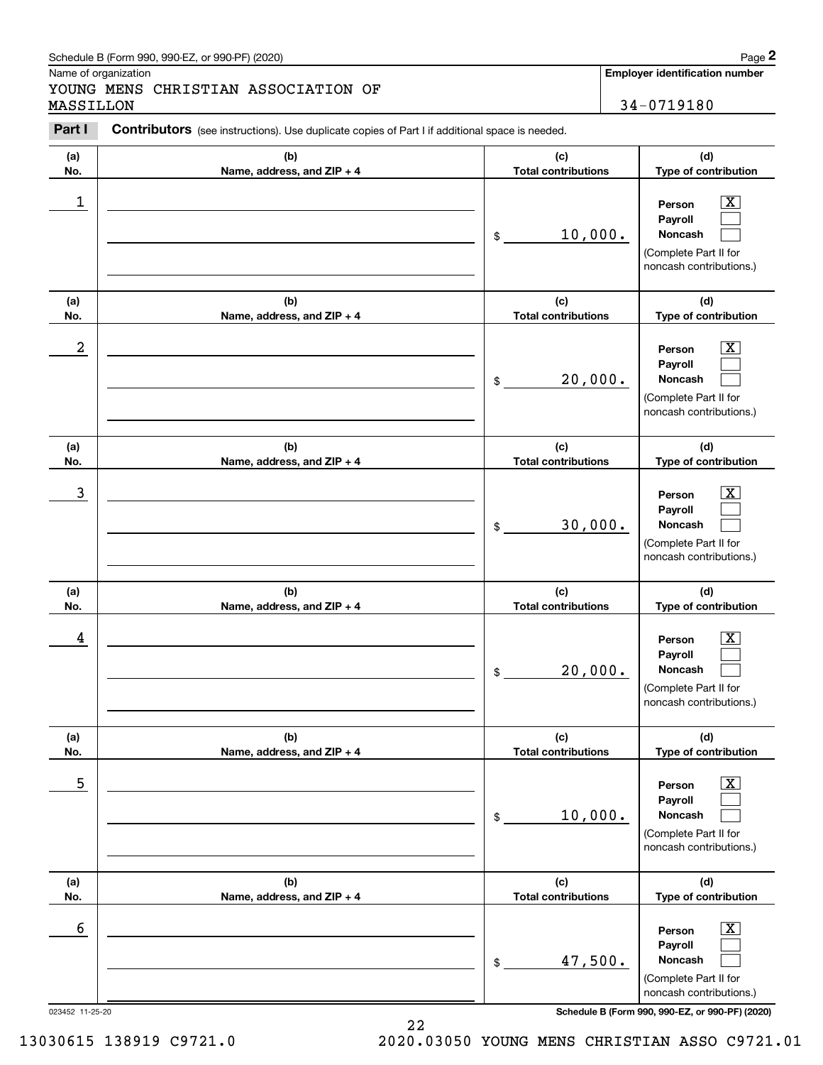### Schedule B (Form 990, 990-EZ, or 990-PF) (2020) **Page 2** Page 2

|                  | Schedule B (Form 990, 990-EZ, or 990-PF) (2020)                                                |                                   | Page 2                                                                                                      |
|------------------|------------------------------------------------------------------------------------------------|-----------------------------------|-------------------------------------------------------------------------------------------------------------|
| MASSILLON        | Name of organization<br>YOUNG MENS CHRISTIAN ASSOCIATION OF                                    |                                   | Employer identification number<br>34-0719180                                                                |
| Part I           | Contributors (see instructions). Use duplicate copies of Part I if additional space is needed. |                                   |                                                                                                             |
| (a)<br>No.       | (b)<br>Name, address, and ZIP + 4                                                              | (c)<br><b>Total contributions</b> | (d)<br>Type of contribution                                                                                 |
| $\mathbf 1$      |                                                                                                | 10,000.<br>\$                     | $\mathbf{X}$<br>Person<br>Payroll<br>Noncash<br>(Complete Part II for<br>noncash contributions.)            |
| (a)<br>No.       | (b)<br>Name, address, and ZIP + 4                                                              | (c)<br><b>Total contributions</b> | (d)<br>Type of contribution                                                                                 |
| $\boldsymbol{2}$ |                                                                                                | 20,000.<br>\$                     | $\mathbf{X}$<br>Person<br>Payroll<br>Noncash<br>(Complete Part II for<br>noncash contributions.)            |
| (a)<br>No.       | (b)<br>Name, address, and ZIP + 4                                                              | (c)<br><b>Total contributions</b> | (d)<br>Type of contribution                                                                                 |
| 3                |                                                                                                | 30,000.<br>\$                     | $\overline{\mathbf{X}}$<br>Person<br>Payroll<br>Noncash<br>(Complete Part II for<br>noncash contributions.) |
| (a)<br>No.       | (b)<br>Name, address, and ZIP + 4                                                              | (c)<br><b>Total contributions</b> | (d)<br>Type of contribution                                                                                 |
| 4                |                                                                                                | 20,000.<br>\$                     | $\mathbf{X}$<br>Person<br>Payroll<br>Noncash<br>(Complete Part II for<br>noncash contributions.)            |
| (a)<br>No.       | (b)<br>Name, address, and ZIP + 4                                                              | (c)<br><b>Total contributions</b> | (d)<br>Type of contribution                                                                                 |
| 5                |                                                                                                | 10,000.<br>\$                     | $\boxed{\text{X}}$<br>Person<br>Payroll<br>Noncash<br>(Complete Part II for<br>noncash contributions.)      |
| (a)<br>No.       | (b)<br>Name, address, and ZIP + 4                                                              | (c)<br><b>Total contributions</b> | (d)<br>Type of contribution                                                                                 |
| 6                |                                                                                                | 47,500.<br>\$                     | $\boxed{\text{X}}$<br>Person<br>Payroll<br>Noncash<br>(Complete Part II for<br>noncash contributions.)      |

023452 11-25-20 **Schedule B (Form 990, 990-EZ, or 990-PF) (2020)**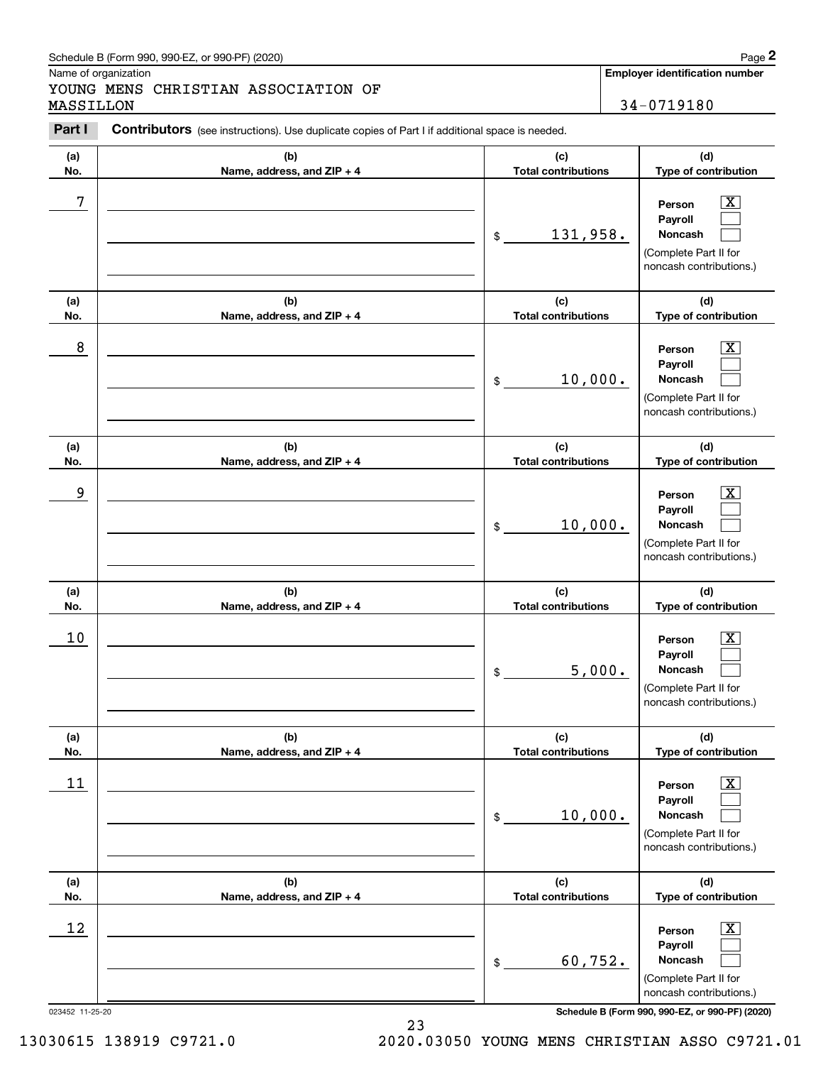### Schedule B (Form 990, 990-EZ, or 990-PF) (2020) **Page 2** Page 2

|            | Schedule B (Form 990, 990-EZ, or 990-PF) (2020)                                                |                                   |        | Page 2                                                                                                      |
|------------|------------------------------------------------------------------------------------------------|-----------------------------------|--------|-------------------------------------------------------------------------------------------------------------|
| MASSILLON  | Name of organization<br>YOUNG MENS CHRISTIAN ASSOCIATION OF                                    |                                   |        | <b>Employer identification number</b><br>34-0719180                                                         |
| Part I     | Contributors (see instructions). Use duplicate copies of Part I if additional space is needed. |                                   |        |                                                                                                             |
| (a)<br>No. | (b)<br>Name, address, and ZIP + 4                                                              | (c)<br><b>Total contributions</b> |        | (d)<br>Type of contribution                                                                                 |
| 7          |                                                                                                | 131,958.<br>\$                    |        | $\mathbf{X}$<br>Person<br>Payroll<br>Noncash<br>(Complete Part II for<br>noncash contributions.)            |
| (a)<br>No. | (b)<br>Name, address, and ZIP + 4                                                              | (c)<br><b>Total contributions</b> |        | (d)<br>Type of contribution                                                                                 |
| 8          |                                                                                                | 10,000.<br>\$                     |        | $\mathbf{X}$<br>Person<br>Payroll<br>Noncash<br>(Complete Part II for<br>noncash contributions.)            |
| (a)<br>No. | (b)<br>Name, address, and ZIP + 4                                                              | (c)<br><b>Total contributions</b> |        | (d)<br>Type of contribution                                                                                 |
| 9          |                                                                                                | 10,000.<br>\$                     |        | $\overline{\mathbf{X}}$<br>Person<br>Payroll<br>Noncash<br>(Complete Part II for<br>noncash contributions.) |
| (a)<br>No. | (b)<br>Name, address, and ZIP + 4                                                              | (c)<br><b>Total contributions</b> |        | (d)<br>Type of contribution                                                                                 |
| 10         |                                                                                                | \$                                | 5,000. | $\mathbf{X}$<br>Person<br>Payroll<br>Noncash<br>(Complete Part II for<br>noncash contributions.)            |
| (a)<br>No. | (b)<br>Name, address, and ZIP + 4                                                              | (c)<br><b>Total contributions</b> |        | (d)<br>Type of contribution                                                                                 |
| 11         |                                                                                                | 10,000.<br>\$                     |        | $\boxed{\text{X}}$<br>Person<br>Payroll<br>Noncash<br>(Complete Part II for<br>noncash contributions.)      |
| (a)<br>No. | (b)<br>Name, address, and ZIP + 4                                                              | (c)<br><b>Total contributions</b> |        | (d)<br>Type of contribution                                                                                 |
| 12         |                                                                                                | 60,752.<br>\$                     |        | $\boxed{\text{X}}$<br>Person<br>Payroll<br>Noncash<br>(Complete Part II for<br>noncash contributions.)      |

023452 11-25-20 **Schedule B (Form 990, 990-EZ, or 990-PF) (2020)**

23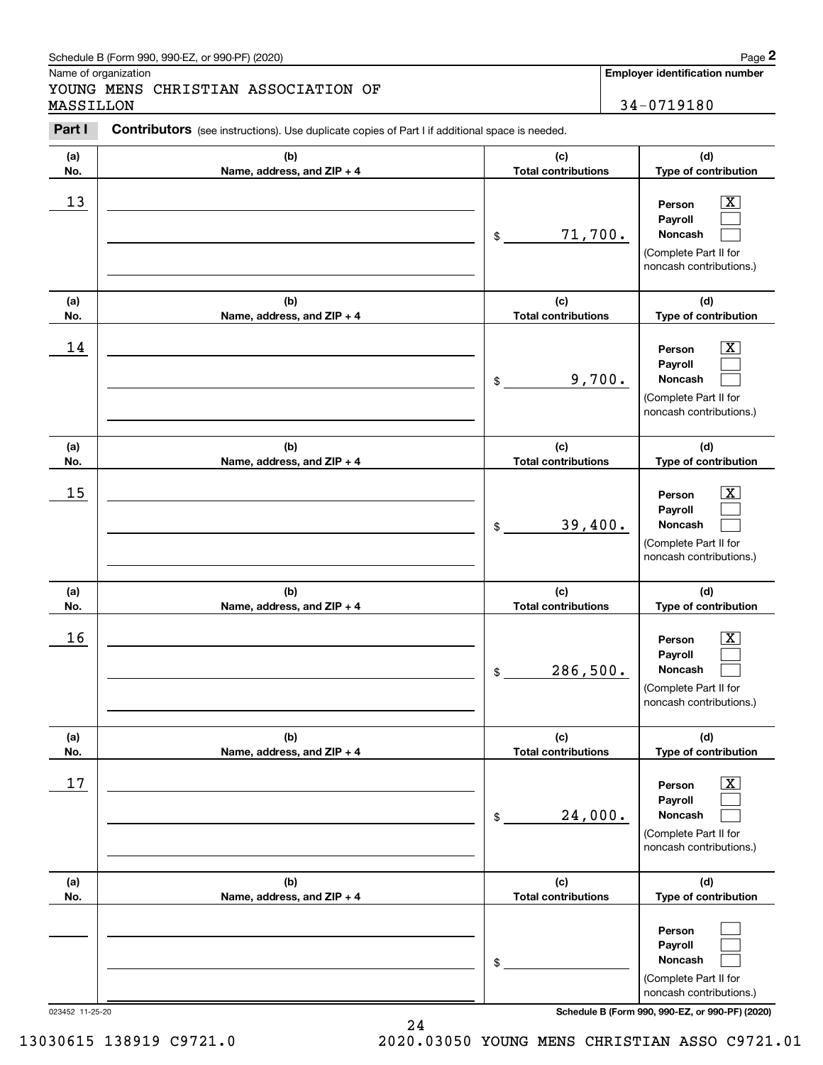### Schedule B (Form 990, 990-EZ, or 990-PF) (2020) **Page 2** Page 2

#### YOUNG MENS CHRISTIAN ASSOCIATION OF MASSILLON 34-0719180

|            | Schedule B (Form 990, 990-EZ, or 990-PF) (2020)                                                |                                   |        | Page 2                                                                                                      |
|------------|------------------------------------------------------------------------------------------------|-----------------------------------|--------|-------------------------------------------------------------------------------------------------------------|
| MASSILLON  | Name of organization<br>YOUNG MENS CHRISTIAN ASSOCIATION OF                                    |                                   |        | <b>Employer identification number</b><br>34-0719180                                                         |
| Part I     | Contributors (see instructions). Use duplicate copies of Part I if additional space is needed. |                                   |        |                                                                                                             |
| (a)<br>No. | (b)<br>Name, address, and ZIP + 4                                                              | (c)<br><b>Total contributions</b> |        | (d)<br>Type of contribution                                                                                 |
| 13         |                                                                                                | 71,700.<br>\$                     |        | $\mathbf{X}$<br>Person<br>Payroll<br>Noncash<br>(Complete Part II for<br>noncash contributions.)            |
| (a)<br>No. | (b)<br>Name, address, and ZIP + 4                                                              | (c)<br><b>Total contributions</b> |        | (d)<br>Type of contribution                                                                                 |
| 14         |                                                                                                | \$                                | 9,700. | $\overline{\mathbf{X}}$<br>Person<br>Payroll<br>Noncash<br>(Complete Part II for<br>noncash contributions.) |
| (a)<br>No. | (b)<br>Name, address, and ZIP + 4                                                              | (c)<br><b>Total contributions</b> |        | (d)<br>Type of contribution                                                                                 |
| 15         |                                                                                                | 39,400.<br>\$                     |        | $\overline{\mathbf{X}}$<br>Person<br>Payroll<br>Noncash<br>(Complete Part II for<br>noncash contributions.) |
| (a)<br>No. | (b)<br>Name, address, and ZIP + 4                                                              | (c)<br><b>Total contributions</b> |        | (d)<br>Type of contribution                                                                                 |
| 16         |                                                                                                | 286,500.<br>\$                    |        | $\mathbf{X}$<br>Person<br>Payroll<br>Noncash<br>(Complete Part II for<br>noncash contributions.)            |
| (a)<br>No. | (b)<br>Name, address, and ZIP + 4                                                              | (c)<br><b>Total contributions</b> |        | (d)<br>Type of contribution                                                                                 |
| 17         |                                                                                                | 24,000.<br>\$                     |        | $\boxed{\text{X}}$<br>Person<br>Payroll<br>Noncash<br>(Complete Part II for<br>noncash contributions.)      |
| (a)<br>No. | (b)<br>Name, address, and ZIP + 4                                                              | (c)<br><b>Total contributions</b> |        | (d)<br>Type of contribution                                                                                 |
|            |                                                                                                | \$                                |        | Person<br>Payroll<br>Noncash<br>(Complete Part II for<br>noncash contributions.)                            |

023452 11-25-20 **Schedule B (Form 990, 990-EZ, or 990-PF) (2020)**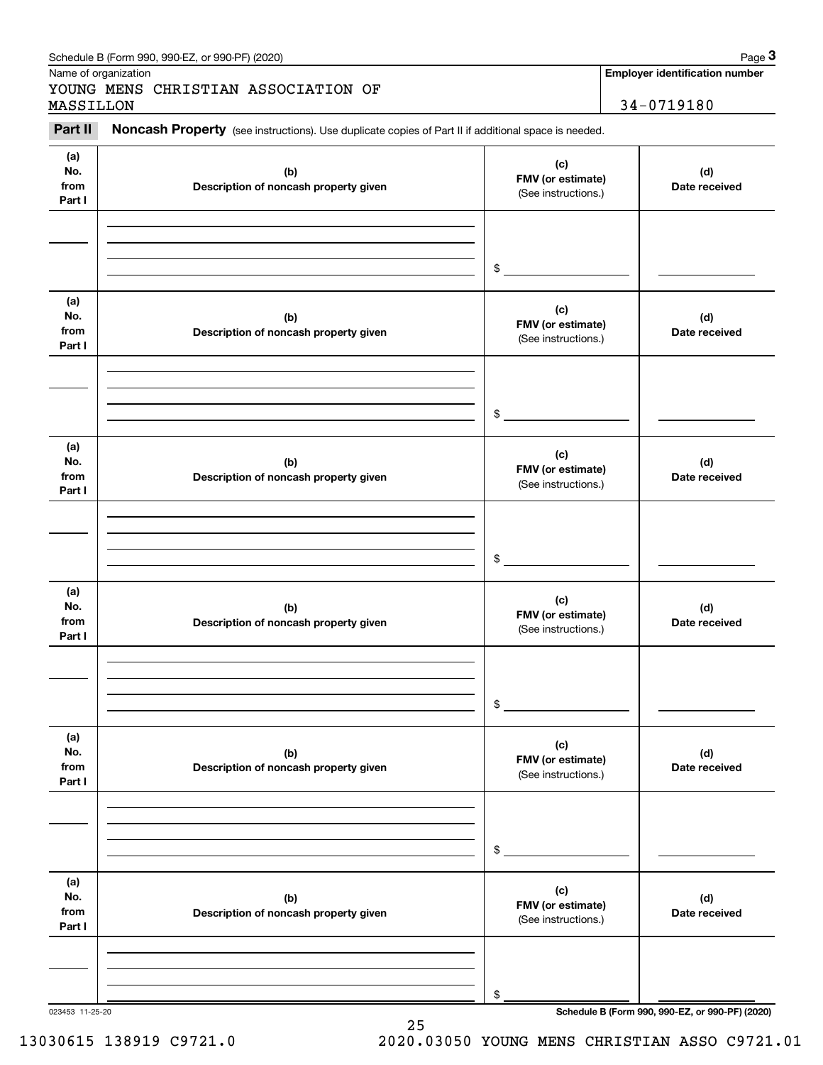| (a)<br>No.<br>from<br>Part I | (b)<br>Description of noncash property given | (c)<br>FMV (or estimate)<br>(See instructions.) | (d)<br>Date received |
|------------------------------|----------------------------------------------|-------------------------------------------------|----------------------|
|                              |                                              | \$                                              |                      |
| (a)<br>No.<br>from<br>Part I | (b)<br>Description of noncash property given | (c)<br>FMV (or estimate)<br>(See instructions.) | (d)<br>Date received |
|                              |                                              | \$                                              |                      |
| (a)<br>No.<br>from<br>Part I | (b)<br>Description of noncash property given | (c)<br>FMV (or estimate)<br>(See instructions.) | (d)<br>Date received |
|                              |                                              | \$                                              |                      |
| (a)<br>No.<br>from<br>Part I | (b)<br>Description of noncash property given | (c)<br>FMV (or estimate)<br>(See instructions.) | (d)<br>Date received |
|                              |                                              | \$                                              |                      |
| (a)<br>No.<br>from<br>Part I | (b)<br>Description of noncash property given | (c)<br>FMV (or estimate)<br>(See instructions.) | (d)<br>Date received |
|                              |                                              | \$                                              |                      |
| (a)<br>No.<br>from<br>Part I | (b)<br>Description of noncash property given | (c)<br>FMV (or estimate)<br>(See instructions.) | (d)<br>Date received |
|                              |                                              |                                                 |                      |

#### Schedule B (Form 990, 990-EZ, or 990-PF) (2020) **Page 3** Page 3

Name of organization

Chedule B (Form 990, 990-EZ, or 990-PF) (2020)<br> **3Page 3 Additional State of organization**<br> **Employer identification number**<br> **EMSSILLON**<br> **2Part II Noncash Property** (see instructions). Use duplicate copies of Part II i YOUNG MENS CHRISTIAN ASSOCIATION OF MASSILLON 34-0719180

**Employer identification number**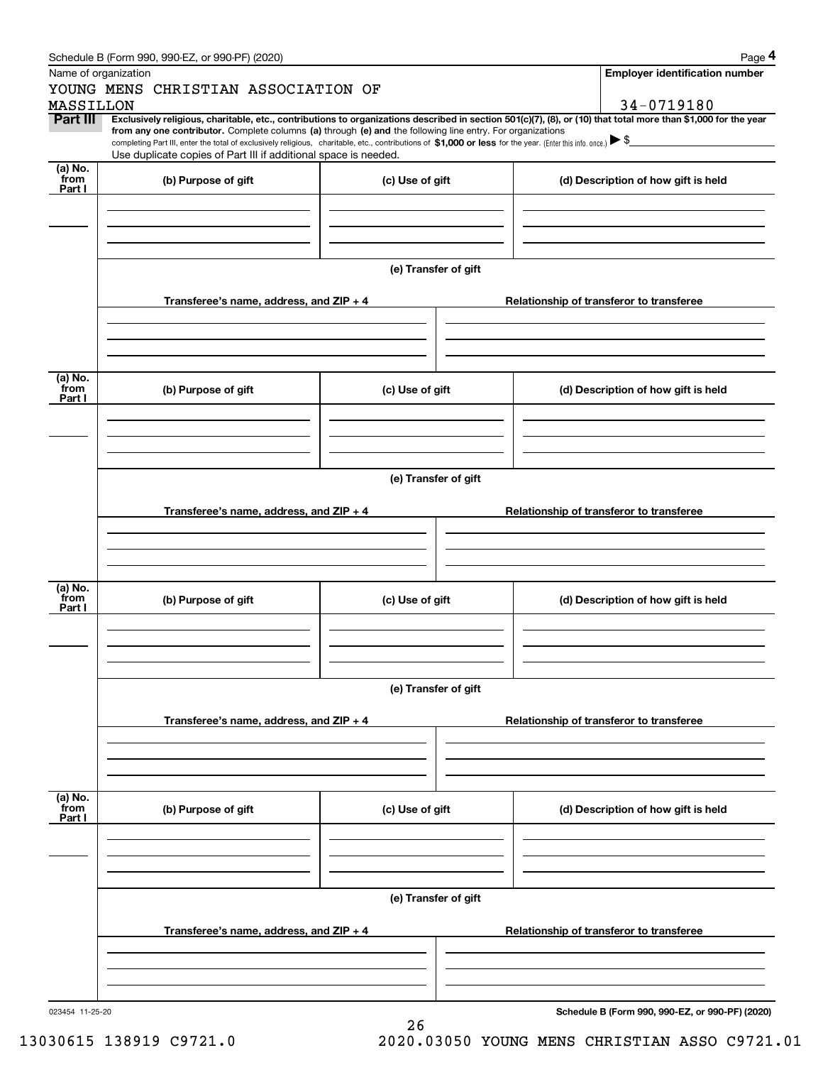|                      | Schedule B (Form 990, 990-EZ, or 990-PF) (2020)                                                                                                                                   |                      | Page 4                                                                                                                                                         |  |  |  |
|----------------------|-----------------------------------------------------------------------------------------------------------------------------------------------------------------------------------|----------------------|----------------------------------------------------------------------------------------------------------------------------------------------------------------|--|--|--|
| Name of organization |                                                                                                                                                                                   |                      | <b>Employer identification number</b>                                                                                                                          |  |  |  |
|                      | YOUNG MENS CHRISTIAN ASSOCIATION OF                                                                                                                                               |                      |                                                                                                                                                                |  |  |  |
| MASSILLON            |                                                                                                                                                                                   |                      | 34-0719180                                                                                                                                                     |  |  |  |
| Part III             | from any one contributor. Complete columns (a) through (e) and the following line entry. For organizations                                                                        |                      | Exclusively religious, charitable, etc., contributions to organizations described in section 501(c)(7), (8), or (10) that total more than \$1,000 for the year |  |  |  |
|                      | completing Part III, enter the total of exclusively religious, charitable, etc., contributions of \$1,000 or less for the year. (Enter this info. once.) $\blacktriangleright$ \$ |                      |                                                                                                                                                                |  |  |  |
| (a) No.              | Use duplicate copies of Part III if additional space is needed.                                                                                                                   |                      |                                                                                                                                                                |  |  |  |
| from                 | (b) Purpose of gift                                                                                                                                                               | (c) Use of gift      | (d) Description of how gift is held                                                                                                                            |  |  |  |
| Part I               |                                                                                                                                                                                   |                      |                                                                                                                                                                |  |  |  |
|                      |                                                                                                                                                                                   |                      |                                                                                                                                                                |  |  |  |
|                      |                                                                                                                                                                                   |                      |                                                                                                                                                                |  |  |  |
|                      |                                                                                                                                                                                   |                      |                                                                                                                                                                |  |  |  |
|                      |                                                                                                                                                                                   | (e) Transfer of gift |                                                                                                                                                                |  |  |  |
|                      |                                                                                                                                                                                   |                      |                                                                                                                                                                |  |  |  |
|                      | Transferee's name, address, and ZIP + 4                                                                                                                                           |                      | Relationship of transferor to transferee                                                                                                                       |  |  |  |
|                      |                                                                                                                                                                                   |                      |                                                                                                                                                                |  |  |  |
|                      |                                                                                                                                                                                   |                      |                                                                                                                                                                |  |  |  |
|                      |                                                                                                                                                                                   |                      |                                                                                                                                                                |  |  |  |
|                      |                                                                                                                                                                                   |                      |                                                                                                                                                                |  |  |  |
| (a) No.<br>from      | (b) Purpose of gift                                                                                                                                                               | (c) Use of gift      | (d) Description of how gift is held                                                                                                                            |  |  |  |
| Part I               |                                                                                                                                                                                   |                      |                                                                                                                                                                |  |  |  |
|                      |                                                                                                                                                                                   |                      |                                                                                                                                                                |  |  |  |
|                      |                                                                                                                                                                                   |                      |                                                                                                                                                                |  |  |  |
|                      |                                                                                                                                                                                   |                      |                                                                                                                                                                |  |  |  |
|                      | (e) Transfer of gift                                                                                                                                                              |                      |                                                                                                                                                                |  |  |  |
|                      |                                                                                                                                                                                   |                      |                                                                                                                                                                |  |  |  |
|                      | Transferee's name, address, and ZIP + 4                                                                                                                                           |                      | Relationship of transferor to transferee                                                                                                                       |  |  |  |
|                      |                                                                                                                                                                                   |                      |                                                                                                                                                                |  |  |  |
|                      |                                                                                                                                                                                   |                      |                                                                                                                                                                |  |  |  |
|                      |                                                                                                                                                                                   |                      |                                                                                                                                                                |  |  |  |
|                      |                                                                                                                                                                                   |                      |                                                                                                                                                                |  |  |  |
| (a) No.<br>from      | (b) Purpose of gift                                                                                                                                                               | (c) Use of gift      | (d) Description of how gift is held                                                                                                                            |  |  |  |
| Part I               |                                                                                                                                                                                   |                      |                                                                                                                                                                |  |  |  |
|                      |                                                                                                                                                                                   |                      |                                                                                                                                                                |  |  |  |
|                      |                                                                                                                                                                                   |                      |                                                                                                                                                                |  |  |  |
|                      |                                                                                                                                                                                   |                      |                                                                                                                                                                |  |  |  |
|                      |                                                                                                                                                                                   | (e) Transfer of gift |                                                                                                                                                                |  |  |  |
|                      |                                                                                                                                                                                   |                      |                                                                                                                                                                |  |  |  |
|                      | Transferee's name, address, and $ZIP + 4$                                                                                                                                         |                      | Relationship of transferor to transferee                                                                                                                       |  |  |  |
|                      |                                                                                                                                                                                   |                      |                                                                                                                                                                |  |  |  |
|                      |                                                                                                                                                                                   |                      |                                                                                                                                                                |  |  |  |
|                      |                                                                                                                                                                                   |                      |                                                                                                                                                                |  |  |  |
|                      |                                                                                                                                                                                   |                      |                                                                                                                                                                |  |  |  |
| (a) No.<br>from      | (b) Purpose of gift                                                                                                                                                               | (c) Use of gift      | (d) Description of how gift is held                                                                                                                            |  |  |  |
| Part I               |                                                                                                                                                                                   |                      |                                                                                                                                                                |  |  |  |
|                      |                                                                                                                                                                                   |                      |                                                                                                                                                                |  |  |  |
|                      |                                                                                                                                                                                   |                      |                                                                                                                                                                |  |  |  |
|                      |                                                                                                                                                                                   |                      |                                                                                                                                                                |  |  |  |
|                      |                                                                                                                                                                                   | (e) Transfer of gift |                                                                                                                                                                |  |  |  |
|                      |                                                                                                                                                                                   |                      |                                                                                                                                                                |  |  |  |
|                      | Transferee's name, address, and $ZIP + 4$                                                                                                                                         |                      | Relationship of transferor to transferee                                                                                                                       |  |  |  |
|                      |                                                                                                                                                                                   |                      |                                                                                                                                                                |  |  |  |
|                      |                                                                                                                                                                                   |                      |                                                                                                                                                                |  |  |  |
|                      |                                                                                                                                                                                   |                      |                                                                                                                                                                |  |  |  |
|                      |                                                                                                                                                                                   |                      |                                                                                                                                                                |  |  |  |

26

023454 11-25-20

**Schedule B (Form 990, 990-EZ, or 990-PF) (2020)**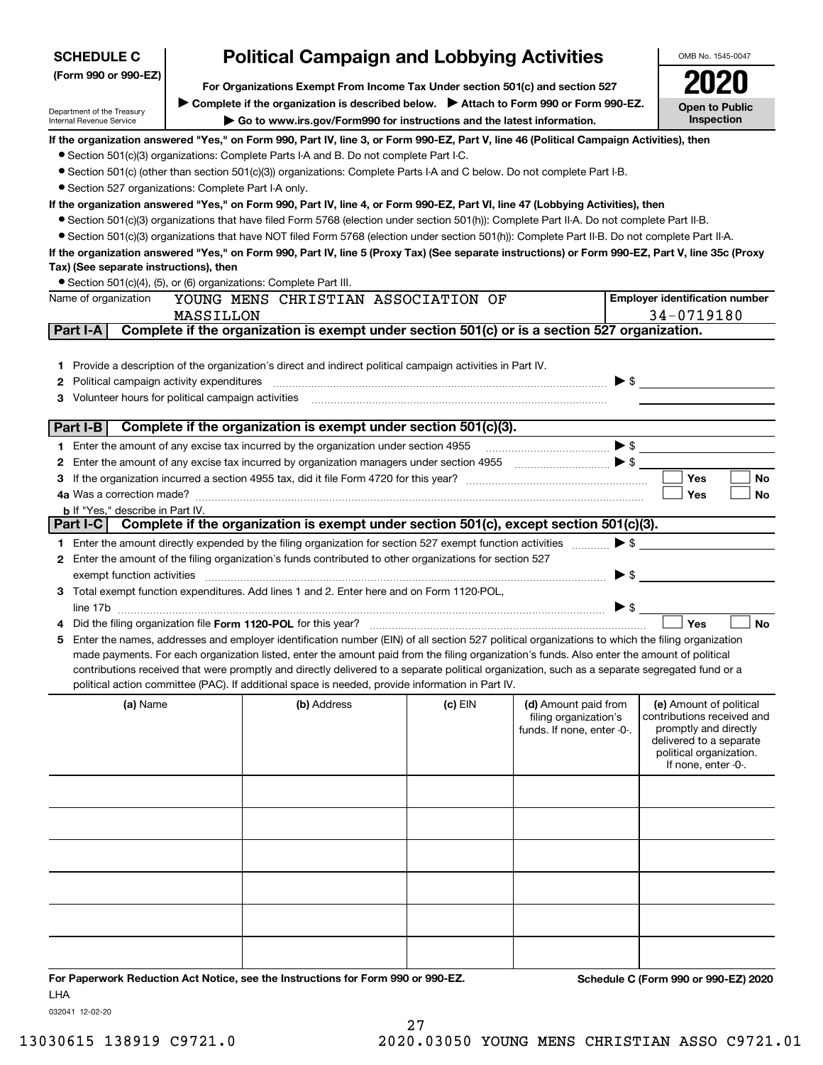| <b>SCHEDULE C</b>                                      |                                                                               | <b>Political Campaign and Lobbying Activities</b>                                                                                                                                                                      |         |                                                                             | OMB No. 1545-0047                                                                                                                                           |  |  |
|--------------------------------------------------------|-------------------------------------------------------------------------------|------------------------------------------------------------------------------------------------------------------------------------------------------------------------------------------------------------------------|---------|-----------------------------------------------------------------------------|-------------------------------------------------------------------------------------------------------------------------------------------------------------|--|--|
| (Form 990 or 990-EZ)                                   | For Organizations Exempt From Income Tax Under section 501(c) and section 527 |                                                                                                                                                                                                                        |         |                                                                             |                                                                                                                                                             |  |  |
|                                                        |                                                                               |                                                                                                                                                                                                                        |         |                                                                             |                                                                                                                                                             |  |  |
| Department of the Treasury<br>Internal Revenue Service |                                                                               | > Complete if the organization is described below. > Attach to Form 990 or Form 990-EZ.<br>Go to www.irs.gov/Form990 for instructions and the latest information.                                                      |         |                                                                             | <b>Open to Public</b><br>Inspection                                                                                                                         |  |  |
|                                                        |                                                                               | If the organization answered "Yes," on Form 990, Part IV, line 3, or Form 990-EZ, Part V, line 46 (Political Campaign Activities), then                                                                                |         |                                                                             |                                                                                                                                                             |  |  |
|                                                        |                                                                               | • Section 501(c)(3) organizations: Complete Parts I-A and B. Do not complete Part I-C.                                                                                                                                 |         |                                                                             |                                                                                                                                                             |  |  |
|                                                        |                                                                               | • Section 501(c) (other than section 501(c)(3)) organizations: Complete Parts I-A and C below. Do not complete Part I-B.                                                                                               |         |                                                                             |                                                                                                                                                             |  |  |
| • Section 527 organizations: Complete Part I-A only.   |                                                                               |                                                                                                                                                                                                                        |         |                                                                             |                                                                                                                                                             |  |  |
|                                                        |                                                                               | If the organization answered "Yes," on Form 990, Part IV, line 4, or Form 990-EZ, Part VI, line 47 (Lobbying Activities), then                                                                                         |         |                                                                             |                                                                                                                                                             |  |  |
|                                                        |                                                                               | • Section 501(c)(3) organizations that have filed Form 5768 (election under section 501(h)): Complete Part II-A. Do not complete Part II-B.                                                                            |         |                                                                             |                                                                                                                                                             |  |  |
|                                                        |                                                                               | • Section 501(c)(3) organizations that have NOT filed Form 5768 (election under section 501(h)): Complete Part II-B. Do not complete Part II-A.                                                                        |         |                                                                             |                                                                                                                                                             |  |  |
|                                                        |                                                                               | If the organization answered "Yes," on Form 990, Part IV, line 5 (Proxy Tax) (See separate instructions) or Form 990-EZ, Part V, line 35c (Proxy                                                                       |         |                                                                             |                                                                                                                                                             |  |  |
| Tax) (See separate instructions), then                 |                                                                               |                                                                                                                                                                                                                        |         |                                                                             |                                                                                                                                                             |  |  |
| Name of organization                                   |                                                                               | • Section 501(c)(4), (5), or (6) organizations: Complete Part III.<br>YOUNG MENS CHRISTIAN ASSOCIATION OF                                                                                                              |         |                                                                             | <b>Employer identification number</b>                                                                                                                       |  |  |
|                                                        | MASSILLON                                                                     |                                                                                                                                                                                                                        |         |                                                                             | 34-0719180                                                                                                                                                  |  |  |
| Part I-A                                               |                                                                               | Complete if the organization is exempt under section 501(c) or is a section 527 organization.                                                                                                                          |         |                                                                             |                                                                                                                                                             |  |  |
|                                                        |                                                                               |                                                                                                                                                                                                                        |         |                                                                             |                                                                                                                                                             |  |  |
| 1.                                                     |                                                                               | Provide a description of the organization's direct and indirect political campaign activities in Part IV.                                                                                                              |         |                                                                             |                                                                                                                                                             |  |  |
| Political campaign activity expenditures<br>2          |                                                                               |                                                                                                                                                                                                                        |         |                                                                             | $\blacktriangleright$ \$                                                                                                                                    |  |  |
| Volunteer hours for political campaign activities<br>З |                                                                               |                                                                                                                                                                                                                        |         |                                                                             |                                                                                                                                                             |  |  |
|                                                        |                                                                               |                                                                                                                                                                                                                        |         |                                                                             |                                                                                                                                                             |  |  |
| Part I-B                                               |                                                                               | Complete if the organization is exempt under section 501(c)(3).                                                                                                                                                        |         |                                                                             |                                                                                                                                                             |  |  |
|                                                        |                                                                               | 1 Enter the amount of any excise tax incurred by the organization under section 4955                                                                                                                                   |         |                                                                             |                                                                                                                                                             |  |  |
|                                                        |                                                                               | 2 Enter the amount of any excise tax incurred by organization managers under section 4955                                                                                                                              |         |                                                                             |                                                                                                                                                             |  |  |
|                                                        |                                                                               |                                                                                                                                                                                                                        |         |                                                                             | Yes<br><b>No</b>                                                                                                                                            |  |  |
|                                                        |                                                                               |                                                                                                                                                                                                                        |         |                                                                             | Yes<br>No                                                                                                                                                   |  |  |
| <b>b</b> If "Yes," describe in Part IV.                |                                                                               | Part I-C Complete if the organization is exempt under section 501(c), except section 501(c)(3).                                                                                                                        |         |                                                                             |                                                                                                                                                             |  |  |
|                                                        |                                                                               |                                                                                                                                                                                                                        |         |                                                                             | $\blacktriangleright$ \$                                                                                                                                    |  |  |
|                                                        |                                                                               | 1 Enter the amount directly expended by the filing organization for section 527 exempt function activities<br>2 Enter the amount of the filing organization's funds contributed to other organizations for section 527 |         |                                                                             |                                                                                                                                                             |  |  |
| exempt function activities                             |                                                                               |                                                                                                                                                                                                                        |         |                                                                             | $\blacktriangleright$ \$                                                                                                                                    |  |  |
|                                                        |                                                                               | 3 Total exempt function expenditures. Add lines 1 and 2. Enter here and on Form 1120-POL,                                                                                                                              |         |                                                                             |                                                                                                                                                             |  |  |
|                                                        |                                                                               |                                                                                                                                                                                                                        |         |                                                                             | $\triangleright$ \$                                                                                                                                         |  |  |
|                                                        |                                                                               | Did the filing organization file Form 1120-POL for this year?                                                                                                                                                          |         |                                                                             | Yes<br><b>No</b>                                                                                                                                            |  |  |
|                                                        |                                                                               | 5 Enter the names, addresses and employer identification number (EIN) of all section 527 political organizations to which the filing organization                                                                      |         |                                                                             |                                                                                                                                                             |  |  |
|                                                        |                                                                               | made payments. For each organization listed, enter the amount paid from the filing organization's funds. Also enter the amount of political                                                                            |         |                                                                             |                                                                                                                                                             |  |  |
|                                                        |                                                                               | contributions received that were promptly and directly delivered to a separate political organization, such as a separate segregated fund or a                                                                         |         |                                                                             |                                                                                                                                                             |  |  |
|                                                        |                                                                               | political action committee (PAC). If additional space is needed, provide information in Part IV.                                                                                                                       |         |                                                                             |                                                                                                                                                             |  |  |
| (a) Name                                               |                                                                               | (b) Address                                                                                                                                                                                                            | (c) EIN | (d) Amount paid from<br>filing organization's<br>funds. If none, enter -0-. | (e) Amount of political<br>contributions received and<br>promptly and directly<br>delivered to a separate<br>political organization.<br>If none, enter -0-. |  |  |
|                                                        |                                                                               |                                                                                                                                                                                                                        |         |                                                                             |                                                                                                                                                             |  |  |
|                                                        |                                                                               |                                                                                                                                                                                                                        |         |                                                                             |                                                                                                                                                             |  |  |
|                                                        |                                                                               |                                                                                                                                                                                                                        |         |                                                                             |                                                                                                                                                             |  |  |
|                                                        |                                                                               |                                                                                                                                                                                                                        |         |                                                                             |                                                                                                                                                             |  |  |
|                                                        |                                                                               |                                                                                                                                                                                                                        |         |                                                                             |                                                                                                                                                             |  |  |
|                                                        |                                                                               |                                                                                                                                                                                                                        |         |                                                                             |                                                                                                                                                             |  |  |

27

**For Paperwork Reduction Act Notice, see the Instructions for Form 990 or 990-EZ. Schedule C (Form 990 or 990-EZ) 2020** LHA

032041 12-02-20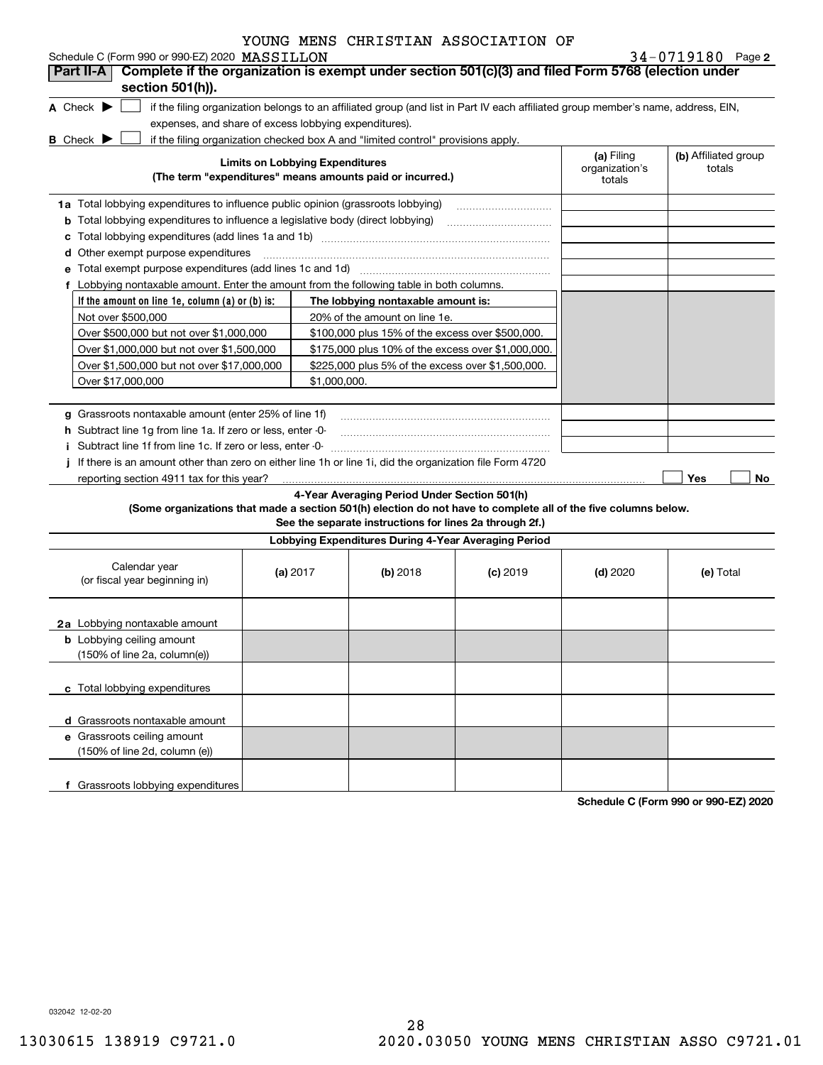| YOUNG MENS CHRISTIAN ASSOCIATION OF |  |  |  |  |  |
|-------------------------------------|--|--|--|--|--|
|-------------------------------------|--|--|--|--|--|

| Schedule C (Form 990 or 990-EZ) 2020 MASSILLON                                                                                                                     |                                        |                                                                                                         |            |                          | 34-0719180 Page 2    |
|--------------------------------------------------------------------------------------------------------------------------------------------------------------------|----------------------------------------|---------------------------------------------------------------------------------------------------------|------------|--------------------------|----------------------|
| Complete if the organization is exempt under section 501(c)(3) and filed Form 5768 (election under<br>Part II-A                                                    |                                        |                                                                                                         |            |                          |                      |
| section 501(h)).                                                                                                                                                   |                                        |                                                                                                         |            |                          |                      |
| A Check $\blacktriangleright$<br>if the filing organization belongs to an affiliated group (and list in Part IV each affiliated group member's name, address, EIN, |                                        |                                                                                                         |            |                          |                      |
| expenses, and share of excess lobbying expenditures).                                                                                                              |                                        |                                                                                                         |            |                          |                      |
| if the filing organization checked box A and "limited control" provisions apply.<br><b>B</b> Check $\blacktriangleright$                                           | <b>Limits on Lobbying Expenditures</b> |                                                                                                         |            | (a) Filing               | (b) Affiliated group |
| (The term "expenditures" means amounts paid or incurred.)                                                                                                          |                                        |                                                                                                         |            | organization's<br>totals | totals               |
| 1a Total lobbying expenditures to influence public opinion (grassroots lobbying)                                                                                   |                                        |                                                                                                         |            |                          |                      |
| <b>b</b> Total lobbying expenditures to influence a legislative body (direct lobbying)                                                                             |                                        |                                                                                                         |            |                          |                      |
| c                                                                                                                                                                  |                                        |                                                                                                         |            |                          |                      |
| d Other exempt purpose expenditures                                                                                                                                |                                        |                                                                                                         |            |                          |                      |
|                                                                                                                                                                    |                                        |                                                                                                         |            |                          |                      |
| f Lobbying nontaxable amount. Enter the amount from the following table in both columns.                                                                           |                                        |                                                                                                         |            |                          |                      |
| If the amount on line 1e, column $(a)$ or $(b)$ is:                                                                                                                |                                        | The lobbying nontaxable amount is:                                                                      |            |                          |                      |
| Not over \$500,000                                                                                                                                                 |                                        | 20% of the amount on line 1e.                                                                           |            |                          |                      |
| Over \$500,000 but not over \$1,000,000                                                                                                                            |                                        | \$100,000 plus 15% of the excess over \$500,000.                                                        |            |                          |                      |
| Over \$1,000,000 but not over \$1,500,000                                                                                                                          |                                        | \$175,000 plus 10% of the excess over \$1,000,000.                                                      |            |                          |                      |
| Over \$1,500,000 but not over \$17,000,000                                                                                                                         |                                        | \$225,000 plus 5% of the excess over \$1,500,000.                                                       |            |                          |                      |
| Over \$17,000,000                                                                                                                                                  | \$1,000,000.                           |                                                                                                         |            |                          |                      |
|                                                                                                                                                                    |                                        |                                                                                                         |            |                          |                      |
| g Grassroots nontaxable amount (enter 25% of line 1f)                                                                                                              |                                        |                                                                                                         |            |                          |                      |
| h Subtract line 1g from line 1a. If zero or less, enter -0-                                                                                                        |                                        |                                                                                                         |            |                          |                      |
| i Subtract line 1f from line 1c. If zero or less, enter -0-                                                                                                        |                                        |                                                                                                         |            |                          |                      |
| j If there is an amount other than zero on either line 1h or line 1i, did the organization file Form 4720                                                          |                                        |                                                                                                         |            |                          |                      |
| reporting section 4911 tax for this year?                                                                                                                          |                                        |                                                                                                         |            |                          | Yes<br>No            |
| (Some organizations that made a section 501(h) election do not have to complete all of the five columns below.                                                     |                                        | 4-Year Averaging Period Under Section 501(h)<br>See the separate instructions for lines 2a through 2f.) |            |                          |                      |
|                                                                                                                                                                    |                                        | Lobbying Expenditures During 4-Year Averaging Period                                                    |            |                          |                      |
| Calendar year<br>(or fiscal year beginning in)                                                                                                                     | (a) $2017$                             | $(b)$ 2018                                                                                              | $(c)$ 2019 | $(d)$ 2020               | (e) Total            |
| 2a Lobbying nontaxable amount                                                                                                                                      |                                        |                                                                                                         |            |                          |                      |
| <b>b</b> Lobbying ceiling amount<br>(150% of line 2a, column(e))                                                                                                   |                                        |                                                                                                         |            |                          |                      |
| c Total lobbying expenditures                                                                                                                                      |                                        |                                                                                                         |            |                          |                      |
| d Grassroots nontaxable amount                                                                                                                                     |                                        |                                                                                                         |            |                          |                      |
| e Grassroots ceiling amount                                                                                                                                        |                                        |                                                                                                         |            |                          |                      |
| (150% of line 2d, column (e))                                                                                                                                      |                                        |                                                                                                         |            |                          |                      |
| f Grassroots lobbying expenditures                                                                                                                                 |                                        |                                                                                                         |            |                          |                      |

**Schedule C (Form 990 or 990-EZ) 2020**

032042 12-02-20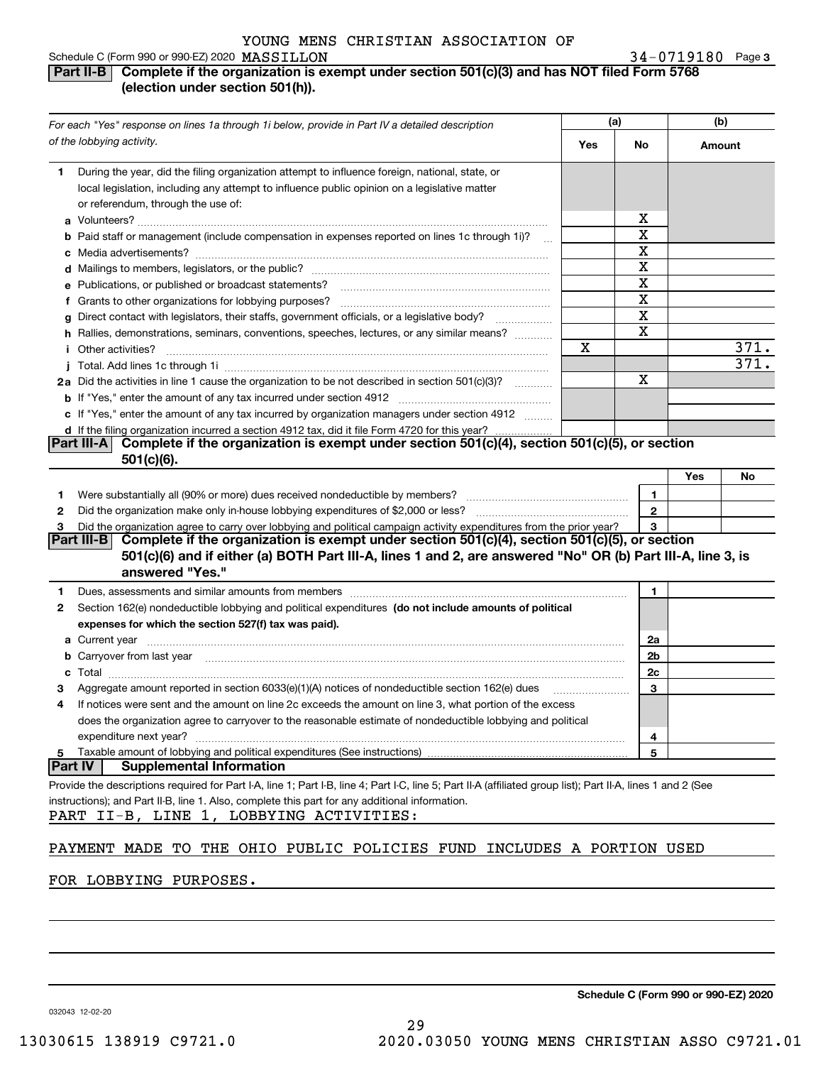#### **3** MASSILLON 34-0719180 Schedule C (Form 990 or 990-EZ) 2020 MASSILLON

#### **Part II-B Complete if the organization is exempt under section 501(c)(3) and has NOT filed Form 5768 (election under section 501(h)).**

|                | For each "Yes" response on lines 1a through 1i below, provide in Part IV a detailed description                                                                                                                                                                                                           | (a) |                | (b)       |
|----------------|-----------------------------------------------------------------------------------------------------------------------------------------------------------------------------------------------------------------------------------------------------------------------------------------------------------|-----|----------------|-----------|
|                | of the lobbying activity.                                                                                                                                                                                                                                                                                 | Yes | No             | Amount    |
| 1.             | During the year, did the filing organization attempt to influence foreign, national, state, or<br>local legislation, including any attempt to influence public opinion on a legislative matter<br>or referendum, through the use of:                                                                      |     |                |           |
|                |                                                                                                                                                                                                                                                                                                           |     | х              |           |
|                | b Paid staff or management (include compensation in expenses reported on lines 1c through 1i)?                                                                                                                                                                                                            |     | X              |           |
|                |                                                                                                                                                                                                                                                                                                           |     | X              |           |
|                |                                                                                                                                                                                                                                                                                                           |     | X              |           |
|                | e Publications, or published or broadcast statements?                                                                                                                                                                                                                                                     |     | X              |           |
|                | f Grants to other organizations for lobbying purposes?                                                                                                                                                                                                                                                    |     | X              |           |
| g              | Direct contact with legislators, their staffs, government officials, or a legislative body?                                                                                                                                                                                                               |     | X              |           |
|                | h Rallies, demonstrations, seminars, conventions, speeches, lectures, or any similar means?                                                                                                                                                                                                               |     | X              |           |
|                | <i>i</i> Other activities?                                                                                                                                                                                                                                                                                | х   |                | 371.      |
|                |                                                                                                                                                                                                                                                                                                           |     |                | 371.      |
|                | 2a Did the activities in line 1 cause the organization to be not described in section 501(c)(3)?                                                                                                                                                                                                          |     | х              |           |
|                |                                                                                                                                                                                                                                                                                                           |     |                |           |
|                | c If "Yes," enter the amount of any tax incurred by organization managers under section 4912                                                                                                                                                                                                              |     |                |           |
|                | d If the filing organization incurred a section 4912 tax, did it file Form 4720 for this year?                                                                                                                                                                                                            |     |                |           |
|                | Complete if the organization is exempt under section 501(c)(4), section 501(c)(5), or section<br> Part III-A <br>$501(c)(6)$ .                                                                                                                                                                            |     |                | Yes<br>No |
| 1.             |                                                                                                                                                                                                                                                                                                           |     | 1              |           |
| 2              |                                                                                                                                                                                                                                                                                                           |     | $\overline{2}$ |           |
| З              | Did the organization agree to carry over lobbying and political campaign activity expenditures from the prior year?                                                                                                                                                                                       |     | 3              |           |
|                | Complete if the organization is exempt under section 501(c)(4), section 501(c)(5), or section<br> Part III-B <br>501(c)(6) and if either (a) BOTH Part III-A, lines 1 and 2, are answered "No" OR (b) Part III-A, line 3, is<br>answered "Yes."                                                           |     |                |           |
| 1              |                                                                                                                                                                                                                                                                                                           |     | 1.             |           |
| 2              | Section 162(e) nondeductible lobbying and political expenditures (do not include amounts of political                                                                                                                                                                                                     |     |                |           |
|                | expenses for which the section 527(f) tax was paid).                                                                                                                                                                                                                                                      |     |                |           |
|                |                                                                                                                                                                                                                                                                                                           |     | 2a             |           |
|                | b Carryover from last year manufactured and contain a series of the contract of the contract of the contract of the contract of the contract of the contract of the contract of the contract of the contract of the contract o                                                                            |     | 2b             |           |
| c              |                                                                                                                                                                                                                                                                                                           |     | 2c             |           |
|                | Aggregate amount reported in section 6033(e)(1)(A) notices of nondeductible section 162(e) dues                                                                                                                                                                                                           |     | 3              |           |
| 4              | If notices were sent and the amount on line 2c exceeds the amount on line 3, what portion of the excess                                                                                                                                                                                                   |     |                |           |
|                | does the organization agree to carryover to the reasonable estimate of nondeductible lobbying and political                                                                                                                                                                                               |     |                |           |
|                | expenditure next year?                                                                                                                                                                                                                                                                                    |     | 4              |           |
| 5              | Taxable amount of lobbying and political expenditures (See instructions)                                                                                                                                                                                                                                  |     | 5              |           |
| <b>Part IV</b> | <b>Supplemental Information</b>                                                                                                                                                                                                                                                                           |     |                |           |
|                | Provide the descriptions required for Part I-A, line 1; Part I-B, line 4; Part I-C, line 5; Part II-A (affiliated group list); Part II-A, lines 1 and 2 (See<br>instructions); and Part II-B, line 1. Also, complete this part for any additional information.<br>PART II-B, LINE 1, LOBBYING ACTIVITIES: |     |                |           |
|                |                                                                                                                                                                                                                                                                                                           |     |                |           |

#### PAYMENT MADE TO THE OHIO PUBLIC POLICIES FUND INCLUDES A PORTION USED

#### FOR LOBBYING PURPOSES.

**Schedule C (Form 990 or 990-EZ) 2020**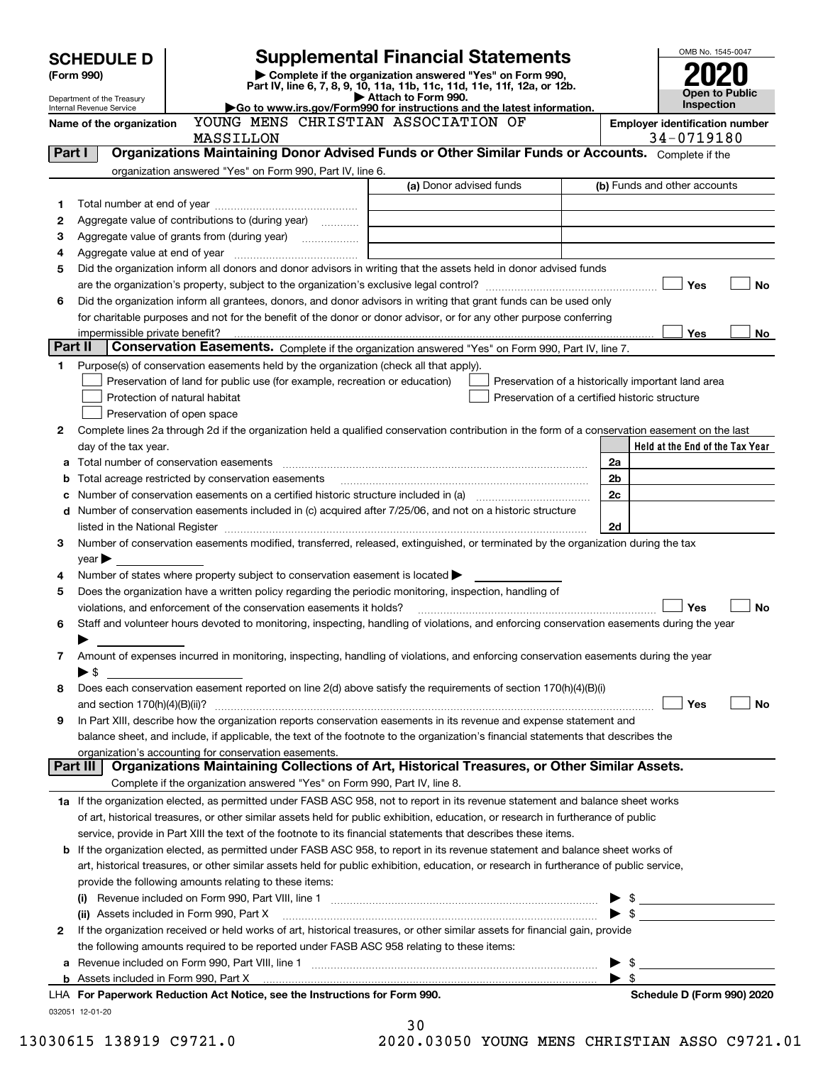|         | <b>Supplemental Financial Statements</b><br><b>SCHEDULE D</b><br>Complete if the organization answered "Yes" on Form 990,<br>(Form 990) |                                                                                                                                                                                                                                                                          |                         |                                                    |  |                          |                                                         | OMB No. 1545-0047 |
|---------|-----------------------------------------------------------------------------------------------------------------------------------------|--------------------------------------------------------------------------------------------------------------------------------------------------------------------------------------------------------------------------------------------------------------------------|-------------------------|----------------------------------------------------|--|--------------------------|---------------------------------------------------------|-------------------|
|         | Department of the Treasury                                                                                                              | Part IV, line 6, 7, 8, 9, 10, 11a, 11b, 11c, 11d, 11e, 11f, 12a, or 12b.<br>Attach to Form 990.                                                                                                                                                                          |                         |                                                    |  |                          |                                                         | Open to Public    |
|         | Internal Revenue Service                                                                                                                | Go to www.irs.gov/Form990 for instructions and the latest information.                                                                                                                                                                                                   |                         |                                                    |  |                          | <b>Inspection</b>                                       |                   |
|         | Name of the organization                                                                                                                | YOUNG MENS CHRISTIAN ASSOCIATION OF<br>MASSILLON                                                                                                                                                                                                                         |                         |                                                    |  |                          | <b>Employer identification number</b><br>34-0719180     |                   |
| Part I  |                                                                                                                                         | Organizations Maintaining Donor Advised Funds or Other Similar Funds or Accounts. Complete if the                                                                                                                                                                        |                         |                                                    |  |                          |                                                         |                   |
|         |                                                                                                                                         | organization answered "Yes" on Form 990, Part IV, line 6.                                                                                                                                                                                                                |                         |                                                    |  |                          |                                                         |                   |
|         |                                                                                                                                         |                                                                                                                                                                                                                                                                          | (a) Donor advised funds |                                                    |  |                          | (b) Funds and other accounts                            |                   |
| 1       |                                                                                                                                         |                                                                                                                                                                                                                                                                          |                         |                                                    |  |                          |                                                         |                   |
| 2       |                                                                                                                                         | Aggregate value of contributions to (during year)                                                                                                                                                                                                                        |                         |                                                    |  |                          |                                                         |                   |
| з       |                                                                                                                                         |                                                                                                                                                                                                                                                                          |                         |                                                    |  |                          |                                                         |                   |
| 4<br>5  |                                                                                                                                         | Did the organization inform all donors and donor advisors in writing that the assets held in donor advised funds                                                                                                                                                         |                         |                                                    |  |                          |                                                         |                   |
|         |                                                                                                                                         |                                                                                                                                                                                                                                                                          |                         |                                                    |  |                          | Yes                                                     | <b>No</b>         |
| 6       |                                                                                                                                         | Did the organization inform all grantees, donors, and donor advisors in writing that grant funds can be used only                                                                                                                                                        |                         |                                                    |  |                          |                                                         |                   |
|         |                                                                                                                                         | for charitable purposes and not for the benefit of the donor or donor advisor, or for any other purpose conferring                                                                                                                                                       |                         |                                                    |  |                          |                                                         |                   |
|         |                                                                                                                                         |                                                                                                                                                                                                                                                                          |                         |                                                    |  |                          | Yes                                                     | No.               |
| Part II |                                                                                                                                         | Conservation Easements. Complete if the organization answered "Yes" on Form 990, Part IV, line 7.                                                                                                                                                                        |                         |                                                    |  |                          |                                                         |                   |
| 1       |                                                                                                                                         | Purpose(s) of conservation easements held by the organization (check all that apply).                                                                                                                                                                                    |                         |                                                    |  |                          |                                                         |                   |
|         |                                                                                                                                         | Preservation of land for public use (for example, recreation or education)                                                                                                                                                                                               |                         | Preservation of a historically important land area |  |                          |                                                         |                   |
|         |                                                                                                                                         | Protection of natural habitat                                                                                                                                                                                                                                            |                         | Preservation of a certified historic structure     |  |                          |                                                         |                   |
|         |                                                                                                                                         | Preservation of open space                                                                                                                                                                                                                                               |                         |                                                    |  |                          |                                                         |                   |
| 2       |                                                                                                                                         | Complete lines 2a through 2d if the organization held a qualified conservation contribution in the form of a conservation easement on the last                                                                                                                           |                         |                                                    |  |                          |                                                         |                   |
|         | day of the tax year.                                                                                                                    |                                                                                                                                                                                                                                                                          |                         |                                                    |  | 2a                       | Held at the End of the Tax Year                         |                   |
| а<br>b  |                                                                                                                                         | Total acreage restricted by conservation easements                                                                                                                                                                                                                       |                         |                                                    |  | 2 <sub>b</sub>           |                                                         |                   |
| с       |                                                                                                                                         |                                                                                                                                                                                                                                                                          |                         |                                                    |  | 2c                       |                                                         |                   |
| d       |                                                                                                                                         | Number of conservation easements included in (c) acquired after 7/25/06, and not on a historic structure                                                                                                                                                                 |                         |                                                    |  |                          |                                                         |                   |
|         |                                                                                                                                         |                                                                                                                                                                                                                                                                          |                         |                                                    |  | 2d                       |                                                         |                   |
| З       |                                                                                                                                         | Number of conservation easements modified, transferred, released, extinguished, or terminated by the organization during the tax                                                                                                                                         |                         |                                                    |  |                          |                                                         |                   |
|         | $year \blacktriangleright$                                                                                                              |                                                                                                                                                                                                                                                                          |                         |                                                    |  |                          |                                                         |                   |
| 4       |                                                                                                                                         | Number of states where property subject to conservation easement is located $\blacktriangleright$                                                                                                                                                                        |                         |                                                    |  |                          |                                                         |                   |
| 5       |                                                                                                                                         | Does the organization have a written policy regarding the periodic monitoring, inspection, handling of                                                                                                                                                                   |                         |                                                    |  |                          |                                                         |                   |
|         |                                                                                                                                         | violations, and enforcement of the conservation easements it holds?                                                                                                                                                                                                      |                         |                                                    |  |                          | Yes                                                     | <b>No</b>         |
| 6       |                                                                                                                                         | Staff and volunteer hours devoted to monitoring, inspecting, handling of violations, and enforcing conservation easements during the year                                                                                                                                |                         |                                                    |  |                          |                                                         |                   |
|         |                                                                                                                                         |                                                                                                                                                                                                                                                                          |                         |                                                    |  |                          |                                                         |                   |
| 7       | $\blacktriangleright$ \$                                                                                                                | Amount of expenses incurred in monitoring, inspecting, handling of violations, and enforcing conservation easements during the year                                                                                                                                      |                         |                                                    |  |                          |                                                         |                   |
| 8       |                                                                                                                                         | Does each conservation easement reported on line 2(d) above satisfy the requirements of section 170(h)(4)(B)(i)                                                                                                                                                          |                         |                                                    |  |                          |                                                         |                   |
|         |                                                                                                                                         |                                                                                                                                                                                                                                                                          |                         |                                                    |  |                          | Yes                                                     | No                |
| 9       |                                                                                                                                         | In Part XIII, describe how the organization reports conservation easements in its revenue and expense statement and                                                                                                                                                      |                         |                                                    |  |                          |                                                         |                   |
|         |                                                                                                                                         | balance sheet, and include, if applicable, the text of the footnote to the organization's financial statements that describes the                                                                                                                                        |                         |                                                    |  |                          |                                                         |                   |
|         |                                                                                                                                         | organization's accounting for conservation easements.                                                                                                                                                                                                                    |                         |                                                    |  |                          |                                                         |                   |
|         | Part III                                                                                                                                | Organizations Maintaining Collections of Art, Historical Treasures, or Other Similar Assets.                                                                                                                                                                             |                         |                                                    |  |                          |                                                         |                   |
|         |                                                                                                                                         | Complete if the organization answered "Yes" on Form 990, Part IV, line 8.                                                                                                                                                                                                |                         |                                                    |  |                          |                                                         |                   |
|         |                                                                                                                                         | 1a If the organization elected, as permitted under FASB ASC 958, not to report in its revenue statement and balance sheet works                                                                                                                                          |                         |                                                    |  |                          |                                                         |                   |
|         |                                                                                                                                         | of art, historical treasures, or other similar assets held for public exhibition, education, or research in furtherance of public                                                                                                                                        |                         |                                                    |  |                          |                                                         |                   |
|         |                                                                                                                                         | service, provide in Part XIII the text of the footnote to its financial statements that describes these items.                                                                                                                                                           |                         |                                                    |  |                          |                                                         |                   |
|         |                                                                                                                                         | b If the organization elected, as permitted under FASB ASC 958, to report in its revenue statement and balance sheet works of<br>art, historical treasures, or other similar assets held for public exhibition, education, or research in furtherance of public service, |                         |                                                    |  |                          |                                                         |                   |
|         |                                                                                                                                         | provide the following amounts relating to these items:                                                                                                                                                                                                                   |                         |                                                    |  |                          |                                                         |                   |
|         |                                                                                                                                         |                                                                                                                                                                                                                                                                          |                         |                                                    |  | \$                       |                                                         |                   |
|         |                                                                                                                                         | (ii) Assets included in Form 990, Part X                                                                                                                                                                                                                                 |                         |                                                    |  | $\blacktriangleright$ \$ | <u> 1989 - John Harry Harry Harry Harry Harry Harry</u> |                   |
| 2       |                                                                                                                                         | If the organization received or held works of art, historical treasures, or other similar assets for financial gain, provide                                                                                                                                             |                         |                                                    |  |                          |                                                         |                   |
|         |                                                                                                                                         | the following amounts required to be reported under FASB ASC 958 relating to these items:                                                                                                                                                                                |                         |                                                    |  |                          |                                                         |                   |
| а       |                                                                                                                                         |                                                                                                                                                                                                                                                                          |                         |                                                    |  | \$<br>▶                  |                                                         |                   |
|         |                                                                                                                                         |                                                                                                                                                                                                                                                                          |                         |                                                    |  | $\blacktriangleright$ \$ |                                                         |                   |
|         |                                                                                                                                         | LHA For Paperwork Reduction Act Notice, see the Instructions for Form 990.                                                                                                                                                                                               |                         |                                                    |  |                          | Schedule D (Form 990) 2020                              |                   |
|         | 032051 12-01-20                                                                                                                         |                                                                                                                                                                                                                                                                          |                         |                                                    |  |                          |                                                         |                   |

|  |  | 13030615 138919 C9721. |  |
|--|--|------------------------|--|
|  |  |                        |  |

<sup>30</sup>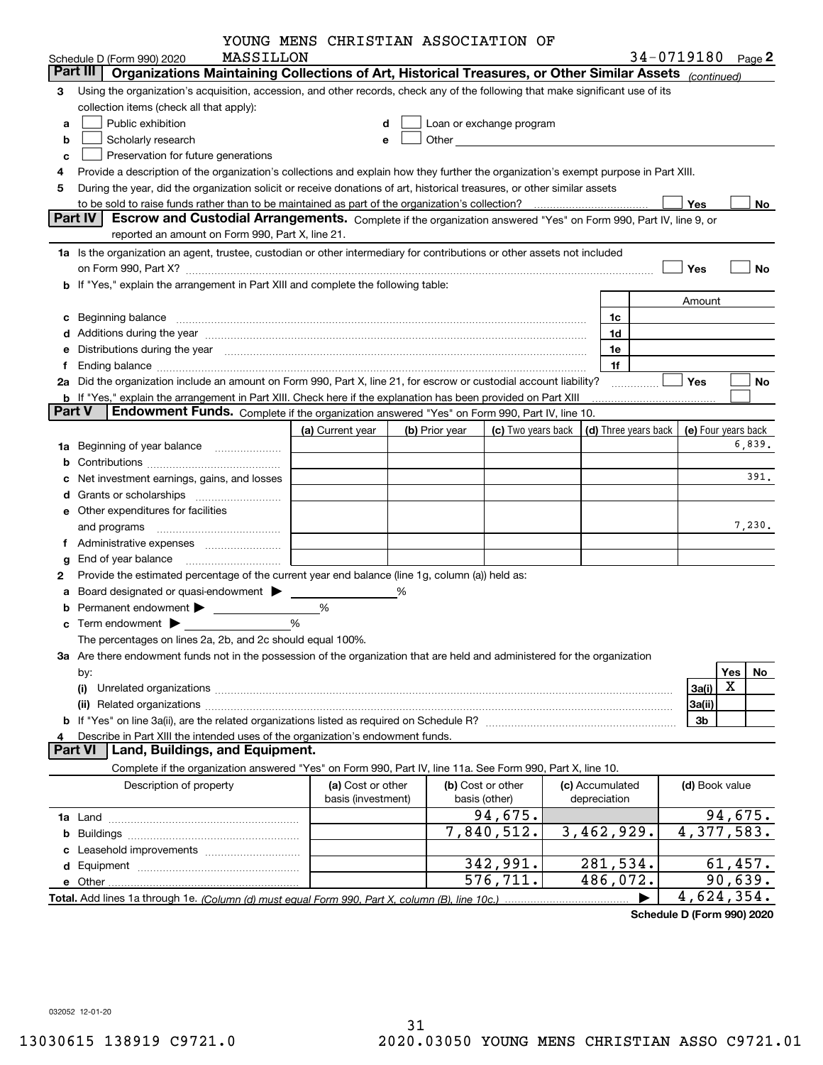| YOUNG MENS CHRISTIAN ASSOCIATION OF |  |  |
|-------------------------------------|--|--|
|                                     |  |  |

|               |                                                                                                                                                                                                                                | YOUNG MENS CHRISTIAN ASSOCIATION OF |   |                |                          |                      |                |                     |
|---------------|--------------------------------------------------------------------------------------------------------------------------------------------------------------------------------------------------------------------------------|-------------------------------------|---|----------------|--------------------------|----------------------|----------------|---------------------|
|               | MASSILLON<br>Schedule D (Form 990) 2020                                                                                                                                                                                        |                                     |   |                |                          |                      |                | 34-0719180 Page 2   |
|               | Organizations Maintaining Collections of Art, Historical Treasures, or Other Similar Assets (continued)<br>Part III                                                                                                            |                                     |   |                |                          |                      |                |                     |
| 3             | Using the organization's acquisition, accession, and other records, check any of the following that make significant use of its                                                                                                |                                     |   |                |                          |                      |                |                     |
|               | collection items (check all that apply):                                                                                                                                                                                       |                                     |   |                |                          |                      |                |                     |
| а             | Public exhibition                                                                                                                                                                                                              |                                     | d |                | Loan or exchange program |                      |                |                     |
| b             | Scholarly research                                                                                                                                                                                                             | e                                   |   |                |                          |                      |                |                     |
| c             | Preservation for future generations                                                                                                                                                                                            |                                     |   |                |                          |                      |                |                     |
| 4             | Provide a description of the organization's collections and explain how they further the organization's exempt purpose in Part XIII.                                                                                           |                                     |   |                |                          |                      |                |                     |
| 5             | During the year, did the organization solicit or receive donations of art, historical treasures, or other similar assets                                                                                                       |                                     |   |                |                          |                      |                |                     |
|               |                                                                                                                                                                                                                                |                                     |   |                |                          |                      | Yes            | No                  |
|               | Escrow and Custodial Arrangements. Complete if the organization answered "Yes" on Form 990, Part IV, line 9, or<br>Part IV                                                                                                     |                                     |   |                |                          |                      |                |                     |
|               | reported an amount on Form 990, Part X, line 21.                                                                                                                                                                               |                                     |   |                |                          |                      |                |                     |
|               | 1a Is the organization an agent, trustee, custodian or other intermediary for contributions or other assets not included                                                                                                       |                                     |   |                |                          |                      |                |                     |
|               | on Form 990, Part X? [11] matter and the contract of the contract of the contract of the contract of the contract of the contract of the contract of the contract of the contract of the contract of the contract of the contr |                                     |   |                |                          |                      | Yes            | <b>No</b>           |
|               | <b>b</b> If "Yes," explain the arrangement in Part XIII and complete the following table:                                                                                                                                      |                                     |   |                |                          |                      |                |                     |
|               |                                                                                                                                                                                                                                |                                     |   |                |                          |                      | Amount         |                     |
| с             | Beginning balance                                                                                                                                                                                                              |                                     |   |                |                          | 1c                   |                |                     |
| d             | Additions during the year manufactured and an account of the state of the state of the state of the state of the state of the state of the state of the state of the state of the state of the state of the state of the state |                                     |   |                |                          | 1d                   |                |                     |
| е             | Distributions during the year manufactured and continuum control of the state of the control of the state of the state of the state of the state of the state of the state of the state of the state of the state of the state |                                     |   |                |                          | 1e                   |                |                     |
| f             |                                                                                                                                                                                                                                |                                     |   |                |                          | 1f                   |                |                     |
| 2a            | Did the organization include an amount on Form 990, Part X, line 21, for escrow or custodial account liability?                                                                                                                |                                     |   |                |                          |                      | Yes            | No                  |
|               | <b>b</b> If "Yes," explain the arrangement in Part XIII. Check here if the explanation has been provided on Part XIII                                                                                                          |                                     |   |                |                          |                      |                |                     |
| <b>Part V</b> | Endowment Funds. Complete if the organization answered "Yes" on Form 990, Part IV, line 10.                                                                                                                                    |                                     |   |                |                          |                      |                |                     |
|               |                                                                                                                                                                                                                                | (a) Current year                    |   | (b) Prior year | (c) Two years back       | (d) Three years back |                | (e) Four years back |
| 1a            | Beginning of year balance                                                                                                                                                                                                      |                                     |   |                |                          |                      |                | 6,839.              |
| b             |                                                                                                                                                                                                                                |                                     |   |                |                          |                      |                |                     |
| с             | Net investment earnings, gains, and losses                                                                                                                                                                                     |                                     |   |                |                          |                      |                | 391.                |
| d             |                                                                                                                                                                                                                                |                                     |   |                |                          |                      |                |                     |
|               | e Other expenditures for facilities                                                                                                                                                                                            |                                     |   |                |                          |                      |                |                     |
|               |                                                                                                                                                                                                                                |                                     |   |                |                          |                      |                | 7,230.              |
|               |                                                                                                                                                                                                                                |                                     |   |                |                          |                      |                |                     |
| g             | End of year balance                                                                                                                                                                                                            |                                     |   |                |                          |                      |                |                     |
| 2             | Provide the estimated percentage of the current year end balance (line 1g, column (a)) held as:                                                                                                                                |                                     |   |                |                          |                      |                |                     |
| а             | Board designated or quasi-endowment >                                                                                                                                                                                          |                                     | % |                |                          |                      |                |                     |
| b             | Permanent endowment > The Manuscript Permanent endowment                                                                                                                                                                       | %                                   |   |                |                          |                      |                |                     |
| c             |                                                                                                                                                                                                                                | %                                   |   |                |                          |                      |                |                     |
|               | The percentages on lines 2a, 2b, and 2c should equal 100%.                                                                                                                                                                     |                                     |   |                |                          |                      |                |                     |
|               | 3a Are there endowment funds not in the possession of the organization that are held and administered for the organization                                                                                                     |                                     |   |                |                          |                      |                |                     |
|               | by:                                                                                                                                                                                                                            |                                     |   |                |                          |                      |                | Yes<br>No           |
|               | (i)                                                                                                                                                                                                                            |                                     |   |                |                          |                      | 3a(i)          | X                   |
|               | (ii)                                                                                                                                                                                                                           |                                     |   |                |                          |                      | 3a(ii)         |                     |
|               |                                                                                                                                                                                                                                |                                     |   |                |                          |                      | 3b             |                     |
| 4             | Describe in Part XIII the intended uses of the organization's endowment funds.                                                                                                                                                 |                                     |   |                |                          |                      |                |                     |
|               | Land, Buildings, and Equipment.<br>Part VI                                                                                                                                                                                     |                                     |   |                |                          |                      |                |                     |
|               | Complete if the organization answered "Yes" on Form 990, Part IV, line 11a. See Form 990, Part X, line 10.                                                                                                                     |                                     |   |                |                          |                      |                |                     |
|               | Description of property                                                                                                                                                                                                        | (a) Cost or other                   |   |                | (b) Cost or other        | (c) Accumulated      | (d) Book value |                     |
|               |                                                                                                                                                                                                                                | basis (investment)                  |   |                | basis (other)            | depreciation         |                |                     |
|               |                                                                                                                                                                                                                                |                                     |   |                | 94,675.                  |                      |                | 94,675.             |
| b             |                                                                                                                                                                                                                                |                                     |   |                | 7,840,512.               | 3,462,929.           |                | 4,377,583.          |
| с             |                                                                                                                                                                                                                                |                                     |   |                |                          |                      |                |                     |
|               |                                                                                                                                                                                                                                |                                     |   |                | 342,991.                 | 281,534.             |                | 61,457.             |
|               | e Other.                                                                                                                                                                                                                       |                                     |   |                | 576,711.                 | 486,072.             |                | 90,639.             |
|               |                                                                                                                                                                                                                                |                                     |   |                |                          |                      |                | 4,624,354.          |

**Schedule D (Form 990) 2020**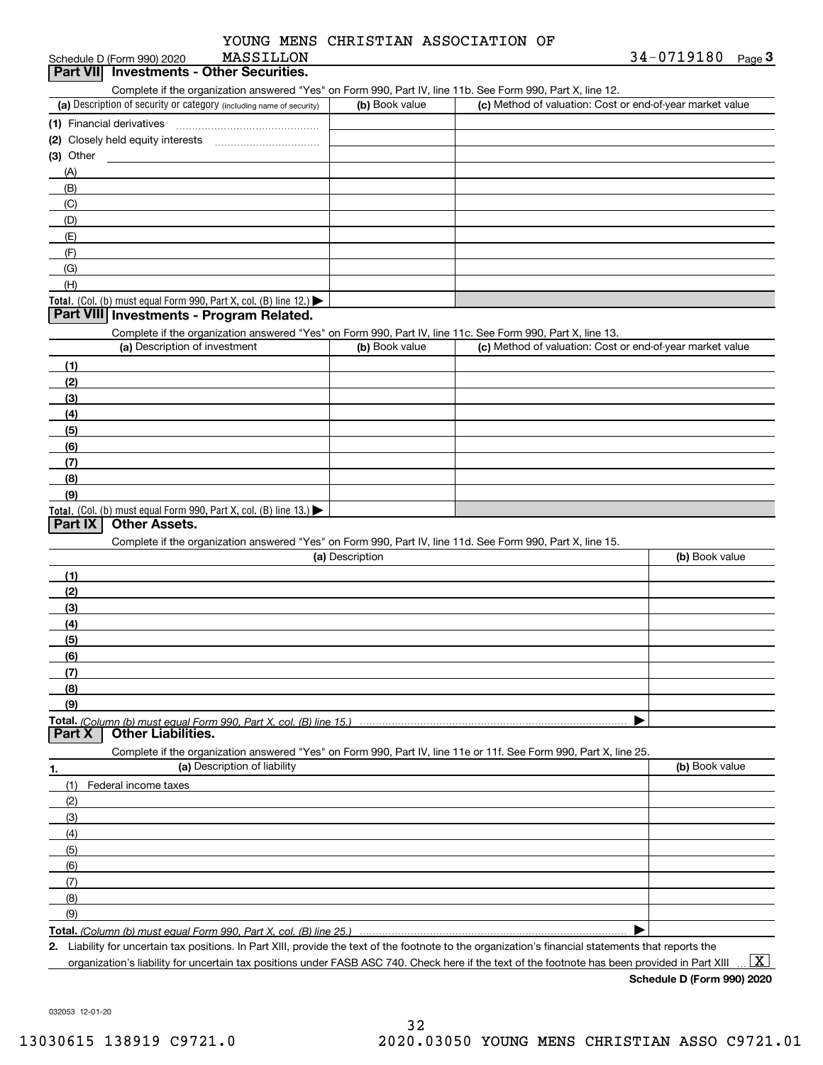| YOUNG MENS CHRISTIAN ASSOCIATION OF |  |
|-------------------------------------|--|
|-------------------------------------|--|

# Schedule D (Form 990) 2020 MASSILLON<br>**Part VII Investments - Other Securities.**

|  | Complete if the organization answered "Yes" on Form 990. Part IV, line 11b, See Form 990. Part X, line 12 |  |  |
|--|-----------------------------------------------------------------------------------------------------------|--|--|

| complete in the organization anomology root of the only offer artist, line in the occur of the occur and has<br>(a) Description of security or category (including name of security) | (b) Book value | (c) Method of valuation: Cost or end-of-year market value |
|--------------------------------------------------------------------------------------------------------------------------------------------------------------------------------------|----------------|-----------------------------------------------------------|
| (1) Financial derivatives                                                                                                                                                            |                |                                                           |
| (2) Closely held equity interests                                                                                                                                                    |                |                                                           |
| $(3)$ Other                                                                                                                                                                          |                |                                                           |
| (A)                                                                                                                                                                                  |                |                                                           |
| (B)                                                                                                                                                                                  |                |                                                           |
| (C)                                                                                                                                                                                  |                |                                                           |
| (D)                                                                                                                                                                                  |                |                                                           |
| (E)                                                                                                                                                                                  |                |                                                           |
| (F)                                                                                                                                                                                  |                |                                                           |
| (G)                                                                                                                                                                                  |                |                                                           |
| (H)                                                                                                                                                                                  |                |                                                           |
| Total. (Col. (b) must equal Form 990, Part X, col. (B) line 12.) $\blacktriangleright$                                                                                               |                |                                                           |

#### **Part VIII Investments - Program Related.**

Complete if the organization answered "Yes" on Form 990, Part IV, line 11c. See Form 990, Part X, line 13.

| (a) Description of investment                                                          | (b) Book value | (c) Method of valuation: Cost or end-of-year market value |
|----------------------------------------------------------------------------------------|----------------|-----------------------------------------------------------|
| (1)                                                                                    |                |                                                           |
| (2)                                                                                    |                |                                                           |
| $\frac{1}{2}$                                                                          |                |                                                           |
| (4)                                                                                    |                |                                                           |
| (5)                                                                                    |                |                                                           |
| (6)                                                                                    |                |                                                           |
| (7)                                                                                    |                |                                                           |
| (8)                                                                                    |                |                                                           |
| (9)                                                                                    |                |                                                           |
| Total. (Col. (b) must equal Form 990, Part X, col. (B) line 13.) $\blacktriangleright$ |                |                                                           |

#### **Part IX Other Assets.**

Complete if the organization answered "Yes" on Form 990, Part IV, line 11d. See Form 990, Part X, line 15.

| (a) Description                                                                                                   | (b) Book value |
|-------------------------------------------------------------------------------------------------------------------|----------------|
| (1)                                                                                                               |                |
| (2)                                                                                                               |                |
| (3)                                                                                                               |                |
| (4)                                                                                                               |                |
| (5)                                                                                                               |                |
| (6)                                                                                                               |                |
|                                                                                                                   |                |
| (8)                                                                                                               |                |
| (9)                                                                                                               |                |
|                                                                                                                   |                |
| <b>Part X   Other Liabilities.</b>                                                                                |                |
| Complete if the organization answered "Yes" on Form 990, Part IV, line 11e or 11f. See Form 990, Part X, line 25. |                |

| 1.                           | (a) Description of liability | (b) Book value |
|------------------------------|------------------------------|----------------|
| (1)                          | Federal income taxes         |                |
| (2)                          |                              |                |
| $\qquad \qquad (3)$          |                              |                |
| (4)                          |                              |                |
| (5)                          |                              |                |
| (6)                          |                              |                |
| $\overline{\phantom{a}}$ (7) |                              |                |
| (8)                          |                              |                |
| (9)                          |                              |                |
|                              |                              |                |

**Total.**  *(Column (b) must equal Form 990, Part X, col. (B) line 25.)* 

**2.**Liability for uncertain tax positions. In Part XIII, provide the text of the footnote to the organization's financial statements that reports the organization's liability for uncertain tax positions under FASB ASC 740. Check here if the text of the footnote has been provided in Part XIII

 $\boxed{\text{X}}$ 

**Schedule D (Form 990) 2020**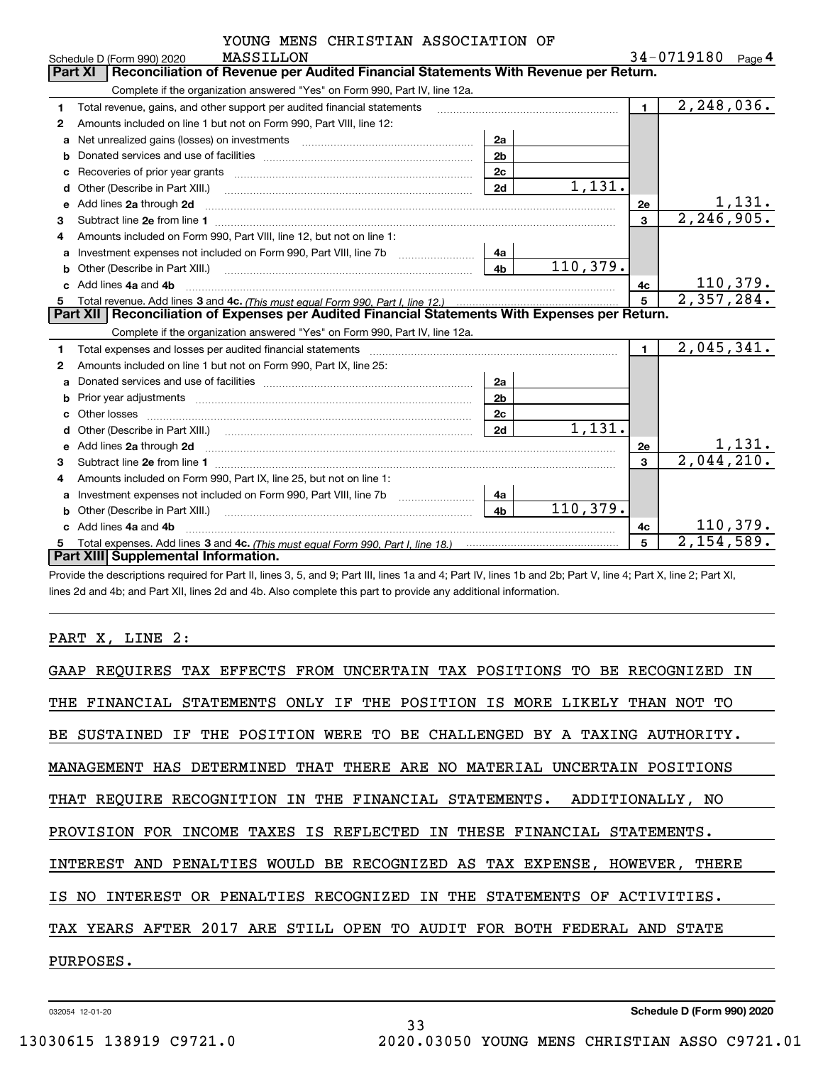| YOUNG MENS CHRISTIAN ASSOCIATION OF |  |
|-------------------------------------|--|
|                                     |  |

 $34 - 0719180$  Page 4

|   | MASSILLON<br>Schedule D (Form 990) 2020                                                                                                                                                                                            |                | 34-0719180 Page 4           |
|---|------------------------------------------------------------------------------------------------------------------------------------------------------------------------------------------------------------------------------------|----------------|-----------------------------|
|   | Reconciliation of Revenue per Audited Financial Statements With Revenue per Return.<br>Part XI                                                                                                                                     |                |                             |
|   | Complete if the organization answered "Yes" on Form 990, Part IV, line 12a.                                                                                                                                                        |                |                             |
| 1 | Total revenue, gains, and other support per audited financial statements                                                                                                                                                           | $\mathbf 1$    | 2, 248, 036.                |
| 2 | Amounts included on line 1 but not on Form 990, Part VIII, line 12:                                                                                                                                                                |                |                             |
| a | Net unrealized gains (losses) on investments [11] matter contracts and the unrealized gains (losses) on investments<br>2a                                                                                                          |                |                             |
| b | 2 <sub>b</sub>                                                                                                                                                                                                                     |                |                             |
| с | 2c<br>Recoveries of prior year grants [11,111] Recoveries of prior year grants [11,111] Recoveries of prior year grants                                                                                                            |                |                             |
| d | 1,131.<br>2d<br>Other (Describe in Part XIII.)                                                                                                                                                                                     |                |                             |
| е | Add lines 2a through 2d                                                                                                                                                                                                            | 2e             | <u>1,131.</u>               |
| 3 |                                                                                                                                                                                                                                    | 3              | 2, 246, 905.                |
|   | Amounts included on Form 990, Part VIII, line 12, but not on line 1:                                                                                                                                                               |                |                             |
| a | Investment expenses not included on Form 990, Part VIII, line 7b<br>4a                                                                                                                                                             |                |                             |
| b | 110,379.<br>4 <sub>b</sub><br>Other (Describe in Part XIII.)                                                                                                                                                                       |                |                             |
|   | Add lines 4a and 4b                                                                                                                                                                                                                | 4c             | 110,379.                    |
| 5 |                                                                                                                                                                                                                                    | 5              | 2,357,284.                  |
|   | Part XII   Reconciliation of Expenses per Audited Financial Statements With Expenses per Return.                                                                                                                                   |                |                             |
|   | Complete if the organization answered "Yes" on Form 990, Part IV, line 12a.                                                                                                                                                        |                |                             |
| 1 | Total expenses and losses per audited financial statements                                                                                                                                                                         | $\blacksquare$ | 2,045,341.                  |
| 2 | Amounts included on line 1 but not on Form 990, Part IX, line 25:                                                                                                                                                                  |                |                             |
| а | 2a                                                                                                                                                                                                                                 |                |                             |
| b | 2 <sub>b</sub><br>Prior year adjustments www.communication.com/www.communication.com/www.com/                                                                                                                                      |                |                             |
|   | 2c<br>Other losses                                                                                                                                                                                                                 |                |                             |
| d | 1,131.<br>2d                                                                                                                                                                                                                       |                |                             |
| e | Add lines 2a through 2d <b>must be a constructed as the constant of the construction</b> and the state of the state of the state of the state of the state of the state of the state of the state of the state of the state of the | 2e             | $\frac{1,131}{2,044,210}$ . |
| 3 |                                                                                                                                                                                                                                    | 3              |                             |
| 4 | Amounts included on Form 990, Part IX, line 25, but not on line 1:                                                                                                                                                                 |                |                             |
| a | 4a                                                                                                                                                                                                                                 |                |                             |
|   | 110,379.<br>4 <sub>b</sub><br>Other (Describe in Part XIII.)                                                                                                                                                                       |                |                             |
|   | Add lines 4a and 4b                                                                                                                                                                                                                | 4с             | 110,379.                    |
|   | Total expenses. Add lines 3 and 4c. (This must equal Form 990. Part I. line 18.) <b>Conservers</b> manufactured in the                                                                                                             | 5              | 2,154,589.                  |
|   | Part XIII Supplemental Information.                                                                                                                                                                                                |                |                             |

Provide the descriptions required for Part II, lines 3, 5, and 9; Part III, lines 1a and 4; Part IV, lines 1b and 2b; Part V, line 4; Part X, line 2; Part XI, lines 2d and 4b; and Part XII, lines 2d and 4b. Also complete this part to provide any additional information.

#### PART X, LINE 2:

| GAAP REQUIRES TAX EFFECTS FROM UNCERTAIN TAX POSITIONS TO BE RECOGNIZED IN |
|----------------------------------------------------------------------------|
| THE FINANCIAL STATEMENTS ONLY IF THE POSITION IS MORE LIKELY THAN NOT TO   |
| BE SUSTAINED IF THE POSITION WERE TO BE CHALLENGED BY A TAXING AUTHORITY.  |
| MANAGEMENT HAS DETERMINED THAT THERE ARE NO MATERIAL UNCERTAIN POSITIONS   |
| THAT REQUIRE RECOGNITION IN THE FINANCIAL STATEMENTS. ADDITIONALLY, NO     |
| PROVISION FOR INCOME TAXES IS REFLECTED IN THESE FINANCIAL STATEMENTS.     |
| INTEREST AND PENALTIES WOULD BE RECOGNIZED AS TAX EXPENSE, HOWEVER, THERE  |
| IS NO INTEREST OR PENALTIES RECOGNIZED IN THE STATEMENTS OF ACTIVITIES.    |
| TAX YEARS AFTER 2017 ARE STILL OPEN TO AUDIT FOR BOTH FEDERAL AND STATE    |
| PURPOSES.                                                                  |
|                                                                            |

33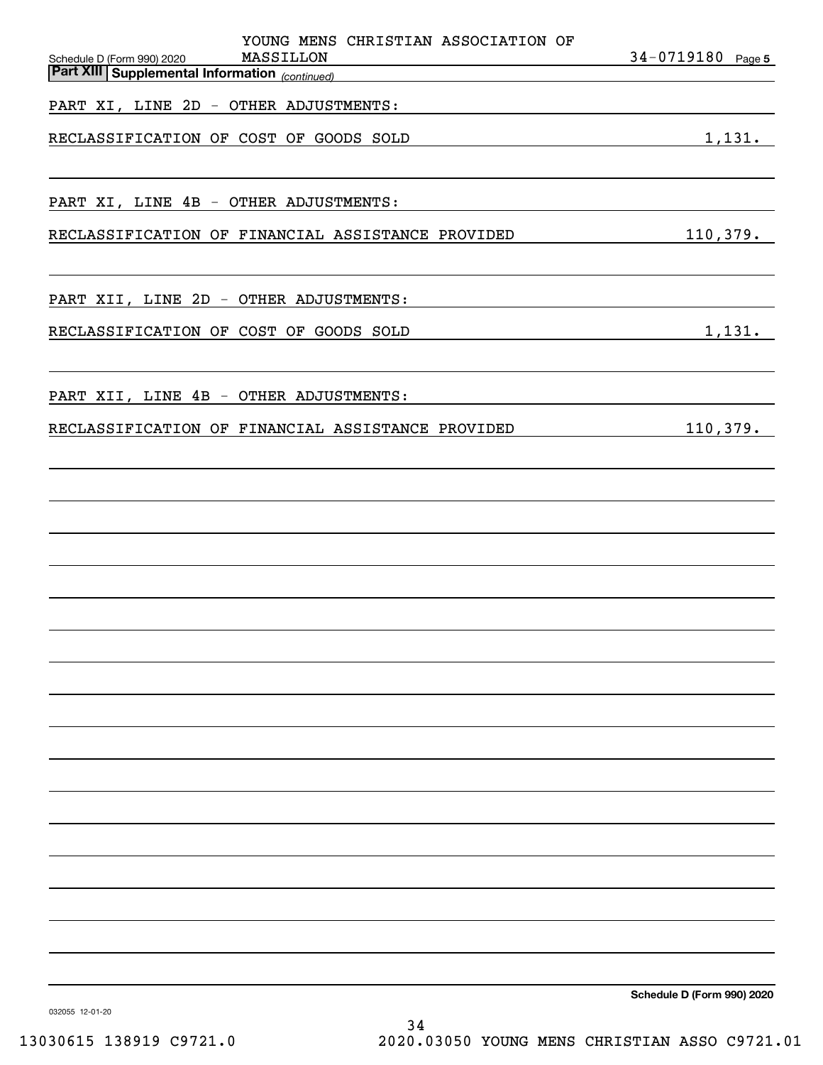| YOUNG MENS CHRISTIAN ASSOCIATION OF<br>MASSILLON<br>Schedule D (Form 990) 2020                                                                                                                                                                                                         | 34-0719180 Page 5                                                                                                                                                                                                             |
|----------------------------------------------------------------------------------------------------------------------------------------------------------------------------------------------------------------------------------------------------------------------------------------|-------------------------------------------------------------------------------------------------------------------------------------------------------------------------------------------------------------------------------|
| <b>Part XIII Supplemental Information</b> (continued)<br>the control of the control of the control of the control of the control of the control of the control of the control of the control of the control of the control of the control of the control of the control of the control |                                                                                                                                                                                                                               |
| PART XI, LINE 2D - OTHER ADJUSTMENTS:                                                                                                                                                                                                                                                  |                                                                                                                                                                                                                               |
| RECLASSIFICATION OF COST OF GOODS SOLD<br><u> 1989 - Johann Barn, amerikansk politiker (</u>                                                                                                                                                                                           | 1,131.                                                                                                                                                                                                                        |
|                                                                                                                                                                                                                                                                                        |                                                                                                                                                                                                                               |
| PART XI, LINE 4B - OTHER ADJUSTMENTS:                                                                                                                                                                                                                                                  | the control of the control of the control of the control of the control of the control of the control of the control of the control of the control of the control of the control of the control of the control of the control |
| RECLASSIFICATION OF FINANCIAL ASSISTANCE PROVIDED                                                                                                                                                                                                                                      | 110,379.                                                                                                                                                                                                                      |
| PART XII, LINE 2D - OTHER ADJUSTMENTS:                                                                                                                                                                                                                                                 |                                                                                                                                                                                                                               |
|                                                                                                                                                                                                                                                                                        |                                                                                                                                                                                                                               |
| RECLASSIFICATION OF COST OF GOODS SOLD                                                                                                                                                                                                                                                 | 1,131.                                                                                                                                                                                                                        |
| PART XII, LINE 4B - OTHER ADJUSTMENTS:                                                                                                                                                                                                                                                 |                                                                                                                                                                                                                               |
| RECLASSIFICATION OF FINANCIAL ASSISTANCE PROVIDED                                                                                                                                                                                                                                      | 110,379.                                                                                                                                                                                                                      |
|                                                                                                                                                                                                                                                                                        |                                                                                                                                                                                                                               |
|                                                                                                                                                                                                                                                                                        |                                                                                                                                                                                                                               |
|                                                                                                                                                                                                                                                                                        |                                                                                                                                                                                                                               |
|                                                                                                                                                                                                                                                                                        |                                                                                                                                                                                                                               |
|                                                                                                                                                                                                                                                                                        |                                                                                                                                                                                                                               |
|                                                                                                                                                                                                                                                                                        |                                                                                                                                                                                                                               |
|                                                                                                                                                                                                                                                                                        |                                                                                                                                                                                                                               |
|                                                                                                                                                                                                                                                                                        |                                                                                                                                                                                                                               |
|                                                                                                                                                                                                                                                                                        |                                                                                                                                                                                                                               |
|                                                                                                                                                                                                                                                                                        |                                                                                                                                                                                                                               |
|                                                                                                                                                                                                                                                                                        |                                                                                                                                                                                                                               |
|                                                                                                                                                                                                                                                                                        |                                                                                                                                                                                                                               |
|                                                                                                                                                                                                                                                                                        |                                                                                                                                                                                                                               |
|                                                                                                                                                                                                                                                                                        |                                                                                                                                                                                                                               |
|                                                                                                                                                                                                                                                                                        |                                                                                                                                                                                                                               |
|                                                                                                                                                                                                                                                                                        | Schedule D (Form 990) 2020                                                                                                                                                                                                    |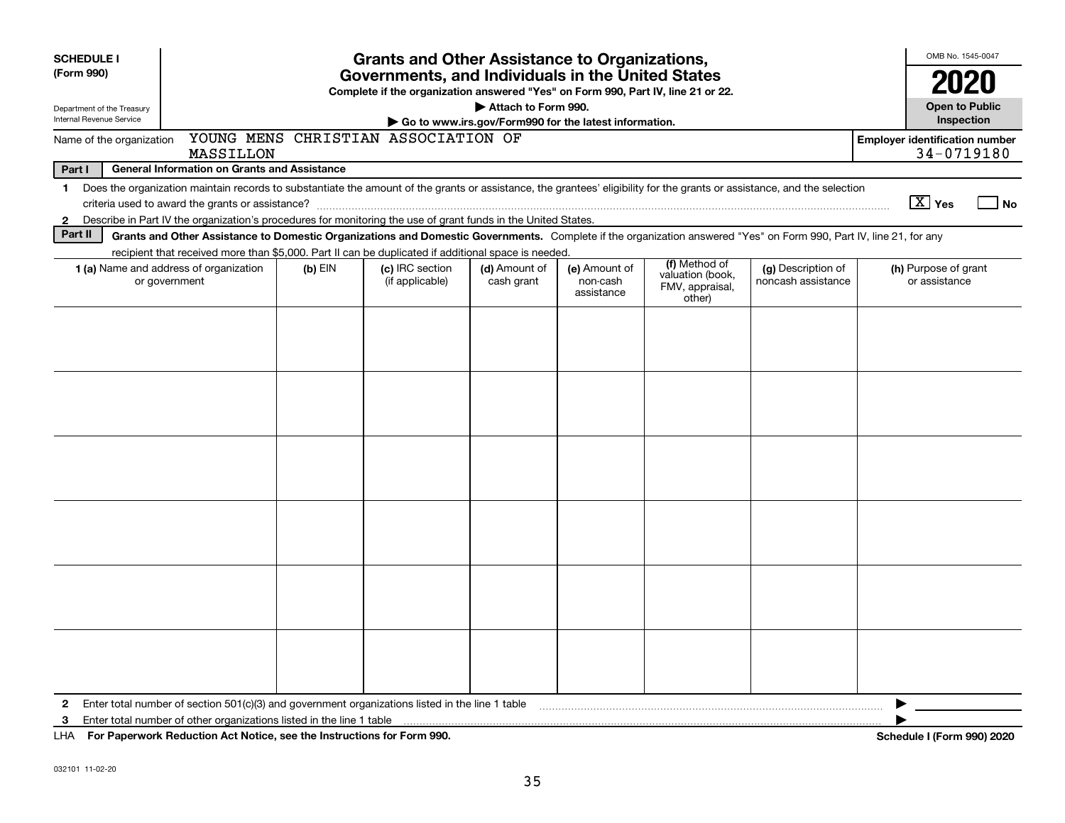| <b>SCHEDULE I</b>                                                            |                                                                                                                                                                                                                                                                           |           | <b>Grants and Other Assistance to Organizations,</b> |                             |                                         |                                                                |                                          |  | OMB No. 1545-0047                                   |                                     |
|------------------------------------------------------------------------------|---------------------------------------------------------------------------------------------------------------------------------------------------------------------------------------------------------------------------------------------------------------------------|-----------|------------------------------------------------------|-----------------------------|-----------------------------------------|----------------------------------------------------------------|------------------------------------------|--|-----------------------------------------------------|-------------------------------------|
| (Form 990)                                                                   | Governments, and Individuals in the United States<br>Complete if the organization answered "Yes" on Form 990, Part IV, line 21 or 22.                                                                                                                                     |           |                                                      |                             |                                         |                                                                |                                          |  | 2020                                                |                                     |
| Department of the Treasury<br>Internal Revenue Service                       | Attach to Form 990.<br>Go to www.irs.gov/Form990 for the latest information.                                                                                                                                                                                              |           |                                                      |                             |                                         |                                                                |                                          |  |                                                     | <b>Open to Public</b><br>Inspection |
| YOUNG MENS CHRISTIAN ASSOCIATION OF<br>Name of the organization<br>MASSILLON |                                                                                                                                                                                                                                                                           |           |                                                      |                             |                                         |                                                                |                                          |  | <b>Employer identification number</b><br>34-0719180 |                                     |
| <b>General Information on Grants and Assistance</b><br>Part I                |                                                                                                                                                                                                                                                                           |           |                                                      |                             |                                         |                                                                |                                          |  |                                                     |                                     |
| $\mathbf 1$                                                                  | Does the organization maintain records to substantiate the amount of the grants or assistance, the grantees' eligibility for the grants or assistance, and the selection                                                                                                  |           |                                                      |                             |                                         |                                                                |                                          |  |                                                     |                                     |
|                                                                              |                                                                                                                                                                                                                                                                           |           |                                                      |                             |                                         |                                                                |                                          |  | $\boxed{\text{X}}$ Yes                              | No                                  |
| $\mathbf{2}$                                                                 | Describe in Part IV the organization's procedures for monitoring the use of grant funds in the United States.                                                                                                                                                             |           |                                                      |                             |                                         |                                                                |                                          |  |                                                     |                                     |
| Part II                                                                      | Grants and Other Assistance to Domestic Organizations and Domestic Governments. Complete if the organization answered "Yes" on Form 990, Part IV, line 21, for any<br>recipient that received more than \$5,000. Part II can be duplicated if additional space is needed. |           |                                                      |                             |                                         |                                                                |                                          |  |                                                     |                                     |
|                                                                              | 1 (a) Name and address of organization<br>or government                                                                                                                                                                                                                   | $(b)$ EIN | (c) IRC section<br>(if applicable)                   | (d) Amount of<br>cash grant | (e) Amount of<br>non-cash<br>assistance | (f) Method of<br>valuation (book,<br>FMV, appraisal,<br>other) | (g) Description of<br>noncash assistance |  | (h) Purpose of grant<br>or assistance               |                                     |
|                                                                              |                                                                                                                                                                                                                                                                           |           |                                                      |                             |                                         |                                                                |                                          |  |                                                     |                                     |
|                                                                              |                                                                                                                                                                                                                                                                           |           |                                                      |                             |                                         |                                                                |                                          |  |                                                     |                                     |
|                                                                              |                                                                                                                                                                                                                                                                           |           |                                                      |                             |                                         |                                                                |                                          |  |                                                     |                                     |
|                                                                              |                                                                                                                                                                                                                                                                           |           |                                                      |                             |                                         |                                                                |                                          |  |                                                     |                                     |
|                                                                              |                                                                                                                                                                                                                                                                           |           |                                                      |                             |                                         |                                                                |                                          |  |                                                     |                                     |
|                                                                              |                                                                                                                                                                                                                                                                           |           |                                                      |                             |                                         |                                                                |                                          |  |                                                     |                                     |
| $\mathbf{2}$                                                                 | Enter total number of section 501(c)(3) and government organizations listed in the line 1 table                                                                                                                                                                           |           |                                                      |                             |                                         |                                                                |                                          |  |                                                     |                                     |
| 3                                                                            | Enter total number of other organizations listed in the line 1 table                                                                                                                                                                                                      |           |                                                      |                             |                                         |                                                                |                                          |  |                                                     |                                     |
|                                                                              | LHA For Paperwork Reduction Act Notice, see the Instructions for Form 990.                                                                                                                                                                                                |           |                                                      |                             |                                         |                                                                |                                          |  | <b>Schedule I (Form 990) 2020</b>                   |                                     |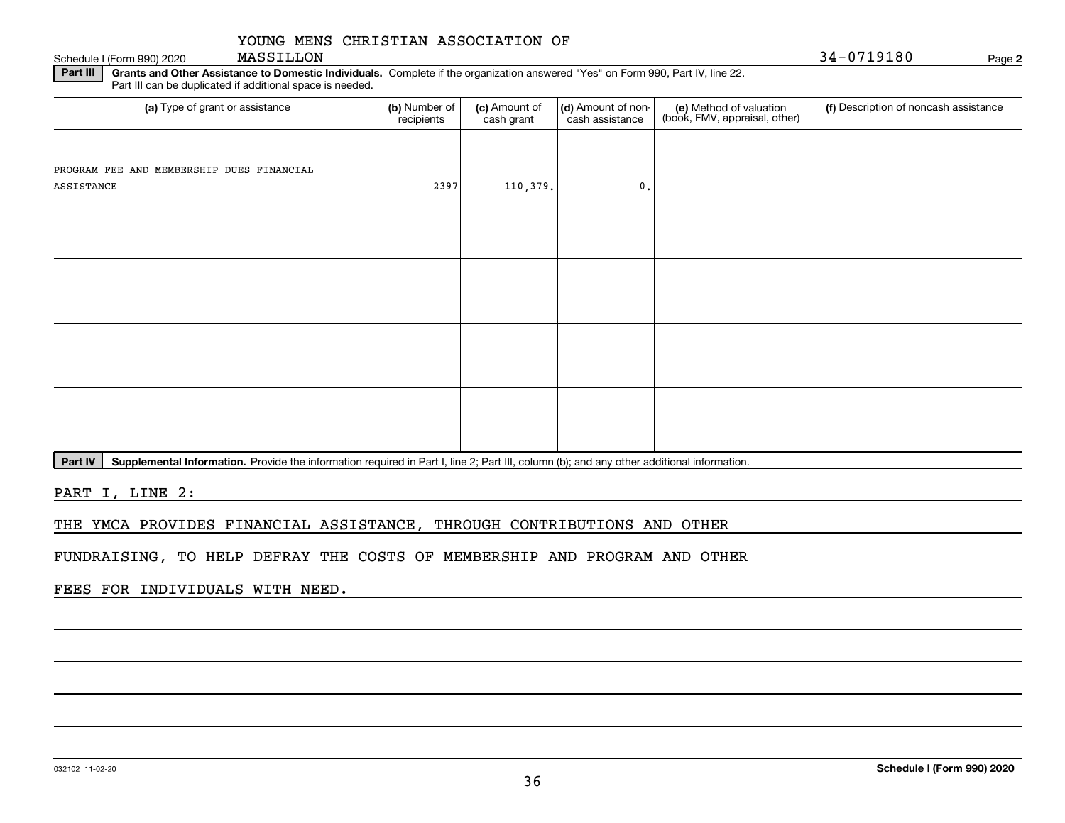Schedule I (Form 990) 2020 MASSILLON

**2**

**Part III** | Grants and Other Assistance to Domestic Individuals. Complete if the organization answered "Yes" on Form 990, Part IV, line 22. Part III can be duplicated if additional space is needed.

| (a) Type of grant or assistance           | (b) Number of<br>recipients | (c) Amount of<br>cash grant | (d) Amount of non-<br>cash assistance | (e) Method of valuation<br>(book, FMV, appraisal, other) | (f) Description of noncash assistance |
|-------------------------------------------|-----------------------------|-----------------------------|---------------------------------------|----------------------------------------------------------|---------------------------------------|
|                                           |                             |                             |                                       |                                                          |                                       |
| PROGRAM FEE AND MEMBERSHIP DUES FINANCIAL |                             |                             |                                       |                                                          |                                       |
| ASSISTANCE                                | 2397                        | 110,379.                    | $\mathbf{0}$ .                        |                                                          |                                       |
|                                           |                             |                             |                                       |                                                          |                                       |
|                                           |                             |                             |                                       |                                                          |                                       |
|                                           |                             |                             |                                       |                                                          |                                       |
|                                           |                             |                             |                                       |                                                          |                                       |
|                                           |                             |                             |                                       |                                                          |                                       |
|                                           |                             |                             |                                       |                                                          |                                       |
|                                           |                             |                             |                                       |                                                          |                                       |
|                                           |                             |                             |                                       |                                                          |                                       |
|                                           |                             |                             |                                       |                                                          |                                       |
|                                           |                             |                             |                                       |                                                          |                                       |
|                                           |                             |                             |                                       |                                                          |                                       |
|                                           |                             |                             |                                       |                                                          |                                       |
|                                           |                             |                             |                                       |                                                          |                                       |
|                                           |                             |                             |                                       |                                                          |                                       |

Part IV | Supplemental Information. Provide the information required in Part I, line 2; Part III, column (b); and any other additional information.

PART I, LINE 2:

THE YMCA PROVIDES FINANCIAL ASSISTANCE, THROUGH CONTRIBUTIONS AND OTHER

FUNDRAISING, TO HELP DEFRAY THE COSTS OF MEMBERSHIP AND PROGRAM AND OTHER

FEES FOR INDIVIDUALS WITH NEED.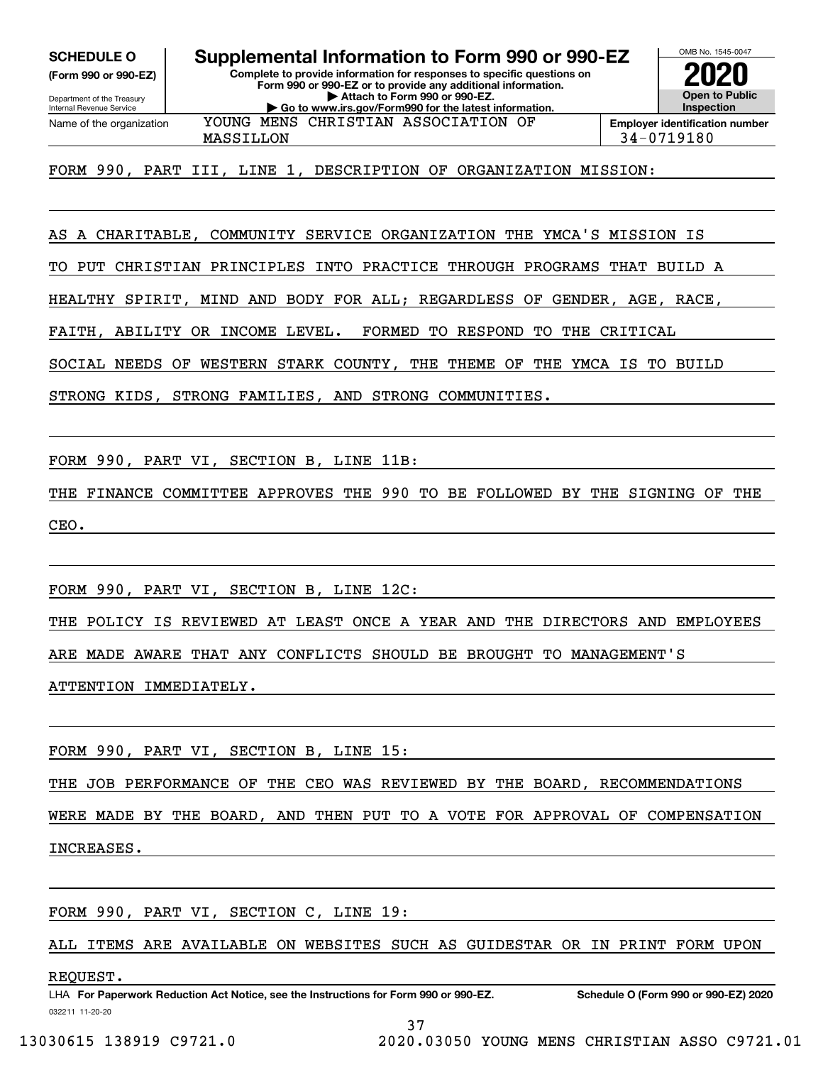**(Form 990 or 990-EZ)**

Department of the Treasury Internal Revenue Service Name of the organization

**Complete to provide information for responses to specific questions on SCHEDULE O Supplemental Information to Form 990 or 990-EZ**

**Form 990 or 990-EZ or to provide any additional information. | Attach to Form 990 or 990-EZ. | Go to www.irs.gov/Form990 for the latest information.**



OMB No. 1545-0047

MASSILLON 34-0719180 YOUNG MENS CHRISTIAN ASSOCIATION OF

FORM 990, PART III, LINE 1, DESCRIPTION OF ORGANIZATION MISSION:

AS A CHARITABLE, COMMUNITY SERVICE ORGANIZATION THE YMCA'S MISSION IS

TO PUT CHRISTIAN PRINCIPLES INTO PRACTICE THROUGH PROGRAMS THAT BUILD A

HEALTHY SPIRIT, MIND AND BODY FOR ALL; REGARDLESS OF GENDER, AGE, RACE,

FAITH, ABILITY OR INCOME LEVEL. FORMED TO RESPOND TO THE CRITICAL

SOCIAL NEEDS OF WESTERN STARK COUNTY, THE THEME OF THE YMCA IS TO BUILD

STRONG KIDS, STRONG FAMILIES, AND STRONG COMMUNITIES.

FORM 990, PART VI, SECTION B, LINE 11B:

THE FINANCE COMMITTEE APPROVES THE 990 TO BE FOLLOWED BY THE SIGNING OF THE CEO.

FORM 990, PART VI, SECTION B, LINE 12C:

THE POLICY IS REVIEWED AT LEAST ONCE A YEAR AND THE DIRECTORS AND EMPLOYEES ARE MADE AWARE THAT ANY CONFLICTS SHOULD BE BROUGHT TO MANAGEMENT'S ATTENTION IMMEDIATELY.

FORM 990, PART VI, SECTION B, LINE 15:

THE JOB PERFORMANCE OF THE CEO WAS REVIEWED BY THE BOARD, RECOMMENDATIONS

WERE MADE BY THE BOARD, AND THEN PUT TO A VOTE FOR APPROVAL OF COMPENSATION

INCREASES.

FORM 990, PART VI, SECTION C, LINE 19:

ALL ITEMS ARE AVAILABLE ON WEBSITES SUCH AS GUIDESTAR OR IN PRINT FORM UPON

### REQUEST.

032211 11-20-20 LHA For Paperwork Reduction Act Notice, see the Instructions for Form 990 or 990-EZ. Schedule O (Form 990 or 990-EZ) 2020